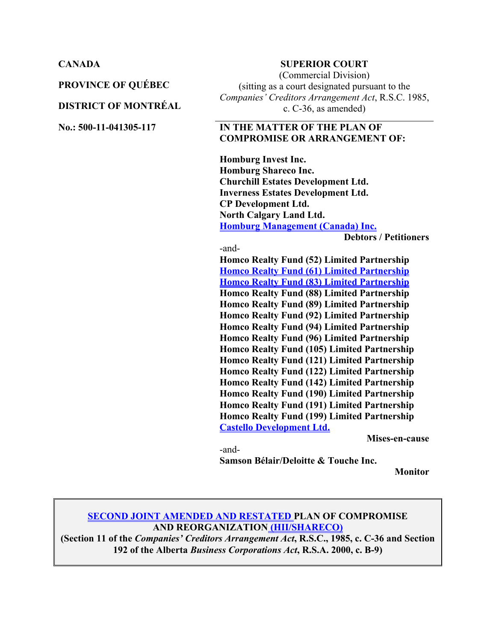**PROVINCE OF QUÉBEC**

#### **DISTRICT OF MONTRÉAL**

#### **CANADA SUPERIOR COURT**

(Commercial Division) (sitting as a court designated pursuant to the *Companies' Creditors Arrangement Act*, R.S.C. 1985, c. C-36, as amended)

#### **No.: 500-11-041305-117 IN THE MATTER OF THE PLAN OF COMPROMISE OR ARRANGEMENT OF:**

**Homburg Invest Inc. Homburg Shareco Inc. Churchill Estates Development Ltd. Inverness Estates Development Ltd. CP Development Ltd. North Calgary Land Ltd. Homburg Management (Canada) Inc.**

**Debtors / Petitioners**

-and-

**Homco Realty Fund (52) Limited Partnership Homco Realty Fund (61) Limited Partnership Homco Realty Fund (83) Limited Partnership Homco Realty Fund (88) Limited Partnership Homco Realty Fund (89) Limited Partnership Homco Realty Fund (92) Limited Partnership Homco Realty Fund (94) Limited Partnership Homco Realty Fund (96) Limited Partnership Homco Realty Fund (105) Limited Partnership Homco Realty Fund (121) Limited Partnership Homco Realty Fund (122) Limited Partnership Homco Realty Fund (142) Limited Partnership Homco Realty Fund (190) Limited Partnership Homco Realty Fund (191) Limited Partnership Homco Realty Fund (199) Limited Partnership Castello Development Ltd.**

**Mises-en-cause**

-and-**Samson Bélair/Deloitte & Touche Inc.** 

**Monitor**

#### **SECOND JOINT AMENDED AND RESTATED PLAN OF COMPROMISE AND REORGANIZATION (HII/SHARECO)**

**(Section 11 of the** *Companies' Creditors Arrangement Act***, R.S.C., 1985, c. C-36 and Section 192 of the Alberta** *Business Corporations Act***, R.S.A. 2000, c. B-9)**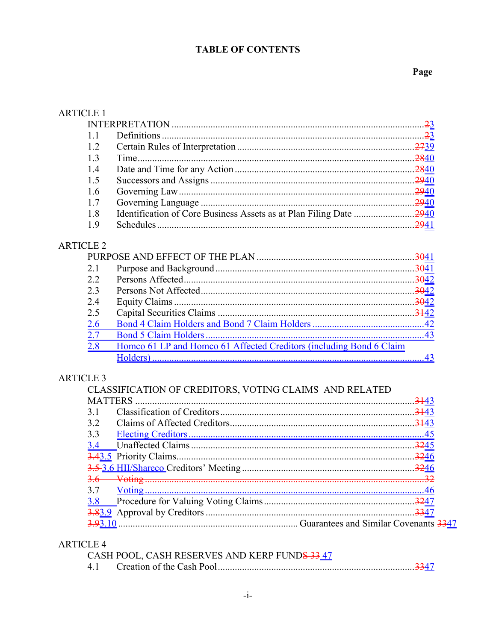## **TABLE OF CONTENTS**

## Page

| <b>ARTICLE 1</b> |                                                                     |    |
|------------------|---------------------------------------------------------------------|----|
|                  |                                                                     |    |
| 1.1              |                                                                     |    |
| 1.2              |                                                                     |    |
| 1.3              |                                                                     |    |
| 1.4              |                                                                     |    |
| 1.5              |                                                                     |    |
| 1.6              |                                                                     |    |
| 1.7              |                                                                     |    |
| 1.8              |                                                                     |    |
| 1.9              |                                                                     |    |
| <b>ARTICLE 2</b> |                                                                     |    |
|                  |                                                                     |    |
| 2.1              |                                                                     |    |
| 2.2              |                                                                     |    |
| 2.3              |                                                                     |    |
| 2.4              |                                                                     |    |
| 2.5              |                                                                     |    |
| 2.6              |                                                                     |    |
| 2.7              |                                                                     |    |
| 2.8              | Homco 61 LP and Homco 61 Affected Creditors (including Bond 6 Claim |    |
|                  |                                                                     | 43 |
| <b>ARTICLE 3</b> | CLASSIFICATION OF CREDITORS, VOTING CLAIMS AND RELATED              |    |
|                  |                                                                     |    |
| 3.1              |                                                                     |    |
| 3.2              |                                                                     |    |
| 3.3              |                                                                     |    |
| 3.4              |                                                                     |    |
|                  |                                                                     |    |
|                  |                                                                     |    |
| $3.6-$           |                                                                     |    |
| 3.7              |                                                                     |    |
| 3.8              |                                                                     |    |
|                  |                                                                     |    |
|                  |                                                                     |    |

# **ARTICLE 4**

| CASH POOL, CASH RESERVES AND KERP FUNDS 33 47 |  |
|-----------------------------------------------|--|
|                                               |  |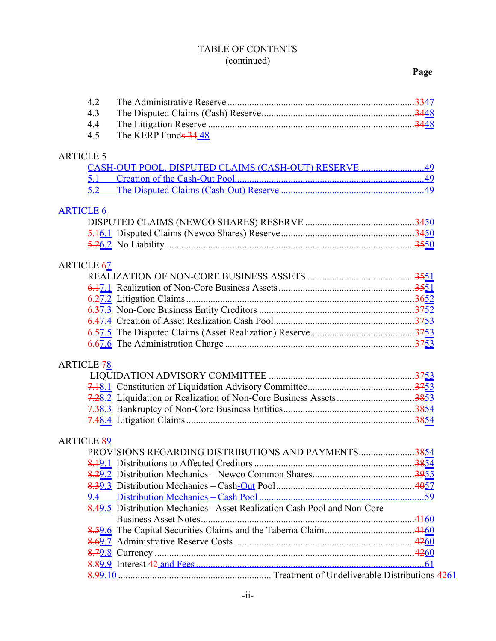## TABLE OF CONTENTS (continued)

## **Page**

|                  | 4.2               |                                                                          |  |
|------------------|-------------------|--------------------------------------------------------------------------|--|
|                  | 4.3               |                                                                          |  |
|                  | 4.4               |                                                                          |  |
|                  | 4.5               | The KERP Funds 34.48                                                     |  |
|                  |                   |                                                                          |  |
| <b>ARTICLE 5</b> |                   |                                                                          |  |
|                  |                   | CASH-OUT POOL, DISPUTED CLAIMS (CASH-OUT) RESERVE 49                     |  |
|                  | 5.1               |                                                                          |  |
|                  | 5.2               |                                                                          |  |
|                  |                   |                                                                          |  |
| <b>ARTICLE 6</b> |                   |                                                                          |  |
|                  |                   |                                                                          |  |
|                  |                   |                                                                          |  |
|                  |                   |                                                                          |  |
|                  |                   |                                                                          |  |
|                  | <b>ARTICLE 67</b> |                                                                          |  |
|                  |                   |                                                                          |  |
|                  |                   |                                                                          |  |
|                  |                   |                                                                          |  |
|                  |                   |                                                                          |  |
|                  |                   |                                                                          |  |
|                  |                   |                                                                          |  |
|                  |                   |                                                                          |  |
|                  | <b>ARTICLE 78</b> |                                                                          |  |
|                  |                   |                                                                          |  |
|                  |                   |                                                                          |  |
|                  |                   |                                                                          |  |
|                  |                   |                                                                          |  |
|                  |                   |                                                                          |  |
|                  |                   |                                                                          |  |
|                  | <b>ARTICLE 89</b> |                                                                          |  |
|                  |                   | PROVISIONS REGARDING DISTRIBUTIONS AND PAYMENTS3854                      |  |
|                  |                   |                                                                          |  |
|                  |                   |                                                                          |  |
|                  |                   |                                                                          |  |
|                  | 9.4               |                                                                          |  |
|                  |                   | 8.49.5 Distribution Mechanics – Asset Realization Cash Pool and Non-Core |  |
|                  |                   |                                                                          |  |
|                  |                   |                                                                          |  |
|                  |                   |                                                                          |  |
|                  |                   |                                                                          |  |
|                  |                   |                                                                          |  |
|                  |                   |                                                                          |  |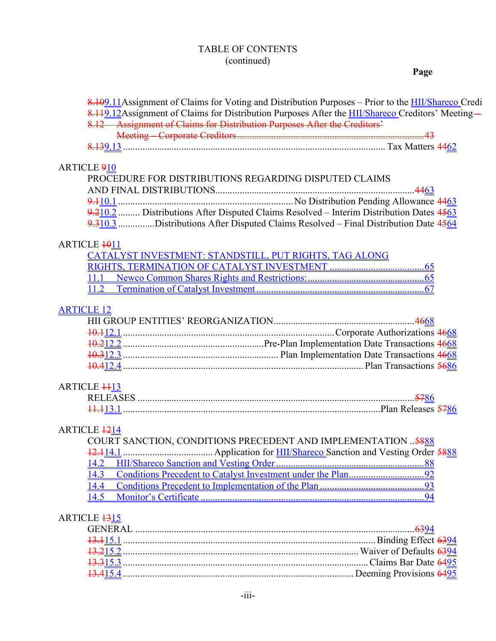## TABLE OF CONTENTS (continued)

## **Page**

|                         | 8.109.11 Assignment of Claims for Voting and Distribution Purposes – Prior to the <b>HII/Shareco</b> Credi |
|-------------------------|------------------------------------------------------------------------------------------------------------|
|                         | 8.119.12 Assignment of Claims for Distribution Purposes After the <b>HII/Shareco</b> Creditors' Meeting-   |
|                         | 8.12 Assignment of Claims for Distribution Purposes After the Creditors'                                   |
|                         |                                                                                                            |
|                         |                                                                                                            |
| <b>ARTICLE 910</b>      |                                                                                                            |
|                         | PROCEDURE FOR DISTRIBUTIONS REGARDING DISPUTED CLAIMS                                                      |
|                         |                                                                                                            |
|                         |                                                                                                            |
|                         | 9.210.2  Distributions After Disputed Claims Resolved – Interim Distribution Dates 4563                    |
|                         | 9.310.3 Distributions After Disputed Claims Resolved – Final Distribution Date 4564                        |
|                         |                                                                                                            |
| ARTICLE 1011            |                                                                                                            |
|                         | CATALYST INVESTMENT: STANDSTILL, PUT RIGHTS, TAG ALONG                                                     |
|                         |                                                                                                            |
|                         |                                                                                                            |
|                         |                                                                                                            |
| <b>ARTICLE 12</b>       |                                                                                                            |
|                         |                                                                                                            |
|                         |                                                                                                            |
|                         |                                                                                                            |
|                         |                                                                                                            |
|                         |                                                                                                            |
| <b>ARTICLE 4413</b>     |                                                                                                            |
|                         |                                                                                                            |
|                         |                                                                                                            |
|                         |                                                                                                            |
| ARTICLE 1214            |                                                                                                            |
|                         | COURT SANCTION, CONDITIONS PRECEDENT AND IMPLEMENTATION  5888                                              |
|                         |                                                                                                            |
| <u> 14.2</u>            |                                                                                                            |
| 14.3                    |                                                                                                            |
| 14.4                    |                                                                                                            |
| 14.5                    |                                                                                                            |
| ARTICLE <sub>1315</sub> |                                                                                                            |
|                         |                                                                                                            |
|                         |                                                                                                            |
|                         |                                                                                                            |
|                         |                                                                                                            |
|                         |                                                                                                            |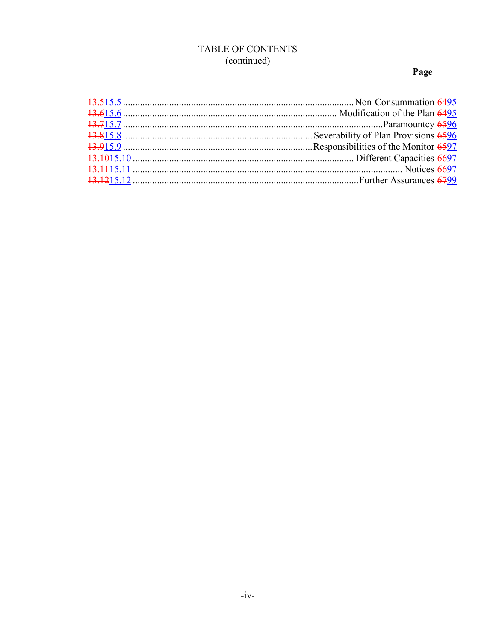## TABLE OF CONTENTS (continued)

## Page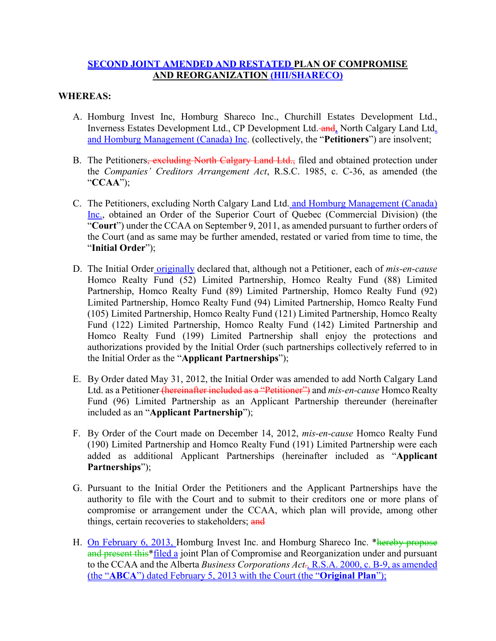#### **SECOND JOINT AMENDED AND RESTATED PLAN OF COMPROMISE AND REORGANIZATION (HII/SHARECO)**

#### **WHEREAS:**

- A. Homburg Invest Inc, Homburg Shareco Inc., Churchill Estates Development Ltd., Inverness Estates Development Ltd., CP Development Ltd. and, North Calgary Land Ltd. and Homburg Management (Canada) Inc. (collectively, the "**Petitioners**") are insolvent;
- B. The Petitioners<del>, excluding North Calgary Land Ltd.,</del> filed and obtained protection under the *Companies' Creditors Arrangement Act*, R.S.C. 1985, c. C-36, as amended (the "**CCAA**");
- C. The Petitioners, excluding North Calgary Land Ltd. and Homburg Management (Canada) Inc., obtained an Order of the Superior Court of Quebec (Commercial Division) (the "**Court**") under the CCAA on September 9, 2011, as amended pursuant to further orders of the Court (and as same may be further amended, restated or varied from time to time, the "**Initial Order**");
- D. The Initial Order originally declared that, although not a Petitioner, each of *mis-en-cause* Homco Realty Fund (52) Limited Partnership, Homco Realty Fund (88) Limited Partnership, Homco Realty Fund (89) Limited Partnership, Homco Realty Fund (92) Limited Partnership, Homco Realty Fund (94) Limited Partnership, Homco Realty Fund (105) Limited Partnership, Homco Realty Fund (121) Limited Partnership, Homco Realty Fund (122) Limited Partnership, Homco Realty Fund (142) Limited Partnership and Homco Realty Fund (199) Limited Partnership shall enjoy the protections and authorizations provided by the Initial Order (such partnerships collectively referred to in the Initial Order as the "**Applicant Partnerships**");
- E. By Order dated May 31, 2012, the Initial Order was amended to add North Calgary Land Ltd. as a Petitioner (hereinafter included as a "Petitioner") and *mis-en-cause* Homco Realty Fund (96) Limited Partnership as an Applicant Partnership thereunder (hereinafter included as an "**Applicant Partnership**");
- F. By Order of the Court made on December 14, 2012, *mis-en-cause* Homco Realty Fund (190) Limited Partnership and Homco Realty Fund (191) Limited Partnership were each added as additional Applicant Partnerships (hereinafter included as "**Applicant Partnerships**");
- G. Pursuant to the Initial Order the Petitioners and the Applicant Partnerships have the authority to file with the Court and to submit to their creditors one or more plans of compromise or arrangement under the CCAA, which plan will provide, among other things, certain recoveries to stakeholders; and
- H. **On February 6, 2013**, Homburg Invest Inc. and Homburg Shareco Inc. \* hereby propose and present this\*filed a joint Plan of Compromise and Reorganization under and pursuant to the CCAA and the Alberta *Business Corporations Act.,* R.S.A. 2000, c. B-9, as amended (the "**ABCA**") dated February 5, 2013 with the Court (the "**Original Plan**");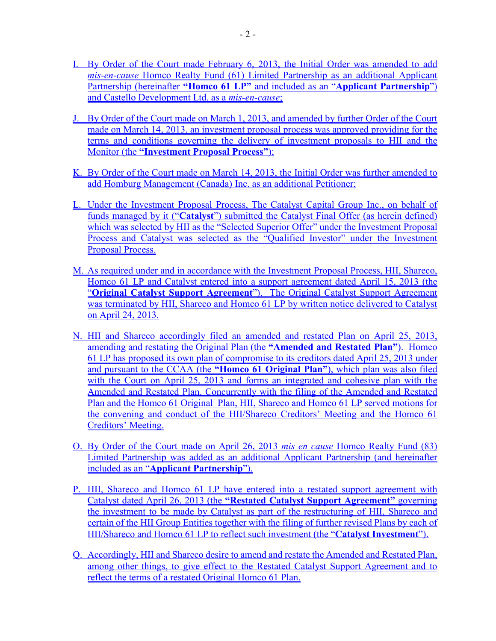- I. By Order of the Court made February 6, 2013, the Initial Order was amended to add *mis-en-cause* Homco Realty Fund (61) Limited Partnership as an additional Applicant Partnership (hereinafter **"Homco 61 LP"** and included as an "**Applicant Partnership**") and Castello Development Ltd. as a *mis-en-cause*;
- J. By Order of the Court made on March 1, 2013, and amended by further Order of the Court made on March 14, 2013, an investment proposal process was approved providing for the terms and conditions governing the delivery of investment proposals to HII and the Monitor (the **"Investment Proposal Process"**);
- K. By Order of the Court made on March 14, 2013, the Initial Order was further amended to add Homburg Management (Canada) Inc. as an additional Petitioner;
- L. Under the Investment Proposal Process, The Catalyst Capital Group Inc., on behalf of funds managed by it ("**Catalyst**") submitted the Catalyst Final Offer (as herein defined) which was selected by HII as the "Selected Superior Offer" under the Investment Proposal Process and Catalyst was selected as the "Qualified Investor" under the Investment Proposal Process.
- M. As required under and in accordance with the Investment Proposal Process, HII, Shareco, Homco 61 LP and Catalyst entered into a support agreement dated April 15, 2013 (the "**Original Catalyst Support Agreement**"). The Original Catalyst Support Agreement was terminated by HII, Shareco and Homco 61 LP by written notice delivered to Catalyst on April 24, 2013.
- N. HII and Shareco accordingly filed an amended and restated Plan on April 25, 2013, amending and restating the Original Plan (the **"Amended and Restated Plan"**). Homco 61 LP has proposed its own plan of compromise to its creditors dated April 25, 2013 under and pursuant to the CCAA (the **"Homco 61 Original Plan"**), which plan was also filed with the Court on April 25, 2013 and forms an integrated and cohesive plan with the Amended and Restated Plan. Concurrently with the filing of the Amended and Restated Plan and the Homco 61 Original Plan, HII, Shareco and Homco 61 LP served motions for the convening and conduct of the HII/Shareco Creditors' Meeting and the Homco 61 Creditors' Meeting.
- O. By Order of the Court made on April 26, 2013 *mis en cause* Homco Realty Fund (83) Limited Partnership was added as an additional Applicant Partnership (and hereinafter included as an "**Applicant Partnership**").
- P. HII, Shareco and Homco 61 LP have entered into a restated support agreement with Catalyst dated April 26, 2013 (the **"Restated Catalyst Support Agreement"** governing the investment to be made by Catalyst as part of the restructuring of HII, Shareco and certain of the HII Group Entities together with the filing of further revised Plans by each of HII/Shareco and Homco 61 LP to reflect such investment (the "**Catalyst Investment**").
- Q. Accordingly, HII and Shareco desire to amend and restate the Amended and Restated Plan, among other things, to give effect to the Restated Catalyst Support Agreement and to reflect the terms of a restated Original Homco 61 Plan.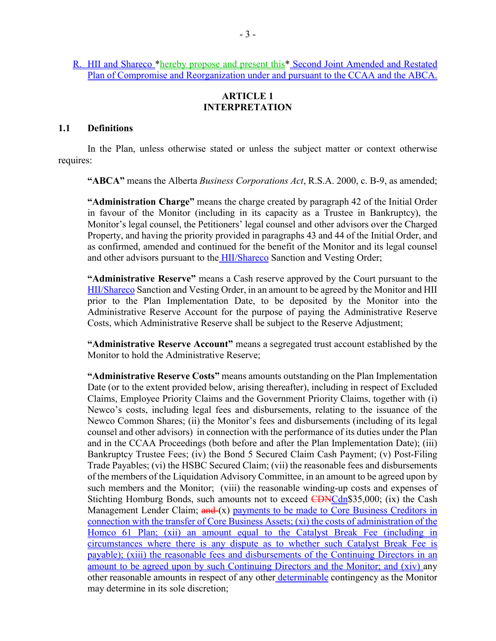R. HII and Shareco \*hereby propose and present this \* Second Joint Amended and Restated Plan of Compromise and Reorganization under and pursuant to the CCAA and the ABCA.

#### **ARTICLE 1 INTERPRETATION**

#### **1.1 Definitions**

In the Plan, unless otherwise stated or unless the subject matter or context otherwise requires:

**"ABCA"** means the Alberta *Business Corporations Act*, R.S.A. 2000, c. B-9, as amended;

**"Administration Charge"** means the charge created by paragraph 42 of the Initial Order in favour of the Monitor (including in its capacity as a Trustee in Bankruptcy), the Monitor's legal counsel, the Petitioners' legal counsel and other advisors over the Charged Property, and having the priority provided in paragraphs 43 and 44 of the Initial Order, and as confirmed, amended and continued for the benefit of the Monitor and its legal counsel and other advisors pursuant to the **HII/Shareco** Sanction and Vesting Order;

**"Administrative Reserve"** means a Cash reserve approved by the Court pursuant to the HII/Shareco Sanction and Vesting Order, in an amount to be agreed by the Monitor and HII prior to the Plan Implementation Date, to be deposited by the Monitor into the Administrative Reserve Account for the purpose of paying the Administrative Reserve Costs, which Administrative Reserve shall be subject to the Reserve Adjustment;

**"Administrative Reserve Account"** means a segregated trust account established by the Monitor to hold the Administrative Reserve;

**"Administrative Reserve Costs"** means amounts outstanding on the Plan Implementation Date (or to the extent provided below, arising thereafter), including in respect of Excluded Claims, Employee Priority Claims and the Government Priority Claims, together with (i) Newco's costs, including legal fees and disbursements, relating to the issuance of the Newco Common Shares; (ii) the Monitor's fees and disbursements (including of its legal counsel and other advisors) in connection with the performance of its duties under the Plan and in the CCAA Proceedings (both before and after the Plan Implementation Date); (iii) Bankruptcy Trustee Fees; (iv) the Bond 5 Secured Claim Cash Payment; (v) Post-Filing Trade Payables; (vi) the HSBC Secured Claim; (vii) the reasonable fees and disbursements of the members of the Liquidation Advisory Committee, in an amount to be agreed upon by such members and the Monitor; (viii) the reasonable winding-up costs and expenses of Stichting Homburg Bonds, such amounts not to exceed CDNCdn\$35,000; (ix) the Cash Management Lender Claim;  $\frac{and}{(x)}$  payments to be made to Core Business Creditors in connection with the transfer of Core Business Assets; (xi) the costs of administration of the Homco 61 Plan; (xii) an amount equal to the Catalyst Break Fee (including in circumstances where there is any dispute as to whether such Catalyst Break Fee is payable); (xiii) the reasonable fees and disbursements of the Continuing Directors in an amount to be agreed upon by such Continuing Directors and the Monitor; and (xiv) any other reasonable amounts in respect of any other determinable contingency as the Monitor may determine in its sole discretion;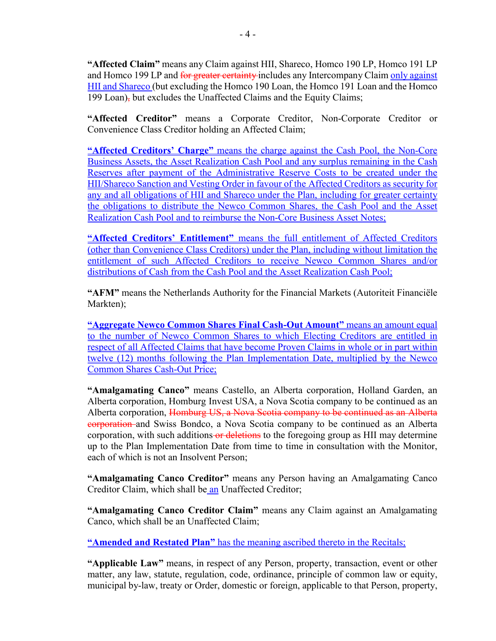**"Affected Claim"** means any Claim against HII, Shareco, Homco 190 LP, Homco 191 LP and Homco 199 LP and for greater certainty-includes any Intercompany Claim only against HII and Shareco (but excluding the Homco 190 Loan, the Homco 191 Loan and the Homco 199 Loan), but excludes the Unaffected Claims and the Equity Claims;

**"Affected Creditor"** means a Corporate Creditor, Non-Corporate Creditor or Convenience Class Creditor holding an Affected Claim;

**"Affected Creditors' Charge"** means the charge against the Cash Pool, the Non-Core Business Assets, the Asset Realization Cash Pool and any surplus remaining in the Cash Reserves after payment of the Administrative Reserve Costs to be created under the HII/Shareco Sanction and Vesting Order in favour of the Affected Creditors as security for any and all obligations of HII and Shareco under the Plan, including for greater certainty the obligations to distribute the Newco Common Shares, the Cash Pool and the Asset Realization Cash Pool and to reimburse the Non-Core Business Asset Notes;

**"Affected Creditors' Entitlement"** means the full entitlement of Affected Creditors (other than Convenience Class Creditors) under the Plan, including without limitation the entitlement of such Affected Creditors to receive Newco Common Shares and/or distributions of Cash from the Cash Pool and the Asset Realization Cash Pool;

**"AFM"** means the Netherlands Authority for the Financial Markets (Autoriteit Financiële Markten);

**"Aggregate Newco Common Shares Final Cash-Out Amount"** means an amount equal to the number of Newco Common Shares to which Electing Creditors are entitled in respect of all Affected Claims that have become Proven Claims in whole or in part within twelve (12) months following the Plan Implementation Date, multiplied by the Newco Common Shares Cash-Out Price;

**"Amalgamating Canco"** means Castello, an Alberta corporation, Holland Garden, an Alberta corporation, Homburg Invest USA, a Nova Scotia company to be continued as an Alberta corporation, Homburg US, a Nova Scotia company to be continued as an Alberta corporation and Swiss Bondco, a Nova Scotia company to be continued as an Alberta corporation, with such additions or deletions to the foregoing group as HII may determine up to the Plan Implementation Date from time to time in consultation with the Monitor, each of which is not an Insolvent Person;

**"Amalgamating Canco Creditor"** means any Person having an Amalgamating Canco Creditor Claim, which shall be an Unaffected Creditor;

**"Amalgamating Canco Creditor Claim"** means any Claim against an Amalgamating Canco, which shall be an Unaffected Claim;

**"Amended and Restated Plan"** has the meaning ascribed thereto in the Recitals;

**"Applicable Law"** means, in respect of any Person, property, transaction, event or other matter, any law, statute, regulation, code, ordinance, principle of common law or equity, municipal by-law, treaty or Order, domestic or foreign, applicable to that Person, property,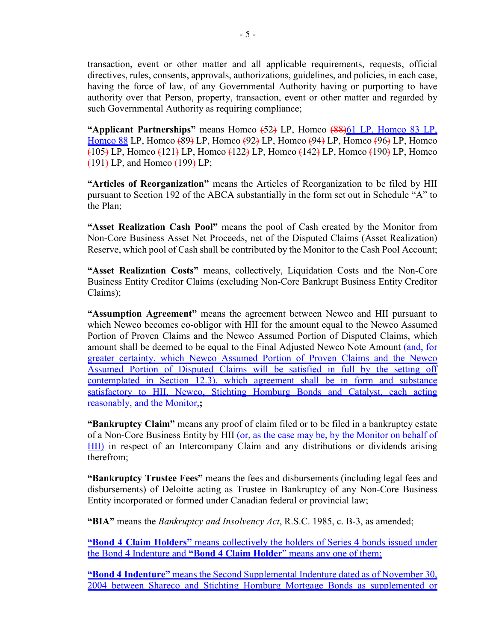transaction, event or other matter and all applicable requirements, requests, official directives, rules, consents, approvals, authorizations, guidelines, and policies, in each case, having the force of law, of any Governmental Authority having or purporting to have authority over that Person, property, transaction, event or other matter and regarded by such Governmental Authority as requiring compliance;

**"Applicant Partnerships"** means Homco (52) LP, Homco (88)61 LP, Homco 83 LP, Homco 88 LP, Homco (89) LP, Homco (92) LP, Homco (94) LP, Homco (96) LP, Homco  $(105)$  LP, Homco  $(121)$  LP, Homco  $(122)$  LP, Homco  $(142)$  LP, Homco  $(190)$  LP, Homco  $(191)$  LP, and Homco  $(199)$  LP;

**"Articles of Reorganization"** means the Articles of Reorganization to be filed by HII pursuant to Section 192 of the ABCA substantially in the form set out in Schedule "A" to the Plan;

**"Asset Realization Cash Pool"** means the pool of Cash created by the Monitor from Non-Core Business Asset Net Proceeds, net of the Disputed Claims (Asset Realization) Reserve, which pool of Cash shall be contributed by the Monitor to the Cash Pool Account;

**"Asset Realization Costs"** means, collectively, Liquidation Costs and the Non-Core Business Entity Creditor Claims (excluding Non-Core Bankrupt Business Entity Creditor Claims);

**"Assumption Agreement"** means the agreement between Newco and HII pursuant to which Newco becomes co-obligor with HII for the amount equal to the Newco Assumed Portion of Proven Claims and the Newco Assumed Portion of Disputed Claims, which amount shall be deemed to be equal to the Final Adjusted Newco Note Amount (and, for greater certainty, which Newco Assumed Portion of Proven Claims and the Newco Assumed Portion of Disputed Claims will be satisfied in full by the setting off contemplated in Section 12.3), which agreement shall be in form and substance satisfactory to HII, Newco, Stichting Homburg Bonds and Catalyst, each acting reasonably, and the Monitor,**;**

**"Bankruptcy Claim"** means any proof of claim filed or to be filed in a bankruptcy estate of a Non-Core Business Entity by HII (or, as the case may be, by the Monitor on behalf of HII) in respect of an Intercompany Claim and any distributions or dividends arising therefrom;

**"Bankruptcy Trustee Fees"** means the fees and disbursements (including legal fees and disbursements) of Deloitte acting as Trustee in Bankruptcy of any Non-Core Business Entity incorporated or formed under Canadian federal or provincial law;

**"BIA"** means the *Bankruptcy and Insolvency Act*, R.S.C. 1985, c. B-3, as amended;

**"Bond 4 Claim Holders"** means collectively the holders of Series 4 bonds issued under the Bond 4 Indenture and **"Bond 4 Claim Holder**" means any one of them;

**"Bond 4 Indenture"** means the Second Supplemental Indenture dated as of November 30, 2004 between Shareco and Stichting Homburg Mortgage Bonds as supplemented or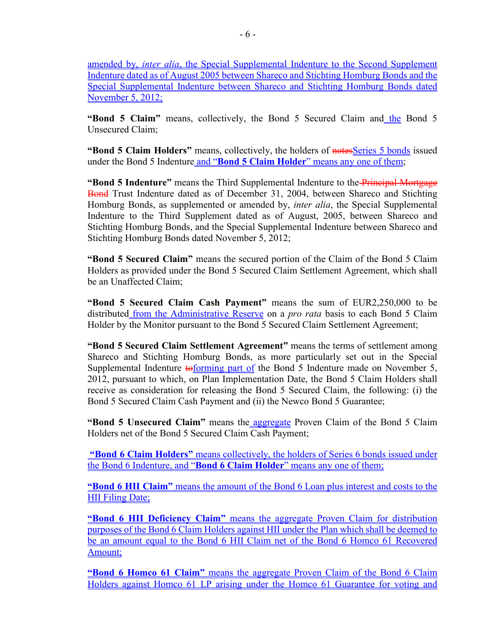amended by, *inter alia*, the Special Supplemental Indenture to the Second Supplement Indenture dated as of August 2005 between Shareco and Stichting Homburg Bonds and the Special Supplemental Indenture between Shareco and Stichting Homburg Bonds dated November 5, 2012;

**"Bond 5 Claim"** means, collectively, the Bond 5 Secured Claim and the Bond 5 Unsecured Claim;

**"Bond 5 Claim Holders"** means, collectively, the holders of notes Series 5 bonds issued under the Bond 5 Indenture and "**Bond 5 Claim Holder**" means any one of them;

**"Bond 5 Indenture"** means the Third Supplemental Indenture to the Principal Mortgage Bond Trust Indenture dated as of December 31, 2004, between Shareco and Stichting Homburg Bonds, as supplemented or amended by, *inter alia*, the Special Supplemental Indenture to the Third Supplement dated as of August, 2005, between Shareco and Stichting Homburg Bonds, and the Special Supplemental Indenture between Shareco and Stichting Homburg Bonds dated November 5, 2012;

**"Bond 5 Secured Claim"** means the secured portion of the Claim of the Bond 5 Claim Holders as provided under the Bond 5 Secured Claim Settlement Agreement, which shall be an Unaffected Claim;

**"Bond 5 Secured Claim Cash Payment"** means the sum of EUR2,250,000 to be distributed from the Administrative Reserve on a *pro rata* basis to each Bond 5 Claim Holder by the Monitor pursuant to the Bond 5 Secured Claim Settlement Agreement;

**"Bond 5 Secured Claim Settlement Agreement"** means the terms of settlement among Shareco and Stichting Homburg Bonds, as more particularly set out in the Special Supplemental Indenture  $\frac{1}{10}$  to  $\frac{1}{10}$  and  $\frac{1}{10}$  files Bond 5 Indenture made on November 5, 2012, pursuant to which, on Plan Implementation Date, the Bond 5 Claim Holders shall receive as consideration for releasing the Bond 5 Secured Claim, the following: (i) the Bond 5 Secured Claim Cash Payment and (ii) the Newco Bond 5 Guarantee;

**"Bond 5 Unsecured Claim"** means the aggregate Proven Claim of the Bond 5 Claim Holders net of the Bond 5 Secured Claim Cash Payment;

**"Bond 6 Claim Holders"** means collectively, the holders of Series 6 bonds issued under the Bond 6 Indenture, and "**Bond 6 Claim Holder**" means any one of them;

**"Bond 6 HII Claim"** means the amount of the Bond 6 Loan plus interest and costs to the HII Filing Date;

**"Bond 6 HII Deficiency Claim"** means the aggregate Proven Claim for distribution purposes of the Bond 6 Claim Holders against HII under the Plan which shall be deemed to be an amount equal to the Bond 6 HII Claim net of the Bond 6 Homco 61 Recovered Amount;

**"Bond 6 Homco 61 Claim"** means the aggregate Proven Claim of the Bond 6 Claim Holders against Homco 61 LP arising under the Homco 61 Guarantee for voting and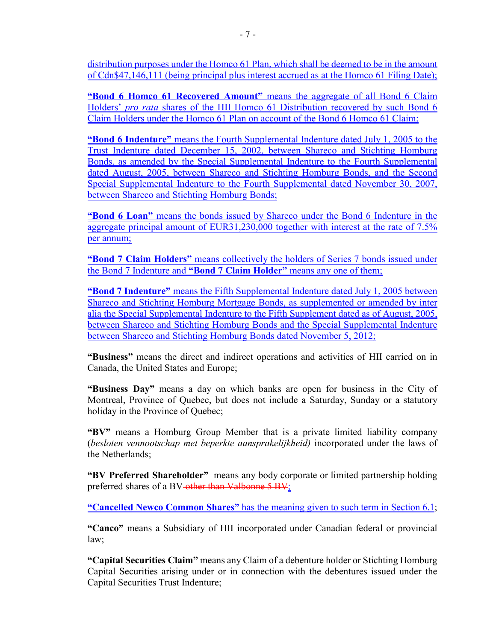distribution purposes under the Homco 61 Plan, which shall be deemed to be in the amount of Cdn\$47,146,111 (being principal plus interest accrued as at the Homco 61 Filing Date);

**"Bond 6 Homco 61 Recovered Amount"** means the aggregate of all Bond 6 Claim Holders' *pro rata* shares of the HII Homco 61 Distribution recovered by such Bond 6 Claim Holders under the Homco 61 Plan on account of the Bond 6 Homco 61 Claim;

**"Bond 6 Indenture"** means the Fourth Supplemental Indenture dated July 1, 2005 to the Trust Indenture dated December 15, 2002, between Shareco and Stichting Homburg Bonds, as amended by the Special Supplemental Indenture to the Fourth Supplemental dated August, 2005, between Shareco and Stichting Homburg Bonds, and the Second Special Supplemental Indenture to the Fourth Supplemental dated November 30, 2007, between Shareco and Stichting Homburg Bonds;

**"Bond 6 Loan"** means the bonds issued by Shareco under the Bond 6 Indenture in the aggregate principal amount of EUR31,230,000 together with interest at the rate of 7.5% per annum;

**"Bond 7 Claim Holders"** means collectively the holders of Series 7 bonds issued under the Bond 7 Indenture and **"Bond 7 Claim Holder"** means any one of them;

**"Bond 7 Indenture"** means the Fifth Supplemental Indenture dated July 1, 2005 between Shareco and Stichting Homburg Mortgage Bonds, as supplemented or amended by inter alia the Special Supplemental Indenture to the Fifth Supplement dated as of August, 2005, between Shareco and Stichting Homburg Bonds and the Special Supplemental Indenture between Shareco and Stichting Homburg Bonds dated November 5, 2012;

**"Business"** means the direct and indirect operations and activities of HII carried on in Canada, the United States and Europe;

**"Business Day"** means a day on which banks are open for business in the City of Montreal, Province of Quebec, but does not include a Saturday, Sunday or a statutory holiday in the Province of Quebec;

**"BV"** means a Homburg Group Member that is a private limited liability company (*besloten vennootschap met beperkte aansprakelijkheid)* incorporated under the laws of the Netherlands;

**"BV Preferred Shareholder"** means any body corporate or limited partnership holding preferred shares of a BV-other than Valbonne 5 BV;

**"Cancelled Newco Common Shares"** has the meaning given to such term in Section 6.1;

**"Canco"** means a Subsidiary of HII incorporated under Canadian federal or provincial law;

**"Capital Securities Claim"** means any Claim of a debenture holder or Stichting Homburg Capital Securities arising under or in connection with the debentures issued under the Capital Securities Trust Indenture;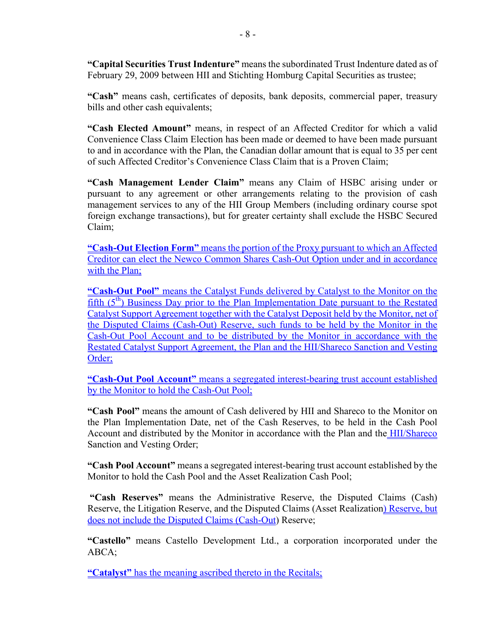**"Capital Securities Trust Indenture"** means the subordinated Trust Indenture dated as of February 29, 2009 between HII and Stichting Homburg Capital Securities as trustee;

**"Cash"** means cash, certificates of deposits, bank deposits, commercial paper, treasury bills and other cash equivalents;

**"Cash Elected Amount"** means, in respect of an Affected Creditor for which a valid Convenience Class Claim Election has been made or deemed to have been made pursuant to and in accordance with the Plan, the Canadian dollar amount that is equal to 35 per cent of such Affected Creditor's Convenience Class Claim that is a Proven Claim;

**"Cash Management Lender Claim"** means any Claim of HSBC arising under or pursuant to any agreement or other arrangements relating to the provision of cash management services to any of the HII Group Members (including ordinary course spot foreign exchange transactions), but for greater certainty shall exclude the HSBC Secured Claim;

**"Cash-Out Election Form"** means the portion of the Proxy pursuant to which an Affected Creditor can elect the Newco Common Shares Cash-Out Option under and in accordance with the Plan;

**"Cash-Out Pool"** means the Catalyst Funds delivered by Catalyst to the Monitor on the fifth  $(5<sup>th</sup>)$  Business Day prior to the Plan Implementation Date pursuant to the Restated Catalyst Support Agreement together with the Catalyst Deposit held by the Monitor, net of the Disputed Claims (Cash-Out) Reserve, such funds to be held by the Monitor in the Cash-Out Pool Account and to be distributed by the Monitor in accordance with the Restated Catalyst Support Agreement, the Plan and the HII/Shareco Sanction and Vesting Order;

**"Cash-Out Pool Account"** means a segregated interest-bearing trust account established by the Monitor to hold the Cash-Out Pool;

**"Cash Pool"** means the amount of Cash delivered by HII and Shareco to the Monitor on the Plan Implementation Date, net of the Cash Reserves, to be held in the Cash Pool Account and distributed by the Monitor in accordance with the Plan and the HII/Shareco Sanction and Vesting Order;

**"Cash Pool Account"** means a segregated interest-bearing trust account established by the Monitor to hold the Cash Pool and the Asset Realization Cash Pool;

**"Cash Reserves"** means the Administrative Reserve, the Disputed Claims (Cash) Reserve, the Litigation Reserve, and the Disputed Claims (Asset Realization) Reserve, but does not include the Disputed Claims (Cash-Out) Reserve;

**"Castello"** means Castello Development Ltd., a corporation incorporated under the ABCA;

**"Catalyst"** has the meaning ascribed thereto in the Recitals;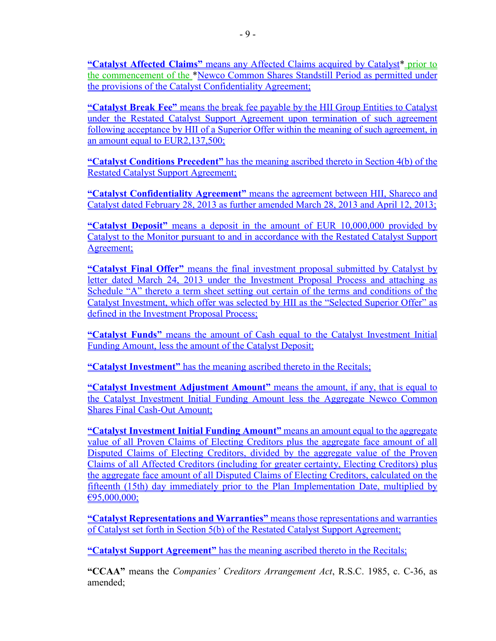**"Catalyst Affected Claims"** means any Affected Claims acquired by Catalyst\* prior to the commencement of the \*Newco Common Shares Standstill Period as permitted under the provisions of the Catalyst Confidentiality Agreement;

**"Catalyst Break Fee"** means the break fee payable by the HII Group Entities to Catalyst under the Restated Catalyst Support Agreement upon termination of such agreement following acceptance by HII of a Superior Offer within the meaning of such agreement, in an amount equal to EUR2,137,500;

**"Catalyst Conditions Precedent"** has the meaning ascribed thereto in Section 4(b) of the Restated Catalyst Support Agreement;

**"Catalyst Confidentiality Agreement"** means the agreement between HII, Shareco and Catalyst dated February 28, 2013 as further amended March 28, 2013 and April 12, 2013;

**"Catalyst Deposit"** means a deposit in the amount of EUR 10,000,000 provided by Catalyst to the Monitor pursuant to and in accordance with the Restated Catalyst Support Agreement;

**"Catalyst Final Offer"** means the final investment proposal submitted by Catalyst by letter dated March 24, 2013 under the Investment Proposal Process and attaching as Schedule "A" thereto a term sheet setting out certain of the terms and conditions of the Catalyst Investment, which offer was selected by HII as the "Selected Superior Offer" as defined in the Investment Proposal Process;

**"Catalyst Funds"** means the amount of Cash equal to the Catalyst Investment Initial Funding Amount, less the amount of the Catalyst Deposit;

**"Catalyst Investment"** has the meaning ascribed thereto in the Recitals;

**"Catalyst Investment Adjustment Amount"** means the amount, if any, that is equal to the Catalyst Investment Initial Funding Amount less the Aggregate Newco Common Shares Final Cash-Out Amount;

**"Catalyst Investment Initial Funding Amount"** means an amount equal to the aggregate value of all Proven Claims of Electing Creditors plus the aggregate face amount of all Disputed Claims of Electing Creditors, divided by the aggregate value of the Proven Claims of all Affected Creditors (including for greater certainty, Electing Creditors) plus the aggregate face amount of all Disputed Claims of Electing Creditors, calculated on the fifteenth (15th) day immediately prior to the Plan Implementation Date, multiplied by €95,000,000;

**"Catalyst Representations and Warranties"** means those representations and warranties of Catalyst set forth in Section 5(b) of the Restated Catalyst Support Agreement;

**"Catalyst Support Agreement"** has the meaning ascribed thereto in the Recitals;

**"CCAA"** means the *Companies' Creditors Arrangement Act*, R.S.C. 1985, c. C-36, as amended;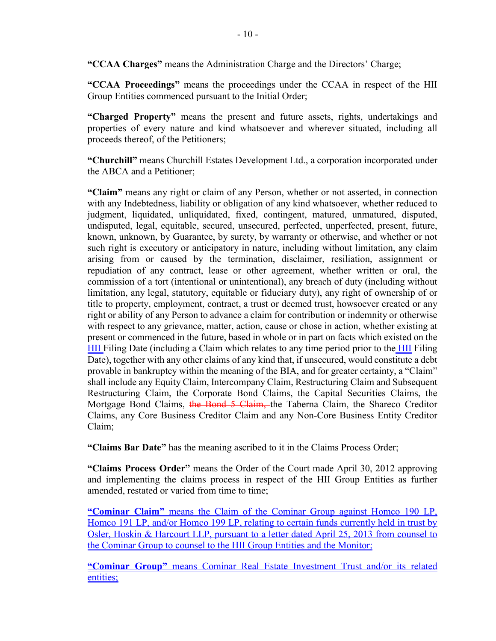**"CCAA Charges"** means the Administration Charge and the Directors' Charge;

**"CCAA Proceedings"** means the proceedings under the CCAA in respect of the HII Group Entities commenced pursuant to the Initial Order;

**"Charged Property"** means the present and future assets, rights, undertakings and properties of every nature and kind whatsoever and wherever situated, including all proceeds thereof, of the Petitioners;

**"Churchill"** means Churchill Estates Development Ltd., a corporation incorporated under the ABCA and a Petitioner;

**"Claim"** means any right or claim of any Person, whether or not asserted, in connection with any Indebtedness, liability or obligation of any kind whatsoever, whether reduced to judgment, liquidated, unliquidated, fixed, contingent, matured, unmatured, disputed, undisputed, legal, equitable, secured, unsecured, perfected, unperfected, present, future, known, unknown, by Guarantee, by surety, by warranty or otherwise, and whether or not such right is executory or anticipatory in nature, including without limitation, any claim arising from or caused by the termination, disclaimer, resiliation, assignment or repudiation of any contract, lease or other agreement, whether written or oral, the commission of a tort (intentional or unintentional), any breach of duty (including without limitation, any legal, statutory, equitable or fiduciary duty), any right of ownership of or title to property, employment, contract, a trust or deemed trust, howsoever created or any right or ability of any Person to advance a claim for contribution or indemnity or otherwise with respect to any grievance, matter, action, cause or chose in action, whether existing at present or commenced in the future, based in whole or in part on facts which existed on the HII Filing Date (including a Claim which relates to any time period prior to the HII Filing Date), together with any other claims of any kind that, if unsecured, would constitute a debt provable in bankruptcy within the meaning of the BIA, and for greater certainty, a "Claim" shall include any Equity Claim, Intercompany Claim, Restructuring Claim and Subsequent Restructuring Claim, the Corporate Bond Claims, the Capital Securities Claims, the Mortgage Bond Claims, the Bond 5 Claim, the Taberna Claim, the Shareco Creditor Claims, any Core Business Creditor Claim and any Non-Core Business Entity Creditor Claim;

**"Claims Bar Date"** has the meaning ascribed to it in the Claims Process Order;

**"Claims Process Order"** means the Order of the Court made April 30, 2012 approving and implementing the claims process in respect of the HII Group Entities as further amended, restated or varied from time to time;

**"Cominar Claim"** means the Claim of the Cominar Group against Homco 190 LP, Homco 191 LP, and/or Homco 199 LP, relating to certain funds currently held in trust by Osler, Hoskin & Harcourt LLP, pursuant to a letter dated April 25, 2013 from counsel to the Cominar Group to counsel to the HII Group Entities and the Monitor;

**"Cominar Group"** means Cominar Real Estate Investment Trust and/or its related entities;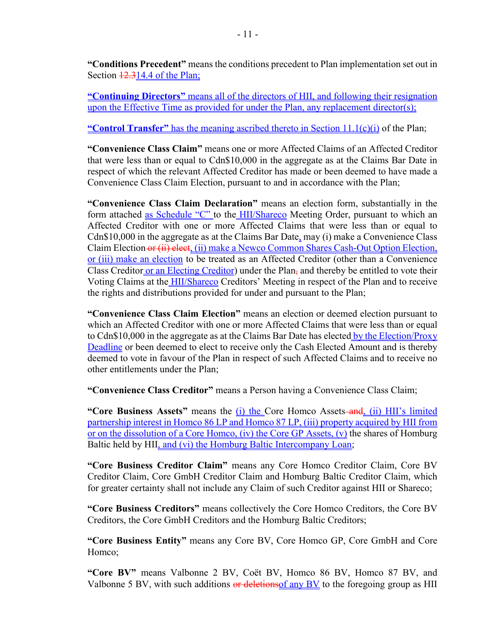**"Conditions Precedent"** means the conditions precedent to Plan implementation set out in Section  $\frac{12.314.4}{2}$  of the Plan;

**"Continuing Directors"** means all of the directors of HII, and following their resignation upon the Effective Time as provided for under the Plan, any replacement director(s);

**"Control Transfer"** has the meaning ascribed thereto in Section 11.1(c)(i) of the Plan;

**"Convenience Class Claim"** means one or more Affected Claims of an Affected Creditor that were less than or equal to Cdn\$10,000 in the aggregate as at the Claims Bar Date in respect of which the relevant Affected Creditor has made or been deemed to have made a Convenience Class Claim Election, pursuant to and in accordance with the Plan;

**"Convenience Class Claim Declaration"** means an election form, substantially in the form attached as Schedule "C" to the HII/Shareco Meeting Order, pursuant to which an Affected Creditor with one or more Affected Claims that were less than or equal to Cdn\$10,000 in the aggregate as at the Claims Bar Date, may (i) make a Convenience Class Claim Election or (ii) elect, (ii) make a Newco Common Shares Cash-Out Option Election, or (iii) make an election to be treated as an Affected Creditor (other than a Convenience Class Creditor or an Electing Creditor) under the Plan, and thereby be entitled to vote their Voting Claims at the HII/Shareco Creditors' Meeting in respect of the Plan and to receive the rights and distributions provided for under and pursuant to the Plan;

**"Convenience Class Claim Election"** means an election or deemed election pursuant to which an Affected Creditor with one or more Affected Claims that were less than or equal to Cdn\$10,000 in the aggregate as at the Claims Bar Date has elected by the Election/Proxy Deadline or been deemed to elect to receive only the Cash Elected Amount and is thereby deemed to vote in favour of the Plan in respect of such Affected Claims and to receive no other entitlements under the Plan;

**"Convenience Class Creditor"** means a Person having a Convenience Class Claim;

**"Core Business Assets"** means the (i) the Core Homco Assets-and, (ii) HII's limited partnership interest in Homco 86 LP and Homco 87 LP, (iii) property acquired by HII from or on the dissolution of a Core Homco, (iv) the Core GP Assets, (v) the shares of Homburg Baltic held by HII, and (vi) the Homburg Baltic Intercompany Loan;

**"Core Business Creditor Claim"** means any Core Homco Creditor Claim, Core BV Creditor Claim, Core GmbH Creditor Claim and Homburg Baltic Creditor Claim, which for greater certainty shall not include any Claim of such Creditor against HII or Shareco;

**"Core Business Creditors"** means collectively the Core Homco Creditors, the Core BV Creditors, the Core GmbH Creditors and the Homburg Baltic Creditors;

**"Core Business Entity"** means any Core BV, Core Homco GP, Core GmbH and Core Homco;

**"Core BV"** means Valbonne 2 BV, Coët BV, Homco 86 BV, Homco 87 BV, and Valbonne 5 BV, with such additions or deletions of any BV to the foregoing group as HII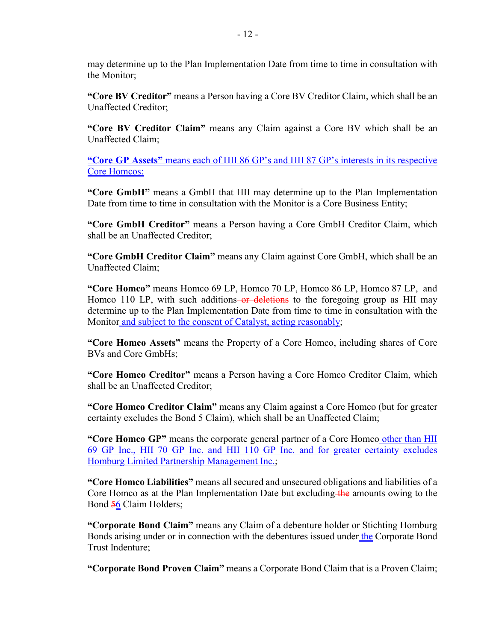may determine up to the Plan Implementation Date from time to time in consultation with the Monitor;

**"Core BV Creditor"** means a Person having a Core BV Creditor Claim, which shall be an Unaffected Creditor;

**"Core BV Creditor Claim"** means any Claim against a Core BV which shall be an Unaffected Claim;

**"Core GP Assets"** means each of HII 86 GP's and HII 87 GP's interests in its respective Core Homcos;

**"Core GmbH"** means a GmbH that HII may determine up to the Plan Implementation Date from time to time in consultation with the Monitor is a Core Business Entity;

**"Core GmbH Creditor"** means a Person having a Core GmbH Creditor Claim, which shall be an Unaffected Creditor;

**"Core GmbH Creditor Claim"** means any Claim against Core GmbH, which shall be an Unaffected Claim;

**"Core Homco"** means Homco 69 LP, Homco 70 LP, Homco 86 LP, Homco 87 LP, and Homco 110 LP, with such additions-or deletions to the foregoing group as HII may determine up to the Plan Implementation Date from time to time in consultation with the Monitor and subject to the consent of Catalyst, acting reasonably;

**"Core Homco Assets"** means the Property of a Core Homco, including shares of Core BVs and Core GmbHs;

**"Core Homco Creditor"** means a Person having a Core Homco Creditor Claim, which shall be an Unaffected Creditor;

**"Core Homco Creditor Claim"** means any Claim against a Core Homco (but for greater certainty excludes the Bond 5 Claim), which shall be an Unaffected Claim;

**"Core Homco GP"** means the corporate general partner of a Core Homco other than HII 69 GP Inc., HII 70 GP Inc. and HII 110 GP Inc. and for greater certainty excludes Homburg Limited Partnership Management Inc.;

**"Core Homco Liabilities"** means all secured and unsecured obligations and liabilities of a Core Homco as at the Plan Implementation Date but excluding the amounts owing to the Bond 56 Claim Holders;

**"Corporate Bond Claim"** means any Claim of a debenture holder or Stichting Homburg Bonds arising under or in connection with the debentures issued under the Corporate Bond Trust Indenture;

**"Corporate Bond Proven Claim"** means a Corporate Bond Claim that is a Proven Claim;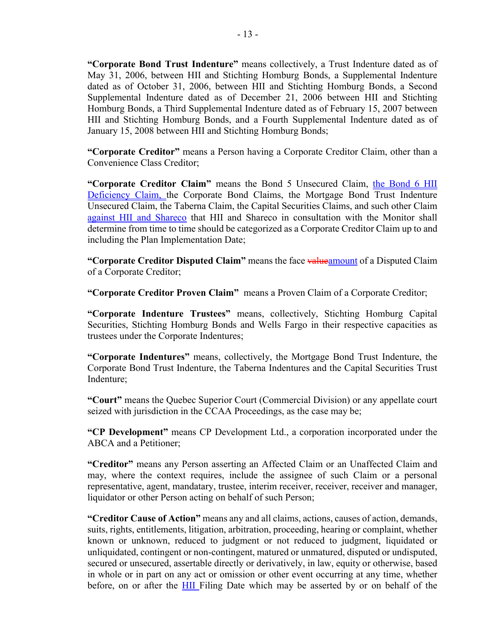**"Corporate Bond Trust Indenture"** means collectively, a Trust Indenture dated as of May 31, 2006, between HII and Stichting Homburg Bonds, a Supplemental Indenture dated as of October 31, 2006, between HII and Stichting Homburg Bonds, a Second Supplemental Indenture dated as of December 21, 2006 between HII and Stichting Homburg Bonds, a Third Supplemental Indenture dated as of February 15, 2007 between HII and Stichting Homburg Bonds, and a Fourth Supplemental Indenture dated as of January 15, 2008 between HII and Stichting Homburg Bonds;

**"Corporate Creditor"** means a Person having a Corporate Creditor Claim, other than a Convenience Class Creditor;

**"Corporate Creditor Claim"** means the Bond 5 Unsecured Claim, the Bond 6 HII Deficiency Claim, the Corporate Bond Claims, the Mortgage Bond Trust Indenture Unsecured Claim, the Taberna Claim, the Capital Securities Claims, and such other Claim against HII and Shareco that HII and Shareco in consultation with the Monitor shall determine from time to time should be categorized as a Corporate Creditor Claim up to and including the Plan Implementation Date;

**"Corporate Creditor Disputed Claim"** means the face valueamount of a Disputed Claim of a Corporate Creditor;

**"Corporate Creditor Proven Claim"** means a Proven Claim of a Corporate Creditor;

**"Corporate Indenture Trustees"** means, collectively, Stichting Homburg Capital Securities, Stichting Homburg Bonds and Wells Fargo in their respective capacities as trustees under the Corporate Indentures;

**"Corporate Indentures"** means, collectively, the Mortgage Bond Trust Indenture, the Corporate Bond Trust Indenture, the Taberna Indentures and the Capital Securities Trust Indenture;

**"Court"** means the Quebec Superior Court (Commercial Division) or any appellate court seized with jurisdiction in the CCAA Proceedings, as the case may be;

**"CP Development"** means CP Development Ltd., a corporation incorporated under the ABCA and a Petitioner;

**"Creditor"** means any Person asserting an Affected Claim or an Unaffected Claim and may, where the context requires, include the assignee of such Claim or a personal representative, agent, mandatary, trustee, interim receiver, receiver, receiver and manager, liquidator or other Person acting on behalf of such Person;

**"Creditor Cause of Action"** means any and all claims, actions, causes of action, demands, suits, rights, entitlements, litigation, arbitration, proceeding, hearing or complaint, whether known or unknown, reduced to judgment or not reduced to judgment, liquidated or unliquidated, contingent or non-contingent, matured or unmatured, disputed or undisputed, secured or unsecured, assertable directly or derivatively, in law, equity or otherwise, based in whole or in part on any act or omission or other event occurring at any time, whether before, on or after the HII Filing Date which may be asserted by or on behalf of the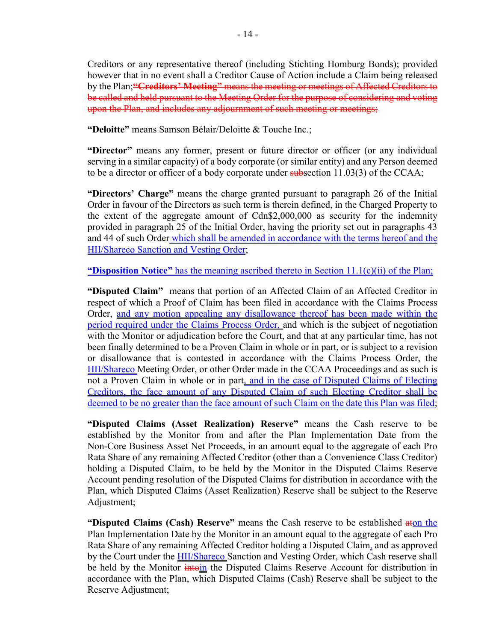Creditors or any representative thereof (including Stichting Homburg Bonds); provided however that in no event shall a Creditor Cause of Action include a Claim being released by the Plan;**"Creditors' Meeting"** means the meeting or meetings of Affected Creditors to be called and held pursuant to the Meeting Order for the purpose of considering and voting upon the Plan, and includes any adjournment of such meeting or meetings;

**"Deloitte"** means Samson Bélair/Deloitte & Touche Inc.;

**"Director"** means any former, present or future director or officer (or any individual serving in a similar capacity) of a body corporate (or similar entity) and any Person deemed to be a director or officer of a body corporate under subsection  $11.03(3)$  of the CCAA;

**"Directors' Charge"** means the charge granted pursuant to paragraph 26 of the Initial Order in favour of the Directors as such term is therein defined, in the Charged Property to the extent of the aggregate amount of Cdn\$2,000,000 as security for the indemnity provided in paragraph 25 of the Initial Order, having the priority set out in paragraphs 43 and 44 of such Order which shall be amended in accordance with the terms hereof and the HII/Shareco Sanction and Vesting Order;

**"Disposition Notice"** has the meaning ascribed thereto in Section 11.1(c)(ii) of the Plan;

**"Disputed Claim"** means that portion of an Affected Claim of an Affected Creditor in respect of which a Proof of Claim has been filed in accordance with the Claims Process Order, and any motion appealing any disallowance thereof has been made within the period required under the Claims Process Order, and which is the subject of negotiation with the Monitor or adjudication before the Court, and that at any particular time, has not been finally determined to be a Proven Claim in whole or in part, or is subject to a revision or disallowance that is contested in accordance with the Claims Process Order, the HII/Shareco Meeting Order, or other Order made in the CCAA Proceedings and as such is not a Proven Claim in whole or in part, and in the case of Disputed Claims of Electing Creditors, the face amount of any Disputed Claim of such Electing Creditor shall be deemed to be no greater than the face amount of such Claim on the date this Plan was filed;

**"Disputed Claims (Asset Realization) Reserve"** means the Cash reserve to be established by the Monitor from and after the Plan Implementation Date from the Non-Core Business Asset Net Proceeds, in an amount equal to the aggregate of each Pro Rata Share of any remaining Affected Creditor (other than a Convenience Class Creditor) holding a Disputed Claim, to be held by the Monitor in the Disputed Claims Reserve Account pending resolution of the Disputed Claims for distribution in accordance with the Plan, which Disputed Claims (Asset Realization) Reserve shall be subject to the Reserve Adjustment;

**"Disputed Claims (Cash) Reserve"** means the Cash reserve to be established aton the Plan Implementation Date by the Monitor in an amount equal to the aggregate of each Pro Rata Share of any remaining Affected Creditor holding a Disputed Claim, and as approved by the Court under the **HII/Shareco** Sanction and Vesting Order, which Cash reserve shall be held by the Monitor *intoin* the Disputed Claims Reserve Account for distribution in accordance with the Plan, which Disputed Claims (Cash) Reserve shall be subject to the Reserve Adjustment;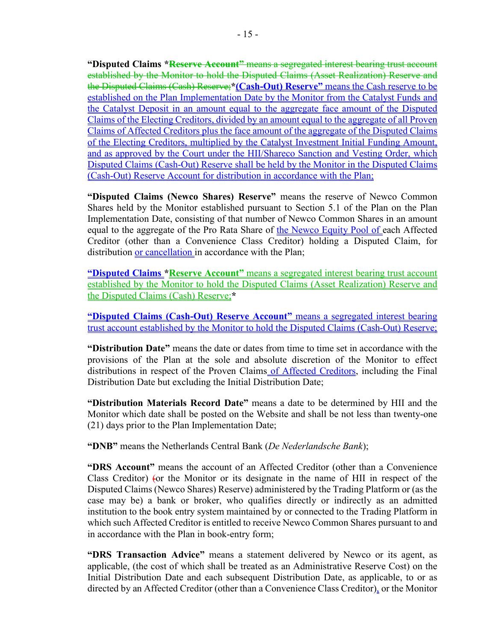**"Disputed Claims \*Reserve Account"** means a segregated interest bearing trust account established by the Monitor to hold the Disputed Claims (Asset Realization) Reserve and the Disputed Claims (Cash) Reserve;**\*(Cash-Out) Reserve"** means the Cash reserve to be established on the Plan Implementation Date by the Monitor from the Catalyst Funds and the Catalyst Deposit in an amount equal to the aggregate face amount of the Disputed Claims of the Electing Creditors, divided by an amount equal to the aggregate of all Proven Claims of Affected Creditors plus the face amount of the aggregate of the Disputed Claims of the Electing Creditors, multiplied by the Catalyst Investment Initial Funding Amount, and as approved by the Court under the HII/Shareco Sanction and Vesting Order, which Disputed Claims (Cash-Out) Reserve shall be held by the Monitor in the Disputed Claims (Cash-Out) Reserve Account for distribution in accordance with the Plan;

**"Disputed Claims (Newco Shares) Reserve"** means the reserve of Newco Common Shares held by the Monitor established pursuant to Section 5.1 of the Plan on the Plan Implementation Date, consisting of that number of Newco Common Shares in an amount equal to the aggregate of the Pro Rata Share of the Newco Equity Pool of each Affected Creditor (other than a Convenience Class Creditor) holding a Disputed Claim, for distribution or cancellation in accordance with the Plan;

**"Disputed Claims \*Reserve Account"** means a segregated interest bearing trust account established by the Monitor to hold the Disputed Claims (Asset Realization) Reserve and the Disputed Claims (Cash) Reserve;**\***

**"Disputed Claims (Cash-Out) Reserve Account"** means a segregated interest bearing trust account established by the Monitor to hold the Disputed Claims (Cash-Out) Reserve;

**"Distribution Date"** means the date or dates from time to time set in accordance with the provisions of the Plan at the sole and absolute discretion of the Monitor to effect distributions in respect of the Proven Claims of Affected Creditors, including the Final Distribution Date but excluding the Initial Distribution Date;

**"Distribution Materials Record Date"** means a date to be determined by HII and the Monitor which date shall be posted on the Website and shall be not less than twenty-one (21) days prior to the Plan Implementation Date;

**"DNB"** means the Netherlands Central Bank (*De Nederlandsche Bank*);

**"DRS Account"** means the account of an Affected Creditor (other than a Convenience Class Creditor) (or the Monitor or its designate in the name of HII in respect of the Disputed Claims (Newco Shares) Reserve) administered by the Trading Platform or (as the case may be) a bank or broker, who qualifies directly or indirectly as an admitted institution to the book entry system maintained by or connected to the Trading Platform in which such Affected Creditor is entitled to receive Newco Common Shares pursuant to and in accordance with the Plan in book-entry form;

**"DRS Transaction Advice"** means a statement delivered by Newco or its agent, as applicable, (the cost of which shall be treated as an Administrative Reserve Cost) on the Initial Distribution Date and each subsequent Distribution Date, as applicable, to or as directed by an Affected Creditor (other than a Convenience Class Creditor), or the Monitor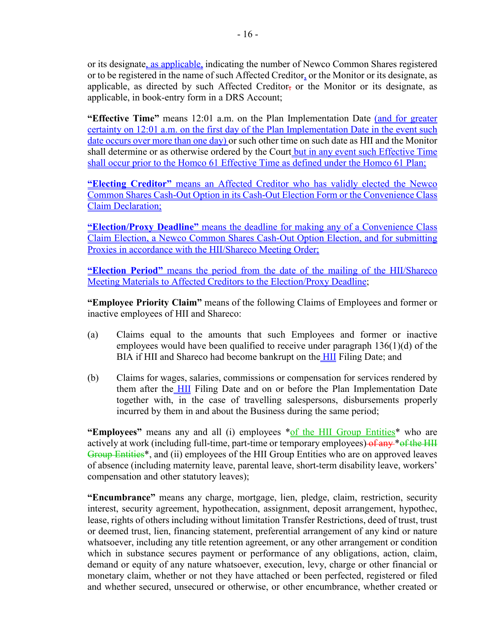or its designate, as applicable, indicating the number of Newco Common Shares registered or to be registered in the name of such Affected Creditor, or the Monitor or its designate, as applicable, as directed by such Affected Creditor, or the Monitor or its designate, as applicable, in book-entry form in a DRS Account;

**"Effective Time"** means 12:01 a.m. on the Plan Implementation Date (and for greater certainty on 12:01 a.m. on the first day of the Plan Implementation Date in the event such date occurs over more than one day) or such other time on such date as HII and the Monitor shall determine or as otherwise ordered by the Court but in any event such Effective Time shall occur prior to the Homco 61 Effective Time as defined under the Homco 61 Plan;

**"Electing Creditor"** means an Affected Creditor who has validly elected the Newco Common Shares Cash-Out Option in its Cash-Out Election Form or the Convenience Class Claim Declaration;

**"Election/Proxy Deadline"** means the deadline for making any of a Convenience Class Claim Election, a Newco Common Shares Cash-Out Option Election, and for submitting Proxies in accordance with the HII/Shareco Meeting Order;

**"Election Period"** means the period from the date of the mailing of the HII/Shareco Meeting Materials to Affected Creditors to the Election/Proxy Deadline;

**"Employee Priority Claim"** means of the following Claims of Employees and former or inactive employees of HII and Shareco:

- (a) Claims equal to the amounts that such Employees and former or inactive employees would have been qualified to receive under paragraph 136(1)(d) of the BIA if HII and Shareco had become bankrupt on the HII Filing Date; and
- (b) Claims for wages, salaries, commissions or compensation for services rendered by them after the HII Filing Date and on or before the Plan Implementation Date together with, in the case of travelling salespersons, disbursements properly incurred by them in and about the Business during the same period;

**"Employees"** means any and all (i) employees \*of the HII Group Entities\* who are actively at work (including full-time, part-time or temporary employees) of any \*of the HII Group Entities\*, and (ii) employees of the HII Group Entities who are on approved leaves of absence (including maternity leave, parental leave, short-term disability leave, workers' compensation and other statutory leaves);

**"Encumbrance"** means any charge, mortgage, lien, pledge, claim, restriction, security interest, security agreement, hypothecation, assignment, deposit arrangement, hypothec, lease, rights of others including without limitation Transfer Restrictions, deed of trust, trust or deemed trust, lien, financing statement, preferential arrangement of any kind or nature whatsoever, including any title retention agreement, or any other arrangement or condition which in substance secures payment or performance of any obligations, action, claim, demand or equity of any nature whatsoever, execution, levy, charge or other financial or monetary claim, whether or not they have attached or been perfected, registered or filed and whether secured, unsecured or otherwise, or other encumbrance, whether created or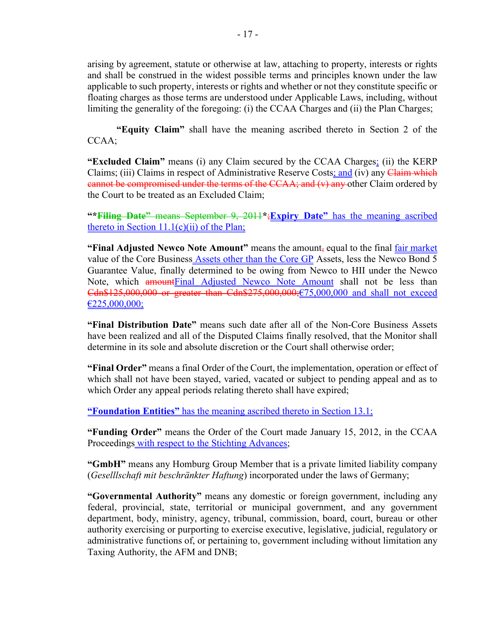arising by agreement, statute or otherwise at law, attaching to property, interests or rights and shall be construed in the widest possible terms and principles known under the law applicable to such property, interests or rights and whether or not they constitute specific or floating charges as those terms are understood under Applicable Laws, including, without limiting the generality of the foregoing: (i) the CCAA Charges and (ii) the Plan Charges;

**"Equity Claim"** shall have the meaning ascribed thereto in Section 2 of the CCAA;

**"Excluded Claim"** means (i) any Claim secured by the CCAA Charges; (ii) the KERP Claims; (iii) Claims in respect of Administrative Reserve Costs; and (iv) any Claim which eannot be compromised under the terms of the CCAA; and (v) any other Claim ordered by the Court to be treated as an Excluded Claim;

**"\*Filing Date"** means September 9, 2011**\***;**Expiry Date"** has the meaning ascribed thereto in Section  $11.1(c)(ii)$  of the Plan;

**"Final Adjusted Newco Note Amount"** means the amount, equal to the final fair market value of the Core Business Assets other than the Core GP Assets, less the Newco Bond 5 Guarantee Value, finally determined to be owing from Newco to HII under the Newco Note, which **amount**Final Adjusted Newco Note Amount shall not be less than Cdn\$125,000,000 or greater than Cdn\$275,000,000;€75,000,000 and shall not exceed  $£225,000,000;$ 

**"Final Distribution Date"** means such date after all of the Non-Core Business Assets have been realized and all of the Disputed Claims finally resolved, that the Monitor shall determine in its sole and absolute discretion or the Court shall otherwise order;

**"Final Order"** means a final Order of the Court, the implementation, operation or effect of which shall not have been stayed, varied, vacated or subject to pending appeal and as to which Order any appeal periods relating thereto shall have expired;

**"Foundation Entities"** has the meaning ascribed thereto in Section 13.1;

**"Funding Order"** means the Order of the Court made January 15, 2012, in the CCAA Proceedings with respect to the Stichting Advances;

**"GmbH"** means any Homburg Group Member that is a private limited liability company (*Geselllschaft mit beschränkter Haftung*) incorporated under the laws of Germany;

**"Governmental Authority"** means any domestic or foreign government, including any federal, provincial, state, territorial or municipal government, and any government department, body, ministry, agency, tribunal, commission, board, court, bureau or other authority exercising or purporting to exercise executive, legislative, judicial, regulatory or administrative functions of, or pertaining to, government including without limitation any Taxing Authority, the AFM and DNB;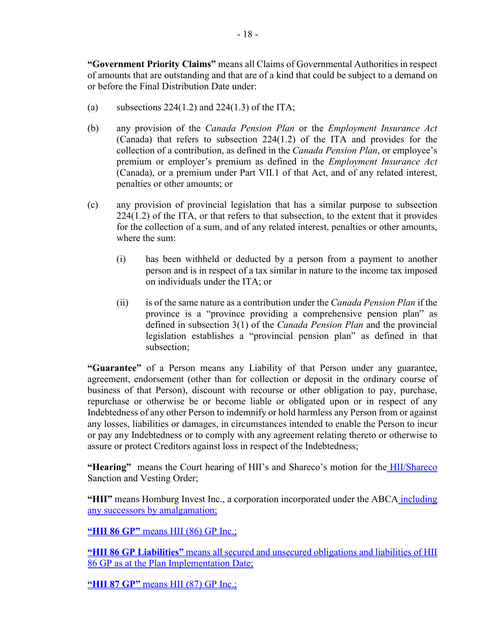**"Government Priority Claims"** means all Claims of Governmental Authorities in respect of amounts that are outstanding and that are of a kind that could be subject to a demand on or before the Final Distribution Date under:

- (a) subsections  $224(1.2)$  and  $224(1.3)$  of the ITA;
- (b) any provision of the *Canada Pension Plan* or the *Employment Insurance Act* (Canada) that refers to subsection 224(1.2) of the ITA and provides for the collection of a contribution, as defined in the *Canada Pension Plan*, or employee's premium or employer's premium as defined in the *Employment Insurance Act*  (Canada), or a premium under Part VII.1 of that Act, and of any related interest, penalties or other amounts; or
- (c) any provision of provincial legislation that has a similar purpose to subsection 224(1.2) of the ITA, or that refers to that subsection, to the extent that it provides for the collection of a sum, and of any related interest, penalties or other amounts, where the sum:
	- (i) has been withheld or deducted by a person from a payment to another person and is in respect of a tax similar in nature to the income tax imposed on individuals under the ITA; or
	- (ii) is of the same nature as a contribution under the *Canada Pension Plan* if the province is a "province providing a comprehensive pension plan" as defined in subsection 3(1) of the *Canada Pension Plan* and the provincial legislation establishes a "provincial pension plan" as defined in that subsection;

**"Guarantee"** of a Person means any Liability of that Person under any guarantee, agreement, endorsement (other than for collection or deposit in the ordinary course of business of that Person), discount with recourse or other obligation to pay, purchase, repurchase or otherwise be or become liable or obligated upon or in respect of any Indebtedness of any other Person to indemnify or hold harmless any Person from or against any losses, liabilities or damages, in circumstances intended to enable the Person to incur or pay any Indebtedness or to comply with any agreement relating thereto or otherwise to assure or protect Creditors against loss in respect of the Indebtedness;

"Hearing" means the Court hearing of HII's and Shareco's motion for the **HII/Shareco** Sanction and Vesting Order;

**"HII"** means Homburg Invest Inc., a corporation incorporated under the ABCA including any successors by amalgamation;

**"HII 86 GP"** means HII (86) GP Inc.;

**"HII 86 GP Liabilities"** means all secured and unsecured obligations and liabilities of HII 86 GP as at the Plan Implementation Date;

**"HII 87 GP"** means HII (87) GP Inc.;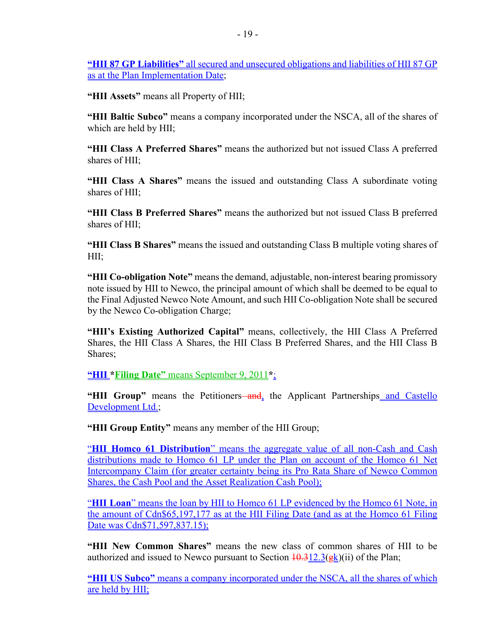**"HII 87 GP Liabilities"** all secured and unsecured obligations and liabilities of HII 87 GP as at the Plan Implementation Date;

**"HII Assets"** means all Property of HII;

**"HII Baltic Subco"** means a company incorporated under the NSCA, all of the shares of which are held by HII;

**"HII Class A Preferred Shares"** means the authorized but not issued Class A preferred shares of HII;

**"HII Class A Shares"** means the issued and outstanding Class A subordinate voting shares of HII;

**"HII Class B Preferred Shares"** means the authorized but not issued Class B preferred shares of HII;

**"HII Class B Shares"** means the issued and outstanding Class B multiple voting shares of HII;

**"HII Co-obligation Note"** means the demand, adjustable, non-interest bearing promissory note issued by HII to Newco, the principal amount of which shall be deemed to be equal to the Final Adjusted Newco Note Amount, and such HII Co-obligation Note shall be secured by the Newco Co-obligation Charge;

**"HII's Existing Authorized Capital"** means, collectively, the HII Class A Preferred Shares, the HII Class A Shares, the HII Class B Preferred Shares, and the HII Class B Shares;

**"HII \*Filing Date"** means September 9, 2011**\***;

"HII Group" means the Petitioners—and, the Applicant Partnerships and Castello Development Ltd.;

**"HII Group Entity"** means any member of the HII Group;

"**HII Homco 61 Distribution**" means the aggregate value of all non-Cash and Cash distributions made to Homco 61 LP under the Plan on account of the Homco 61 Net Intercompany Claim (for greater certainty being its Pro Rata Share of Newco Common Shares, the Cash Pool and the Asset Realization Cash Pool);

"**HII Loan**" means the loan by HII to Homco 61 LP evidenced by the Homco 61 Note, in the amount of Cdn\$65,197,177 as at the HII Filing Date (and as at the Homco 61 Filing Date was Cdn\$71,597,837.15);

**"HII New Common Shares"** means the new class of common shares of HII to be authorized and issued to Newco pursuant to Section  $\frac{10.312.3(\text{gk})(ii)}{i}$  of the Plan;

**"HII US Subco"** means a company incorporated under the NSCA, all the shares of which are held by HII;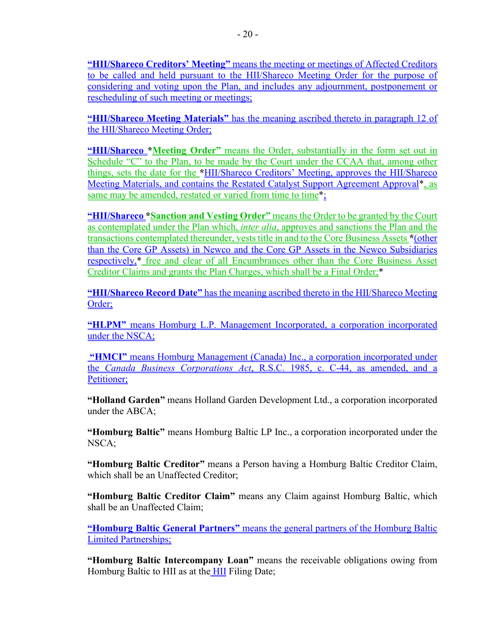**"HII/Shareco Creditors' Meeting"** means the meeting or meetings of Affected Creditors to be called and held pursuant to the HII/Shareco Meeting Order for the purpose of considering and voting upon the Plan, and includes any adjournment, postponement or

**"HII/Shareco Meeting Materials"** has the meaning ascribed thereto in paragraph 12 of the HII/Shareco Meeting Order;

**"HII/Shareco \*Meeting Order"** means the Order, substantially in the form set out in Schedule "C" to the Plan, to be made by the Court under the CCAA that, among other things, sets the date for the **\***HII/Shareco Creditors' Meeting, approves the HII/Shareco Meeting Materials, and contains the Restated Catalyst Support Agreement Approval\*, as same may be amended, restated or varied from time to time\*;

**"HII/Shareco \*Sanction and Vesting Order"** means the Order to be granted by the Court as contemplated under the Plan which, *inter alia*, approves and sanctions the Plan and the transactions contemplated thereunder, vests title in and to the Core Business Assets **\***(other than the Core GP Assets) in Newco and the Core GP Assets in the Newco Subsidiaries respectively,\* free and clear of all Encumbrances other than the Core Business Asset Creditor Claims and grants the Plan Charges, which shall be a Final Order;\*

**"HII/Shareco Record Date"** has the meaning ascribed thereto in the HII/Shareco Meeting Order;

**"HLPM"** means Homburg L.P. Management Incorporated, a corporation incorporated under the NSCA;

**"HMCI"** means Homburg Management (Canada) Inc., a corporation incorporated under the *Canada Business Corporations Act*, R.S.C. 1985, c. C-44, as amended, and a Petitioner;

**"Holland Garden"** means Holland Garden Development Ltd., a corporation incorporated under the ABCA;

**"Homburg Baltic"** means Homburg Baltic LP Inc., a corporation incorporated under the NSCA;

**"Homburg Baltic Creditor"** means a Person having a Homburg Baltic Creditor Claim, which shall be an Unaffected Creditor;

**"Homburg Baltic Creditor Claim"** means any Claim against Homburg Baltic, which shall be an Unaffected Claim;

**"Homburg Baltic General Partners"** means the general partners of the Homburg Baltic Limited Partnerships;

**"Homburg Baltic Intercompany Loan"** means the receivable obligations owing from Homburg Baltic to HII as at the **HII** Filing Date;

rescheduling of such meeting or meetings;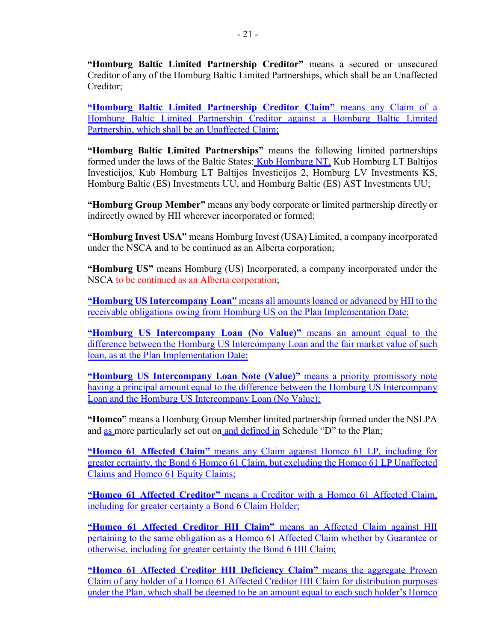**"Homburg Baltic Limited Partnership Creditor"** means a secured or unsecured Creditor of any of the Homburg Baltic Limited Partnerships, which shall be an Unaffected Creditor;

**"Homburg Baltic Limited Partnership Creditor Claim"** means any Claim of a Homburg Baltic Limited Partnership Creditor against a Homburg Baltic Limited Partnership, which shall be an Unaffected Claim;

**"Homburg Baltic Limited Partnerships"** means the following limited partnerships formed under the laws of the Baltic States: Kub Homburg NT, Kub Homburg LT Baltijos Investicijos, Kub Homburg LT Baltijos Investicijos 2, Homburg LV Investments KS, Homburg Baltic (ES) Investments UU, and Homburg Baltic (ES) AST Investments UU;

**"Homburg Group Member"** means any body corporate or limited partnership directly or indirectly owned by HII wherever incorporated or formed;

**"Homburg Invest USA"** means Homburg Invest (USA) Limited, a company incorporated under the NSCA and to be continued as an Alberta corporation;

**"Homburg US"** means Homburg (US) Incorporated, a company incorporated under the NSCA to be continued as an Alberta corporation;

**"Homburg US Intercompany Loan"** means all amounts loaned or advanced by HII to the receivable obligations owing from Homburg US on the Plan Implementation Date;

**"Homburg US Intercompany Loan (No Value)"** means an amount equal to the difference between the Homburg US Intercompany Loan and the fair market value of such loan, as at the Plan Implementation Date;

**"Homburg US Intercompany Loan Note (Value)"** means a priority promissory note having a principal amount equal to the difference between the Homburg US Intercompany Loan and the Homburg US Intercompany Loan (No Value);

**"Homco"** means a Homburg Group Member limited partnership formed under the NSLPA and as more particularly set out on and defined in Schedule "D" to the Plan;

**"Homco 61 Affected Claim"** means any Claim against Homco 61 LP, including for greater certainty, the Bond 6 Homco 61 Claim, but excluding the Homco 61 LP Unaffected Claims and Homco 61 Equity Claims:

**"Homco 61 Affected Creditor"** means a Creditor with a Homco 61 Affected Claim, including for greater certainty a Bond 6 Claim Holder;

**"Homco 61 Affected Creditor HII Claim"** means an Affected Claim against HII pertaining to the same obligation as a Homco 61 Affected Claim whether by Guarantee or otherwise, including for greater certainty the Bond 6 HII Claim;

**"Homco 61 Affected Creditor HII Deficiency Claim"** means the aggregate Proven Claim of any holder of a Homco 61 Affected Creditor HII Claim for distribution purposes under the Plan, which shall be deemed to be an amount equal to each such holder's Homco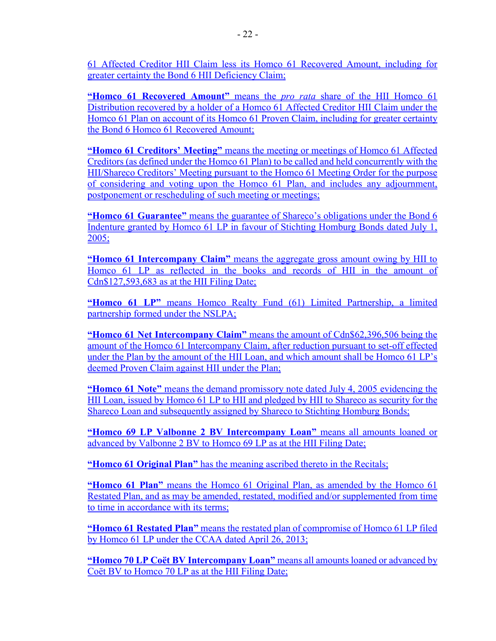**"Homco 61 Recovered Amount"** means the *pro rata* share of the HII Homco 61 Distribution recovered by a holder of a Homco 61 Affected Creditor HII Claim under the Homco 61 Plan on account of its Homco 61 Proven Claim, including for greater certainty the Bond 6 Homco 61 Recovered Amount;

**"Homco 61 Creditors' Meeting"** means the meeting or meetings of Homco 61 Affected Creditors (as defined under the Homco 61 Plan) to be called and held concurrently with the HII/Shareco Creditors' Meeting pursuant to the Homco 61 Meeting Order for the purpose of considering and voting upon the Homco 61 Plan, and includes any adjournment, postponement or rescheduling of such meeting or meetings;

**"Homco 61 Guarantee"** means the guarantee of Shareco's obligations under the Bond 6 Indenture granted by Homco 61 LP in favour of Stichting Homburg Bonds dated July 1, 2005;

**"Homco 61 Intercompany Claim"** means the aggregate gross amount owing by HII to Homco 61 LP as reflected in the books and records of HII in the amount of Cdn\$127,593,683 as at the HII Filing Date;

**"Homco 61 LP"** means Homco Realty Fund (61) Limited Partnership, a limited partnership formed under the NSLPA;

**"Homco 61 Net Intercompany Claim"** means the amount of Cdn\$62,396,506 being the amount of the Homco 61 Intercompany Claim, after reduction pursuant to set-off effected under the Plan by the amount of the HII Loan, and which amount shall be Homco 61 LP's deemed Proven Claim against HII under the Plan;

**"Homco 61 Note"** means the demand promissory note dated July 4, 2005 evidencing the HII Loan, issued by Homco 61 LP to HII and pledged by HII to Shareco as security for the Shareco Loan and subsequently assigned by Shareco to Stichting Homburg Bonds;

**"Homco 69 LP Valbonne 2 BV Intercompany Loan"** means all amounts loaned or advanced by Valbonne 2 BV to Homco 69 LP as at the HII Filing Date;

**"Homco 61 Original Plan"** has the meaning ascribed thereto in the Recitals;

**"Homco 61 Plan"** means the Homco 61 Original Plan, as amended by the Homco 61 Restated Plan, and as may be amended, restated, modified and/or supplemented from time to time in accordance with its terms;

**"Homco 61 Restated Plan"** means the restated plan of compromise of Homco 61 LP filed by Homco 61 LP under the CCAA dated April 26, 2013;

**"Homco 70 LP Coët BV Intercompany Loan"** means all amounts loaned or advanced by Coët BV to Homco 70 LP as at the HII Filing Date;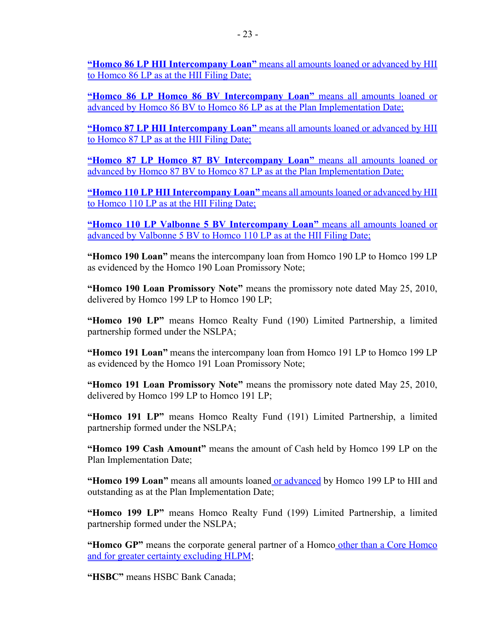**"Homco 86 LP HII Intercompany Loan"** means all amounts loaned or advanced by HII to Homco 86 LP as at the HII Filing Date;

**"Homco 86 LP Homco 86 BV Intercompany Loan"** means all amounts loaned or advanced by Homco 86 BV to Homco 86 LP as at the Plan Implementation Date;

**"Homco 87 LP HII Intercompany Loan"** means all amounts loaned or advanced by HII to Homco 87 LP as at the HII Filing Date;

**"Homco 87 LP Homco 87 BV Intercompany Loan"** means all amounts loaned or advanced by Homco 87 BV to Homco 87 LP as at the Plan Implementation Date;

**"Homco 110 LP HII Intercompany Loan"** means all amounts loaned or advanced by HII to Homco 110 LP as at the HII Filing Date;

**"Homco 110 LP Valbonne 5 BV Intercompany Loan"** means all amounts loaned or advanced by Valbonne 5 BV to Homco 110 LP as at the HII Filing Date;

**"Homco 190 Loan"** means the intercompany loan from Homco 190 LP to Homco 199 LP as evidenced by the Homco 190 Loan Promissory Note;

**"Homco 190 Loan Promissory Note"** means the promissory note dated May 25, 2010, delivered by Homco 199 LP to Homco 190 LP;

**"Homco 190 LP"** means Homco Realty Fund (190) Limited Partnership, a limited partnership formed under the NSLPA;

**"Homco 191 Loan"** means the intercompany loan from Homco 191 LP to Homco 199 LP as evidenced by the Homco 191 Loan Promissory Note;

**"Homco 191 Loan Promissory Note"** means the promissory note dated May 25, 2010, delivered by Homco 199 LP to Homco 191 LP;

**"Homco 191 LP"** means Homco Realty Fund (191) Limited Partnership, a limited partnership formed under the NSLPA;

**"Homco 199 Cash Amount"** means the amount of Cash held by Homco 199 LP on the Plan Implementation Date;

**"Homco 199 Loan"** means all amounts loaned or advanced by Homco 199 LP to HII and outstanding as at the Plan Implementation Date;

**"Homco 199 LP"** means Homco Realty Fund (199) Limited Partnership, a limited partnership formed under the NSLPA;

**"Homco GP"** means the corporate general partner of a Homco other than a Core Homco and for greater certainty excluding HLPM;

**"HSBC"** means HSBC Bank Canada;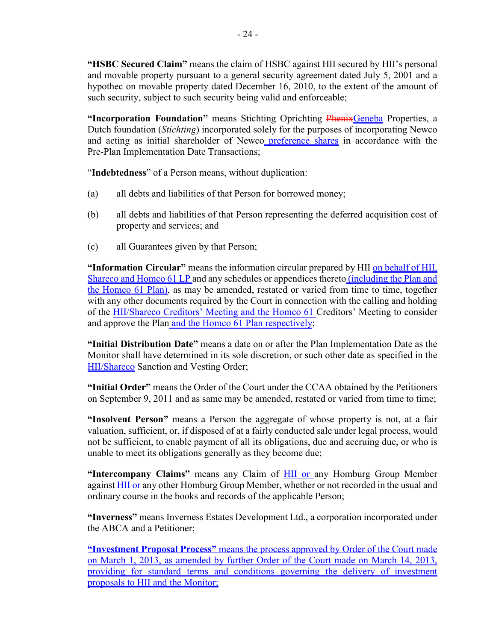**"HSBC Secured Claim"** means the claim of HSBC against HII secured by HII's personal and movable property pursuant to a general security agreement dated July 5, 2001 and a hypothec on movable property dated December 16, 2010, to the extent of the amount of such security, subject to such security being valid and enforceable;

**"Incorporation Foundation"** means Stichting Oprichting PhenixGeneba Properties, a Dutch foundation (*Stichting*) incorporated solely for the purposes of incorporating Newco and acting as initial shareholder of Newco preference shares in accordance with the Pre-Plan Implementation Date Transactions;

"**Indebtedness**" of a Person means, without duplication:

- (a) all debts and liabilities of that Person for borrowed money;
- (b) all debts and liabilities of that Person representing the deferred acquisition cost of property and services; and
- (c) all Guarantees given by that Person;

**"Information Circular"** means the information circular prepared by HII on behalf of HII, Shareco and Homco 61 LP and any schedules or appendices thereto *(including the Plan and* the Homco 61 Plan), as may be amended, restated or varied from time to time, together with any other documents required by the Court in connection with the calling and holding of the HII/Shareco Creditors' Meeting and the Homco 61 Creditors' Meeting to consider and approve the Plan and the Homco 61 Plan respectively;

**"Initial Distribution Date"** means a date on or after the Plan Implementation Date as the Monitor shall have determined in its sole discretion, or such other date as specified in the HII/Shareco Sanction and Vesting Order;

**"Initial Order"** means the Order of the Court under the CCAA obtained by the Petitioners on September 9, 2011 and as same may be amended, restated or varied from time to time;

**"Insolvent Person"** means a Person the aggregate of whose property is not, at a fair valuation, sufficient, or, if disposed of at a fairly conducted sale under legal process, would not be sufficient, to enable payment of all its obligations, due and accruing due, or who is unable to meet its obligations generally as they become due;

**"Intercompany Claims"** means any Claim of HII or any Homburg Group Member against **HII or** any other Homburg Group Member, whether or not recorded in the usual and ordinary course in the books and records of the applicable Person;

**"Inverness"** means Inverness Estates Development Ltd., a corporation incorporated under the ABCA and a Petitioner;

**"Investment Proposal Process"** means the process approved by Order of the Court made on March 1, 2013, as amended by further Order of the Court made on March 14, 2013, providing for standard terms and conditions governing the delivery of investment proposals to HII and the Monitor;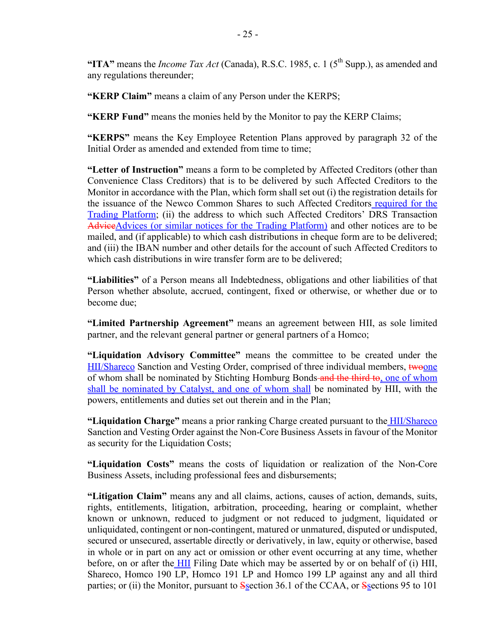"ITA" means the *Income Tax Act* (Canada), R.S.C. 1985, c. 1 ( $5<sup>th</sup>$  Supp.), as amended and any regulations thereunder;

**"KERP Claim"** means a claim of any Person under the KERPS;

**"KERP Fund"** means the monies held by the Monitor to pay the KERP Claims;

**"KERPS"** means the Key Employee Retention Plans approved by paragraph 32 of the Initial Order as amended and extended from time to time;

**"Letter of Instruction"** means a form to be completed by Affected Creditors (other than Convenience Class Creditors) that is to be delivered by such Affected Creditors to the Monitor in accordance with the Plan, which form shall set out (i) the registration details for the issuance of the Newco Common Shares to such Affected Creditors required for the Trading Platform; (ii) the address to which such Affected Creditors' DRS Transaction AdviceAdvices (or similar notices for the Trading Platform) and other notices are to be mailed, and (if applicable) to which cash distributions in cheque form are to be delivered; and (iii) the IBAN number and other details for the account of such Affected Creditors to which cash distributions in wire transfer form are to be delivered;

**"Liabilities"** of a Person means all Indebtedness, obligations and other liabilities of that Person whether absolute, accrued, contingent, fixed or otherwise, or whether due or to become due;

**"Limited Partnership Agreement"** means an agreement between HII, as sole limited partner, and the relevant general partner or general partners of a Homco;

**"Liquidation Advisory Committee"** means the committee to be created under the HII/Shareco Sanction and Vesting Order, comprised of three individual members, twoone of whom shall be nominated by Stichting Homburg Bonds and the third to, one of whom shall be nominated by Catalyst, and one of whom shall be nominated by HII, with the powers, entitlements and duties set out therein and in the Plan;

**"Liquidation Charge"** means a prior ranking Charge created pursuant to the HII/Shareco Sanction and Vesting Order against the Non-Core Business Assets in favour of the Monitor as security for the Liquidation Costs;

**"Liquidation Costs"** means the costs of liquidation or realization of the Non-Core Business Assets, including professional fees and disbursements;

**"Litigation Claim"** means any and all claims, actions, causes of action, demands, suits, rights, entitlements, litigation, arbitration, proceeding, hearing or complaint, whether known or unknown, reduced to judgment or not reduced to judgment, liquidated or unliquidated, contingent or non-contingent, matured or unmatured, disputed or undisputed, secured or unsecured, assertable directly or derivatively, in law, equity or otherwise, based in whole or in part on any act or omission or other event occurring at any time, whether before, on or after the HII Filing Date which may be asserted by or on behalf of (i) HII, Shareco, Homco 190 LP, Homco 191 LP and Homco 199 LP against any and all third parties; or (ii) the Monitor, pursuant to Section 36.1 of the CCAA, or Sections 95 to 101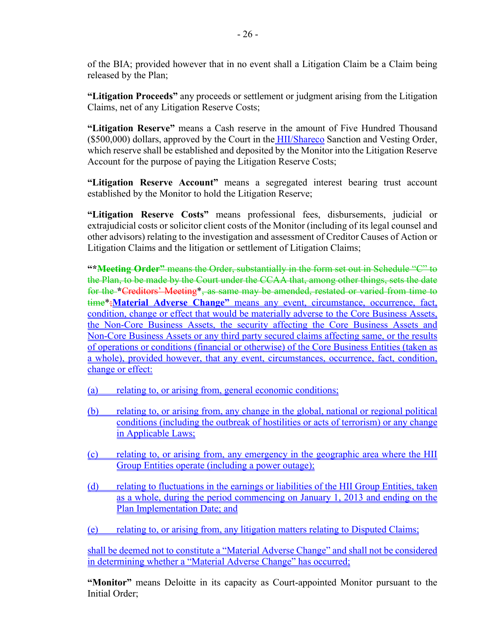of the BIA; provided however that in no event shall a Litigation Claim be a Claim being released by the Plan;

**"Litigation Proceeds"** any proceeds or settlement or judgment arising from the Litigation Claims, net of any Litigation Reserve Costs;

**"Litigation Reserve"** means a Cash reserve in the amount of Five Hundred Thousand (\$500,000) dollars, approved by the Court in the HII/Shareco Sanction and Vesting Order, which reserve shall be established and deposited by the Monitor into the Litigation Reserve Account for the purpose of paying the Litigation Reserve Costs;

**"Litigation Reserve Account"** means a segregated interest bearing trust account established by the Monitor to hold the Litigation Reserve;

**"Litigation Reserve Costs"** means professional fees, disbursements, judicial or extrajudicial costs or solicitor client costs of the Monitor (including of its legal counsel and other advisors) relating to the investigation and assessment of Creditor Causes of Action or Litigation Claims and the litigation or settlement of Litigation Claims;

**"\*Meeting Order"** means the Order, substantially in the form set out in Schedule "C" to the Plan, to be made by the Court under the CCAA that, among other things, sets the date for the **\***Creditors' Meeting\*, as same may be amended, restated or varied from time to time\*;**Material Adverse Change"** means any event, circumstance, occurrence, fact, condition, change or effect that would be materially adverse to the Core Business Assets, the Non-Core Business Assets, the security affecting the Core Business Assets and Non-Core Business Assets or any third party secured claims affecting same, or the results of operations or conditions (financial or otherwise) of the Core Business Entities (taken as a whole), provided however, that any event, circumstances, occurrence, fact, condition, change or effect:

- (a) relating to, or arising from, general economic conditions;
- (b) relating to, or arising from, any change in the global, national or regional political conditions (including the outbreak of hostilities or acts of terrorism) or any change in Applicable Laws;
- (c) relating to, or arising from, any emergency in the geographic area where the HII Group Entities operate (including a power outage);
- (d) relating to fluctuations in the earnings or liabilities of the HII Group Entities, taken as a whole, during the period commencing on January 1, 2013 and ending on the Plan Implementation Date; and

(e) relating to, or arising from, any litigation matters relating to Disputed Claims;

shall be deemed not to constitute a "Material Adverse Change" and shall not be considered in determining whether a "Material Adverse Change" has occurred;

**"Monitor"** means Deloitte in its capacity as Court-appointed Monitor pursuant to the Initial Order;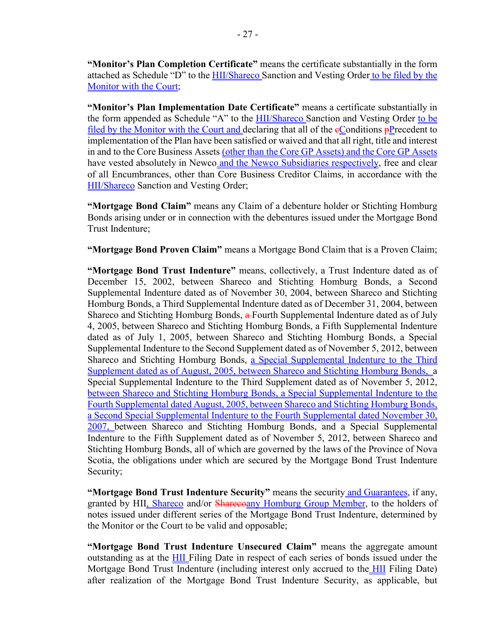**"Monitor's Plan Completion Certificate"** means the certificate substantially in the form attached as Schedule "D" to the **HII/Shareco** Sanction and Vesting Order to be filed by the Monitor with the Court;

**"Monitor's Plan Implementation Date Certificate"** means a certificate substantially in the form appended as Schedule "A" to the **HII/Shareco** Sanction and Vesting Order to be filed by the Monitor with the Court and declaring that all of the  $e$ Conditions  $p$ Precedent to implementation of the Plan have been satisfied or waived and that all right, title and interest in and to the Core Business Assets (other than the Core GP Assets) and the Core GP Assets have vested absolutely in Newco and the Newco Subsidiaries respectively, free and clear of all Encumbrances, other than Core Business Creditor Claims, in accordance with the HII/Shareco Sanction and Vesting Order;

**"Mortgage Bond Claim"** means any Claim of a debenture holder or Stichting Homburg Bonds arising under or in connection with the debentures issued under the Mortgage Bond Trust Indenture;

**"Mortgage Bond Proven Claim"** means a Mortgage Bond Claim that is a Proven Claim;

**"Mortgage Bond Trust Indenture"** means, collectively, a Trust Indenture dated as of December 15, 2002, between Shareco and Stichting Homburg Bonds, a Second Supplemental Indenture dated as of November 30, 2004, between Shareco and Stichting Homburg Bonds, a Third Supplemental Indenture dated as of December 31, 2004, between Shareco and Stichting Homburg Bonds, a Fourth Supplemental Indenture dated as of July 4, 2005, between Shareco and Stichting Homburg Bonds, a Fifth Supplemental Indenture dated as of July 1, 2005, between Shareco and Stichting Homburg Bonds, a Special Supplemental Indenture to the Second Supplement dated as of November 5, 2012, between Shareco and Stichting Homburg Bonds, a Special Supplemental Indenture to the Third Supplement dated as of August, 2005, between Shareco and Stichting Homburg Bonds, a Special Supplemental Indenture to the Third Supplement dated as of November 5, 2012, between Shareco and Stichting Homburg Bonds, a Special Supplemental Indenture to the Fourth Supplemental dated August, 2005, between Shareco and Stichting Homburg Bonds, a Second Special Supplemental Indenture to the Fourth Supplemental dated November 30, 2007, between Shareco and Stichting Homburg Bonds, and a Special Supplemental Indenture to the Fifth Supplement dated as of November 5, 2012, between Shareco and Stichting Homburg Bonds, all of which are governed by the laws of the Province of Nova Scotia, the obligations under which are secured by the Mortgage Bond Trust Indenture Security;

**"Mortgage Bond Trust Indenture Security"** means the security and Guarantees, if any, granted by HII, Shareco and/or Sharecoany Homburg Group Member, to the holders of notes issued under different series of the Mortgage Bond Trust Indenture, determined by the Monitor or the Court to be valid and opposable;

**"Mortgage Bond Trust Indenture Unsecured Claim"** means the aggregate amount outstanding as at the HII Filing Date in respect of each series of bonds issued under the Mortgage Bond Trust Indenture (including interest only accrued to the HII Filing Date) after realization of the Mortgage Bond Trust Indenture Security, as applicable, but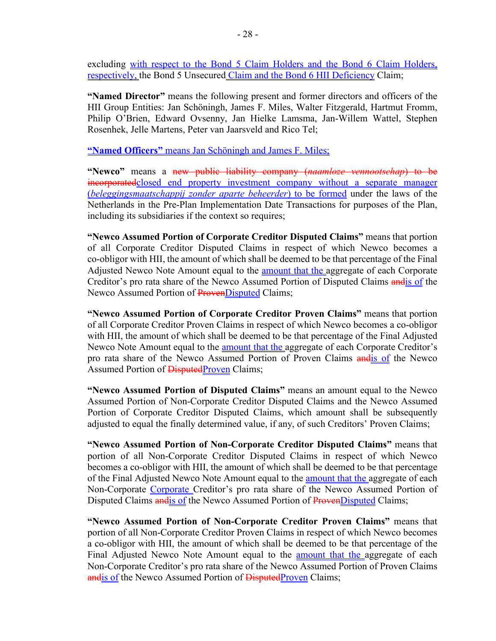excluding with respect to the Bond 5 Claim Holders and the Bond 6 Claim Holders, respectively, the Bond 5 Unsecured Claim and the Bond 6 HII Deficiency Claim;

**"Named Director"** means the following present and former directors and officers of the HII Group Entities: Jan Schöningh, James F. Miles, Walter Fitzgerald, Hartmut Fromm, Philip O'Brien, Edward Ovsenny, Jan Hielke Lamsma, Jan-Willem Wattel, Stephen Rosenhek, Jelle Martens, Peter van Jaarsveld and Rico Tel;

**"Named Officers"** means Jan Schöningh and James F. Miles;

**"Newco"** means a new public liability company (*naamloze vennootschap*) to be incorporatedclosed end property investment company without a separate manager (*beleggingsmaatschappij zonder aparte beheerder*) to be formed under the laws of the Netherlands in the Pre-Plan Implementation Date Transactions for purposes of the Plan, including its subsidiaries if the context so requires;

**"Newco Assumed Portion of Corporate Creditor Disputed Claims"** means that portion of all Corporate Creditor Disputed Claims in respect of which Newco becomes a co-obligor with HII, the amount of which shall be deemed to be that percentage of the Final Adjusted Newco Note Amount equal to the **amount that the aggregate of each Corporate** Creditor's pro rata share of the Newco Assumed Portion of Disputed Claims andis of the Newco Assumed Portion of ProvenDisputed Claims;

**"Newco Assumed Portion of Corporate Creditor Proven Claims"** means that portion of all Corporate Creditor Proven Claims in respect of which Newco becomes a co-obligor with HII, the amount of which shall be deemed to be that percentage of the Final Adjusted Newco Note Amount equal to the **amount that the aggregate of each Corporate Creditor's** pro rata share of the Newco Assumed Portion of Proven Claims andis of the Newco Assumed Portion of DisputedProven Claims;

**"Newco Assumed Portion of Disputed Claims"** means an amount equal to the Newco Assumed Portion of Non-Corporate Creditor Disputed Claims and the Newco Assumed Portion of Corporate Creditor Disputed Claims, which amount shall be subsequently adjusted to equal the finally determined value, if any, of such Creditors' Proven Claims;

**"Newco Assumed Portion of Non-Corporate Creditor Disputed Claims"** means that portion of all Non-Corporate Creditor Disputed Claims in respect of which Newco becomes a co-obligor with HII, the amount of which shall be deemed to be that percentage of the Final Adjusted Newco Note Amount equal to the amount that the aggregate of each Non-Corporate Corporate Creditor's pro rata share of the Newco Assumed Portion of Disputed Claims and is of the Newco Assumed Portion of ProvenDisputed Claims;

**"Newco Assumed Portion of Non-Corporate Creditor Proven Claims"** means that portion of all Non-Corporate Creditor Proven Claims in respect of which Newco becomes a co-obligor with HII, the amount of which shall be deemed to be that percentage of the Final Adjusted Newco Note Amount equal to the **amount that the aggregate** of each Non-Corporate Creditor's pro rata share of the Newco Assumed Portion of Proven Claims andis of the Newco Assumed Portion of Disputed Proven Claims;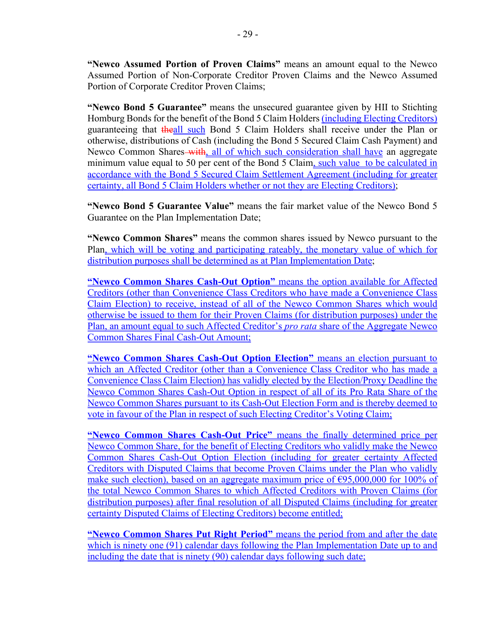**"Newco Assumed Portion of Proven Claims"** means an amount equal to the Newco Assumed Portion of Non-Corporate Creditor Proven Claims and the Newco Assumed Portion of Corporate Creditor Proven Claims;

**"Newco Bond 5 Guarantee"** means the unsecured guarantee given by HII to Stichting Homburg Bonds for the benefit of the Bond 5 Claim Holders (including Electing Creditors) guaranteeing that theall such Bond 5 Claim Holders shall receive under the Plan or otherwise, distributions of Cash (including the Bond 5 Secured Claim Cash Payment) and Newco Common Shares-with, all of which such consideration shall have an aggregate minimum value equal to 50 per cent of the Bond 5 Claim, such value to be calculated in accordance with the Bond 5 Secured Claim Settlement Agreement (including for greater certainty, all Bond 5 Claim Holders whether or not they are Electing Creditors);

**"Newco Bond 5 Guarantee Value"** means the fair market value of the Newco Bond 5 Guarantee on the Plan Implementation Date;

**"Newco Common Shares"** means the common shares issued by Newco pursuant to the Plan, which will be voting and participating rateably, the monetary value of which for distribution purposes shall be determined as at Plan Implementation Date;

**"Newco Common Shares Cash-Out Option"** means the option available for Affected Creditors (other than Convenience Class Creditors who have made a Convenience Class Claim Election) to receive, instead of all of the Newco Common Shares which would otherwise be issued to them for their Proven Claims (for distribution purposes) under the Plan, an amount equal to such Affected Creditor's *pro rata* share of the Aggregate Newco Common Shares Final Cash-Out Amount;

**"Newco Common Shares Cash-Out Option Election"** means an election pursuant to which an Affected Creditor (other than a Convenience Class Creditor who has made a Convenience Class Claim Election) has validly elected by the Election/Proxy Deadline the Newco Common Shares Cash-Out Option in respect of all of its Pro Rata Share of the Newco Common Shares pursuant to its Cash-Out Election Form and is thereby deemed to vote in favour of the Plan in respect of such Electing Creditor's Voting Claim;

**"Newco Common Shares Cash-Out Price"** means the finally determined price per Newco Common Share, for the benefit of Electing Creditors who validly make the Newco Common Shares Cash-Out Option Election (including for greater certainty Affected Creditors with Disputed Claims that become Proven Claims under the Plan who validly make such election), based on an aggregate maximum price of  $\epsilon$ 95,000,000 for 100% of the total Newco Common Shares to which Affected Creditors with Proven Claims (for distribution purposes) after final resolution of all Disputed Claims (including for greater certainty Disputed Claims of Electing Creditors) become entitled;

**"Newco Common Shares Put Right Period"** means the period from and after the date which is ninety one (91) calendar days following the Plan Implementation Date up to and including the date that is ninety (90) calendar days following such date;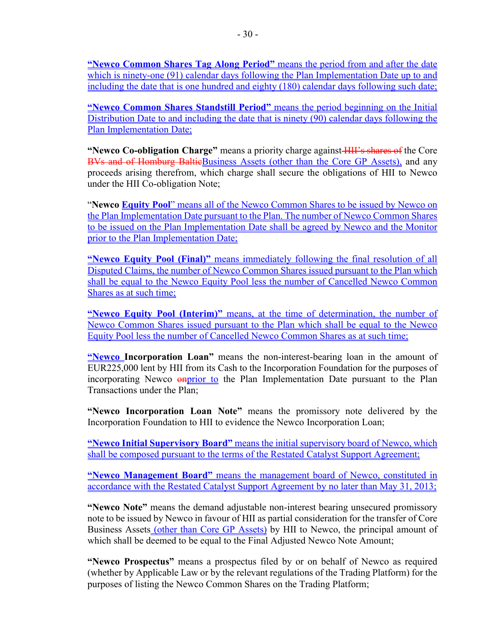**"Newco Common Shares Tag Along Period"** means the period from and after the date which is ninety-one (91) calendar days following the Plan Implementation Date up to and including the date that is one hundred and eighty (180) calendar days following such date;

**"Newco Common Shares Standstill Period"** means the period beginning on the Initial Distribution Date to and including the date that is ninety (90) calendar days following the Plan Implementation Date;

**"Newco Co-obligation Charge"** means a priority charge against **HII's shares of** the Core BVs and of Homburg BaltieBusiness Assets (other than the Core GP Assets), and any proceeds arising therefrom, which charge shall secure the obligations of HII to Newco under the HII Co-obligation Note;

"**Newco Equity Pool**" means all of the Newco Common Shares to be issued by Newco on the Plan Implementation Date pursuant to the Plan. The number of Newco Common Shares to be issued on the Plan Implementation Date shall be agreed by Newco and the Monitor prior to the Plan Implementation Date;

**"Newco Equity Pool (Final)"** means immediately following the final resolution of all Disputed Claims, the number of Newco Common Shares issued pursuant to the Plan which shall be equal to the Newco Equity Pool less the number of Cancelled Newco Common Shares as at such time;

**"Newco Equity Pool (Interim)"** means, at the time of determination, the number of Newco Common Shares issued pursuant to the Plan which shall be equal to the Newco Equity Pool less the number of Cancelled Newco Common Shares as at such time;

**"Newco Incorporation Loan"** means the non-interest-bearing loan in the amount of EUR225,000 lent by HII from its Cash to the Incorporation Foundation for the purposes of incorporating Newco **onprior** to the Plan Implementation Date pursuant to the Plan Transactions under the Plan;

**"Newco Incorporation Loan Note"** means the promissory note delivered by the Incorporation Foundation to HII to evidence the Newco Incorporation Loan;

**"Newco Initial Supervisory Board"** means the initial supervisory board of Newco, which shall be composed pursuant to the terms of the Restated Catalyst Support Agreement;

**"Newco Management Board"** means the management board of Newco, constituted in accordance with the Restated Catalyst Support Agreement by no later than May 31, 2013;

**"Newco Note"** means the demand adjustable non-interest bearing unsecured promissory note to be issued by Newco in favour of HII as partial consideration for the transfer of Core Business Assets (other than Core GP Assets) by HII to Newco, the principal amount of which shall be deemed to be equal to the Final Adjusted Newco Note Amount;

**"Newco Prospectus"** means a prospectus filed by or on behalf of Newco as required (whether by Applicable Law or by the relevant regulations of the Trading Platform) for the purposes of listing the Newco Common Shares on the Trading Platform;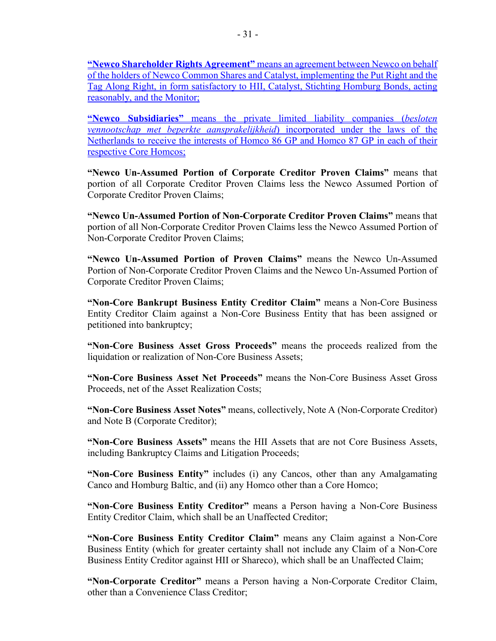**"Newco Shareholder Rights Agreement"** means an agreement between Newco on behalf of the holders of Newco Common Shares and Catalyst, implementing the Put Right and the Tag Along Right, in form satisfactory to HII, Catalyst, Stichting Homburg Bonds, acting reasonably, and the Monitor;

**"Newco Subsidiaries"** means the private limited liability companies (*besloten vennootschap met beperkte aansprakelijkheid*) incorporated under the laws of the Netherlands to receive the interests of Homco 86 GP and Homco 87 GP in each of their respective Core Homcos;

**"Newco Un-Assumed Portion of Corporate Creditor Proven Claims"** means that portion of all Corporate Creditor Proven Claims less the Newco Assumed Portion of Corporate Creditor Proven Claims;

**"Newco Un-Assumed Portion of Non-Corporate Creditor Proven Claims"** means that portion of all Non-Corporate Creditor Proven Claims less the Newco Assumed Portion of Non-Corporate Creditor Proven Claims;

**"Newco Un-Assumed Portion of Proven Claims"** means the Newco Un-Assumed Portion of Non-Corporate Creditor Proven Claims and the Newco Un-Assumed Portion of Corporate Creditor Proven Claims;

**"Non-Core Bankrupt Business Entity Creditor Claim"** means a Non-Core Business Entity Creditor Claim against a Non-Core Business Entity that has been assigned or petitioned into bankruptcy;

**"Non-Core Business Asset Gross Proceeds"** means the proceeds realized from the liquidation or realization of Non-Core Business Assets;

**"Non-Core Business Asset Net Proceeds"** means the Non-Core Business Asset Gross Proceeds, net of the Asset Realization Costs;

**"Non-Core Business Asset Notes"** means, collectively, Note A (Non-Corporate Creditor) and Note B (Corporate Creditor);

**"Non-Core Business Assets"** means the HII Assets that are not Core Business Assets, including Bankruptcy Claims and Litigation Proceeds;

**"Non-Core Business Entity"** includes (i) any Cancos, other than any Amalgamating Canco and Homburg Baltic, and (ii) any Homco other than a Core Homco;

**"Non-Core Business Entity Creditor"** means a Person having a Non-Core Business Entity Creditor Claim, which shall be an Unaffected Creditor;

**"Non-Core Business Entity Creditor Claim"** means any Claim against a Non-Core Business Entity (which for greater certainty shall not include any Claim of a Non-Core Business Entity Creditor against HII or Shareco), which shall be an Unaffected Claim;

**"Non-Corporate Creditor"** means a Person having a Non-Corporate Creditor Claim, other than a Convenience Class Creditor;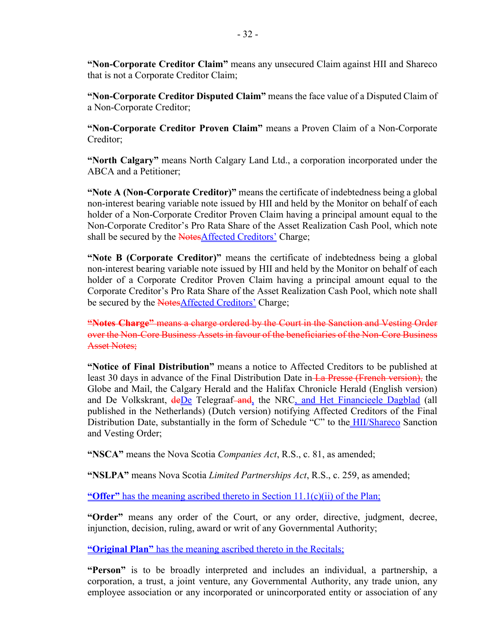**"Non-Corporate Creditor Claim"** means any unsecured Claim against HII and Shareco that is not a Corporate Creditor Claim;

**"Non-Corporate Creditor Disputed Claim"** means the face value of a Disputed Claim of a Non-Corporate Creditor;

**"Non-Corporate Creditor Proven Claim"** means a Proven Claim of a Non-Corporate Creditor;

**"North Calgary"** means North Calgary Land Ltd., a corporation incorporated under the ABCA and a Petitioner;

**"Note A (Non-Corporate Creditor)"** means the certificate of indebtedness being a global non-interest bearing variable note issued by HII and held by the Monitor on behalf of each holder of a Non-Corporate Creditor Proven Claim having a principal amount equal to the Non-Corporate Creditor's Pro Rata Share of the Asset Realization Cash Pool, which note shall be secured by the NotesAffected Creditors' Charge;

**"Note B (Corporate Creditor)"** means the certificate of indebtedness being a global non-interest bearing variable note issued by HII and held by the Monitor on behalf of each holder of a Corporate Creditor Proven Claim having a principal amount equal to the Corporate Creditor's Pro Rata Share of the Asset Realization Cash Pool, which note shall be secured by the NotesAffected Creditors' Charge;

**"Notes Charge"** means a charge ordered by the Court in the Sanction and Vesting Order over the Non-Core Business Assets in favour of the beneficiaries of the Non-Core Business Asset Notes;

**"Notice of Final Distribution"** means a notice to Affected Creditors to be published at least 30 days in advance of the Final Distribution Date in La Presse (French version), the Globe and Mail, the Calgary Herald and the Halifax Chronicle Herald (English version) and De Volkskrant,  $\frac{deDe}{c}$  Telegraaf-and, the NRC, and Het Financieele Dagblad (all published in the Netherlands) (Dutch version) notifying Affected Creditors of the Final Distribution Date, substantially in the form of Schedule "C" to the **HII/Shareco** Sanction and Vesting Order;

**"NSCA"** means the Nova Scotia *Companies Act*, R.S., c. 81, as amended;

**"NSLPA"** means Nova Scotia *Limited Partnerships Act*, R.S., c. 259, as amended;

**"Offer"** has the meaning ascribed thereto in Section 11.1(c)(ii) of the Plan;

**"Order"** means any order of the Court, or any order, directive, judgment, decree, injunction, decision, ruling, award or writ of any Governmental Authority;

**"Original Plan"** has the meaning ascribed thereto in the Recitals;

**"Person"** is to be broadly interpreted and includes an individual, a partnership, a corporation, a trust, a joint venture, any Governmental Authority, any trade union, any employee association or any incorporated or unincorporated entity or association of any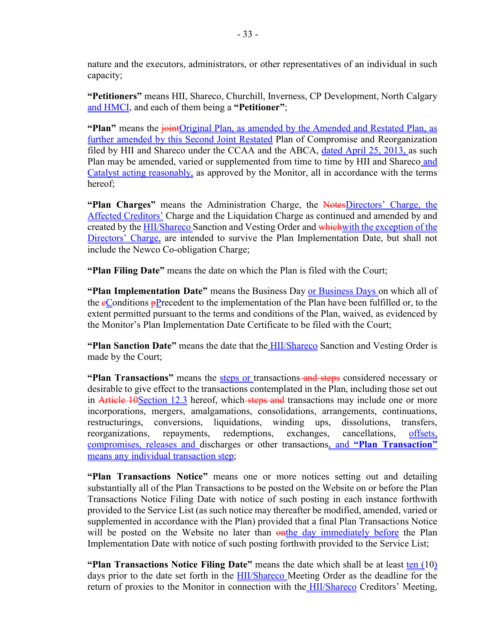nature and the executors, administrators, or other representatives of an individual in such capacity;

**"Petitioners"** means HII, Shareco, Churchill, Inverness, CP Development, North Calgary and HMCI, and each of them being a **"Petitioner"**;

**"Plan"** means the joint Original Plan, as amended by the Amended and Restated Plan, as further amended by this Second Joint Restated Plan of Compromise and Reorganization filed by HII and Shareco under the CCAA and the ABCA, dated April 25, 2013, as such Plan may be amended, varied or supplemented from time to time by HII and Shareco and Catalyst acting reasonably, as approved by the Monitor, all in accordance with the terms hereof;

"Plan Charges" means the Administration Charge, the NotesDirectors' Charge, the Affected Creditors' Charge and the Liquidation Charge as continued and amended by and created by the **HII/Shareco** Sanction and Vesting Order and which with the exception of the Directors' Charge, are intended to survive the Plan Implementation Date, but shall not include the Newco Co-obligation Charge;

**"Plan Filing Date"** means the date on which the Plan is filed with the Court;

**"Plan Implementation Date"** means the Business Day or Business Days on which all of the  $\epsilon$ Conditions  $\epsilon$ P recedent to the implementation of the Plan have been fulfilled or, to the extent permitted pursuant to the terms and conditions of the Plan, waived, as evidenced by the Monitor's Plan Implementation Date Certificate to be filed with the Court;

**"Plan Sanction Date"** means the date that the HII/Shareco Sanction and Vesting Order is made by the Court;

**"Plan Transactions"** means the steps or transactions and steps considered necessary or desirable to give effect to the transactions contemplated in the Plan, including those set out in Article 10Section 12.3 hereof, which steps and transactions may include one or more incorporations, mergers, amalgamations, consolidations, arrangements, continuations, restructurings, conversions, liquidations, winding ups, dissolutions, transfers, reorganizations, repayments, redemptions, exchanges, cancellations, offsets, compromises, releases and discharges or other transactions, and **"Plan Transaction"** means any individual transaction step;

**"Plan Transactions Notice"** means one or more notices setting out and detailing substantially all of the Plan Transactions to be posted on the Website on or before the Plan Transactions Notice Filing Date with notice of such posting in each instance forthwith provided to the Service List (as such notice may thereafter be modified, amended, varied or supplemented in accordance with the Plan) provided that a final Plan Transactions Notice will be posted on the Website no later than  $\frac{a}{b}$  and  $b$  immediately before the Plan Implementation Date with notice of such posting forthwith provided to the Service List;

**"Plan Transactions Notice Filing Date"** means the date which shall be at least ten (10) days prior to the date set forth in the **HII/Shareco** Meeting Order as the deadline for the return of proxies to the Monitor in connection with the **HII/Shareco** Creditors' Meeting,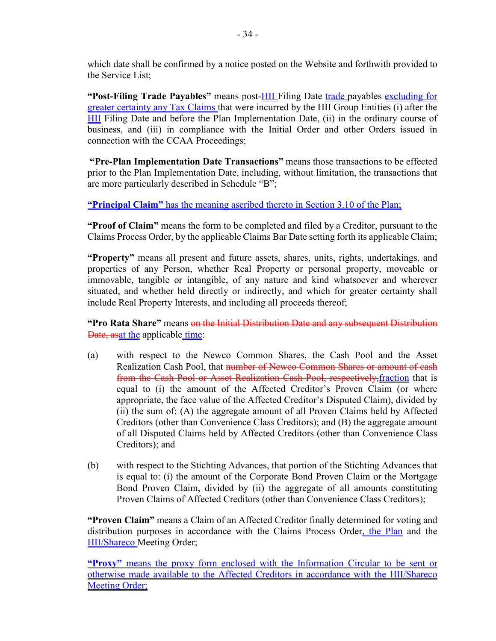which date shall be confirmed by a notice posted on the Website and forthwith provided to the Service List;

**"Post-Filing Trade Payables"** means post-HII Filing Date trade payables excluding for greater certainty any Tax Claims that were incurred by the HII Group Entities (i) after the **HII** Filing Date and before the Plan Implementation Date, (ii) in the ordinary course of business, and (iii) in compliance with the Initial Order and other Orders issued in connection with the CCAA Proceedings;

**"Pre-Plan Implementation Date Transactions"** means those transactions to be effected prior to the Plan Implementation Date, including, without limitation, the transactions that are more particularly described in Schedule "B";

**"Principal Claim"** has the meaning ascribed thereto in Section 3.10 of the Plan;

**"Proof of Claim"** means the form to be completed and filed by a Creditor, pursuant to the Claims Process Order, by the applicable Claims Bar Date setting forth its applicable Claim;

**"Property"** means all present and future assets, shares, units, rights, undertakings, and properties of any Person, whether Real Property or personal property, moveable or immovable, tangible or intangible, of any nature and kind whatsoever and wherever situated, and whether held directly or indirectly, and which for greater certainty shall include Real Property Interests, and including all proceeds thereof;

**"Pro Rata Share"** means on the Initial Distribution Date and any subsequent Distribution Date, asat the applicable time:

- (a) with respect to the Newco Common Shares, the Cash Pool and the Asset Realization Cash Pool, that number of Newco Common Shares or amount of cash from the Cash Pool or Asset Realization Cash Pool, respectively,fraction that is equal to (i) the amount of the Affected Creditor's Proven Claim (or where appropriate, the face value of the Affected Creditor's Disputed Claim), divided by (ii) the sum of: (A) the aggregate amount of all Proven Claims held by Affected Creditors (other than Convenience Class Creditors); and (B) the aggregate amount of all Disputed Claims held by Affected Creditors (other than Convenience Class Creditors); and
- (b) with respect to the Stichting Advances, that portion of the Stichting Advances that is equal to: (i) the amount of the Corporate Bond Proven Claim or the Mortgage Bond Proven Claim, divided by (ii) the aggregate of all amounts constituting Proven Claims of Affected Creditors (other than Convenience Class Creditors);

**"Proven Claim"** means a Claim of an Affected Creditor finally determined for voting and distribution purposes in accordance with the Claims Process Order, the Plan and the HII/Shareco Meeting Order;

**"Proxy"** means the proxy form enclosed with the Information Circular to be sent or otherwise made available to the Affected Creditors in accordance with the HII/Shareco Meeting Order;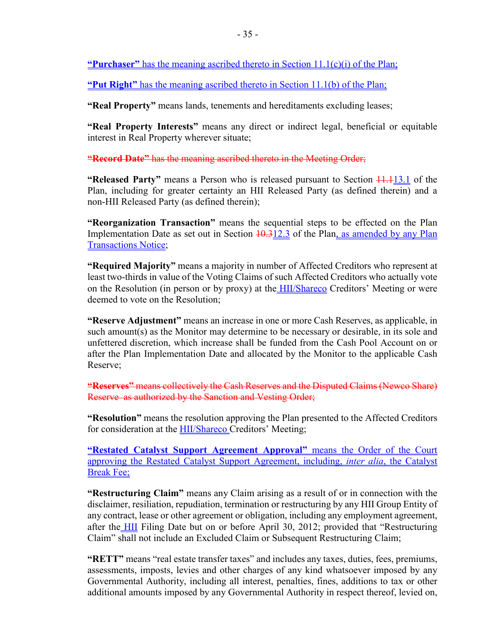**"Purchaser"** has the meaning ascribed thereto in Section 11.1(c)(i) of the Plan;

**"Put Right"** has the meaning ascribed thereto in Section 11.1(b) of the Plan;

**"Real Property"** means lands, tenements and hereditaments excluding leases;

**"Real Property Interests"** means any direct or indirect legal, beneficial or equitable interest in Real Property wherever situate;

**"Record Date"** has the meaning ascribed thereto in the Meeting Order;

**"Released Party"** means a Person who is released pursuant to Section  $\frac{11.113.1}{1.113.1}$  of the Plan, including for greater certainty an HII Released Party (as defined therein) and a non-HII Released Party (as defined therein);

**"Reorganization Transaction"** means the sequential steps to be effected on the Plan Implementation Date as set out in Section  $10.312.3$  of the Plan, as amended by any Plan Transactions Notice;

**"Required Majority"** means a majority in number of Affected Creditors who represent at least two-thirds in value of the Voting Claims of such Affected Creditors who actually vote on the Resolution (in person or by proxy) at the **HII/Shareco** Creditors' Meeting or were deemed to vote on the Resolution;

**"Reserve Adjustment"** means an increase in one or more Cash Reserves, as applicable, in such amount(s) as the Monitor may determine to be necessary or desirable, in its sole and unfettered discretion, which increase shall be funded from the Cash Pool Account on or after the Plan Implementation Date and allocated by the Monitor to the applicable Cash Reserve;

**"Reserves"** means collectively the Cash Reserves and the Disputed Claims (Newco Share) Reserve as authorized by the Sanction and Vesting Order;

**"Resolution"** means the resolution approving the Plan presented to the Affected Creditors for consideration at the HII/Shareco Creditors' Meeting;

**"Restated Catalyst Support Agreement Approval"** means the Order of the Court approving the Restated Catalyst Support Agreement, including, *inter alia*, the Catalyst Break Fee;

**"Restructuring Claim"** means any Claim arising as a result of or in connection with the disclaimer, resiliation, repudiation, termination or restructuring by any HII Group Entity of any contract, lease or other agreement or obligation, including any employment agreement, after the HII Filing Date but on or before April 30, 2012; provided that "Restructuring Claim" shall not include an Excluded Claim or Subsequent Restructuring Claim;

**"RETT"** means "real estate transfer taxes" and includes any taxes, duties, fees, premiums, assessments, imposts, levies and other charges of any kind whatsoever imposed by any Governmental Authority, including all interest, penalties, fines, additions to tax or other additional amounts imposed by any Governmental Authority in respect thereof, levied on,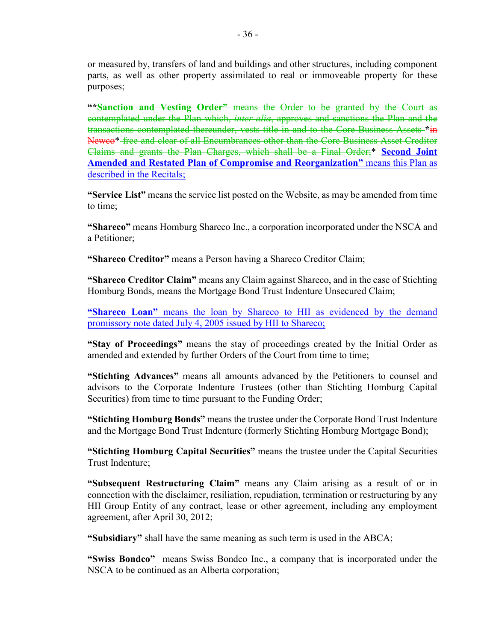or measured by, transfers of land and buildings and other structures, including component parts, as well as other property assimilated to real or immoveable property for these purposes;

**"\*Sanction and Vesting Order"** means the Order to be granted by the Court as contemplated under the Plan which, *inter alia*, approves and sanctions the Plan and the transactions contemplated thereunder, vests title in and to the Core Business Assets **\***in Newco\* free and clear of all Encumbrances other than the Core Business Asset Creditor Claims and grants the Plan Charges, which shall be a Final Order;\* **Second Joint Amended and Restated Plan of Compromise and Reorganization"** means this Plan as described in the Recitals;

**"Service List"** means the service list posted on the Website, as may be amended from time to time;

**"Shareco"** means Homburg Shareco Inc., a corporation incorporated under the NSCA and a Petitioner;

**"Shareco Creditor"** means a Person having a Shareco Creditor Claim;

**"Shareco Creditor Claim"** means any Claim against Shareco, and in the case of Stichting Homburg Bonds, means the Mortgage Bond Trust Indenture Unsecured Claim;

**"Shareco Loan"** means the loan by Shareco to HII as evidenced by the demand promissory note dated July 4, 2005 issued by HII to Shareco;

**"Stay of Proceedings"** means the stay of proceedings created by the Initial Order as amended and extended by further Orders of the Court from time to time;

**"Stichting Advances"** means all amounts advanced by the Petitioners to counsel and advisors to the Corporate Indenture Trustees (other than Stichting Homburg Capital Securities) from time to time pursuant to the Funding Order;

**"Stichting Homburg Bonds"** means the trustee under the Corporate Bond Trust Indenture and the Mortgage Bond Trust Indenture (formerly Stichting Homburg Mortgage Bond);

**"Stichting Homburg Capital Securities"** means the trustee under the Capital Securities Trust Indenture;

**"Subsequent Restructuring Claim"** means any Claim arising as a result of or in connection with the disclaimer, resiliation, repudiation, termination or restructuring by any HII Group Entity of any contract, lease or other agreement, including any employment agreement, after April 30, 2012;

**"Subsidiary"** shall have the same meaning as such term is used in the ABCA;

**"Swiss Bondco"** means Swiss Bondco Inc., a company that is incorporated under the NSCA to be continued as an Alberta corporation;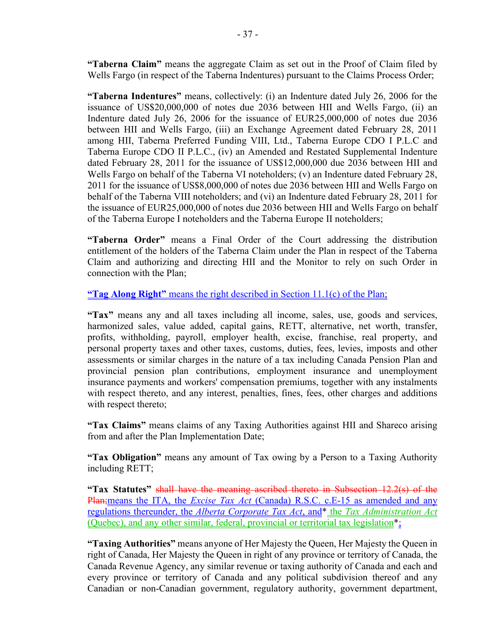**"Taberna Claim"** means the aggregate Claim as set out in the Proof of Claim filed by Wells Fargo (in respect of the Taberna Indentures) pursuant to the Claims Process Order;

**"Taberna Indentures"** means, collectively: (i) an Indenture dated July 26, 2006 for the issuance of US\$20,000,000 of notes due 2036 between HII and Wells Fargo, (ii) an Indenture dated July 26, 2006 for the issuance of EUR25,000,000 of notes due 2036 between HII and Wells Fargo, (iii) an Exchange Agreement dated February 28, 2011 among HII, Taberna Preferred Funding VIII, Ltd., Taberna Europe CDO I P.L.C and Taberna Europe CDO II P.L.C., (iv) an Amended and Restated Supplemental Indenture dated February 28, 2011 for the issuance of US\$12,000,000 due 2036 between HII and Wells Fargo on behalf of the Taberna VI noteholders; (v) an Indenture dated February 28, 2011 for the issuance of US\$8,000,000 of notes due 2036 between HII and Wells Fargo on behalf of the Taberna VIII noteholders; and (vi) an Indenture dated February 28, 2011 for the issuance of EUR25,000,000 of notes due 2036 between HII and Wells Fargo on behalf of the Taberna Europe I noteholders and the Taberna Europe II noteholders;

**"Taberna Order"** means a Final Order of the Court addressing the distribution entitlement of the holders of the Taberna Claim under the Plan in respect of the Taberna Claim and authorizing and directing HII and the Monitor to rely on such Order in connection with the Plan;

**"Tag Along Right"** means the right described in Section 11.1(c) of the Plan;

**"Tax"** means any and all taxes including all income, sales, use, goods and services, harmonized sales, value added, capital gains, RETT, alternative, net worth, transfer, profits, withholding, payroll, employer health, excise, franchise, real property, and personal property taxes and other taxes, customs, duties, fees, levies, imposts and other assessments or similar charges in the nature of a tax including Canada Pension Plan and provincial pension plan contributions, employment insurance and unemployment insurance payments and workers' compensation premiums, together with any instalments with respect thereto, and any interest, penalties, fines, fees, other charges and additions with respect thereto;

**"Tax Claims"** means claims of any Taxing Authorities against HII and Shareco arising from and after the Plan Implementation Date;

**"Tax Obligation"** means any amount of Tax owing by a Person to a Taxing Authority including RETT;

**"Tax Statutes"** shall have the meaning ascribed thereto in Subsection 12.2(s) of the Plan;means the ITA, the *Excise Tax Act* (Canada) R.S.C. c.E-15 as amended and any regulations thereunder, the *Alberta Corporate Tax Act*, and\* the *Tax Administration Act* (Quebec), and any other similar, federal, provincial or territorial tax legislation\*;

**"Taxing Authorities"** means anyone of Her Majesty the Queen, Her Majesty the Queen in right of Canada, Her Majesty the Queen in right of any province or territory of Canada, the Canada Revenue Agency, any similar revenue or taxing authority of Canada and each and every province or territory of Canada and any political subdivision thereof and any Canadian or non-Canadian government, regulatory authority, government department,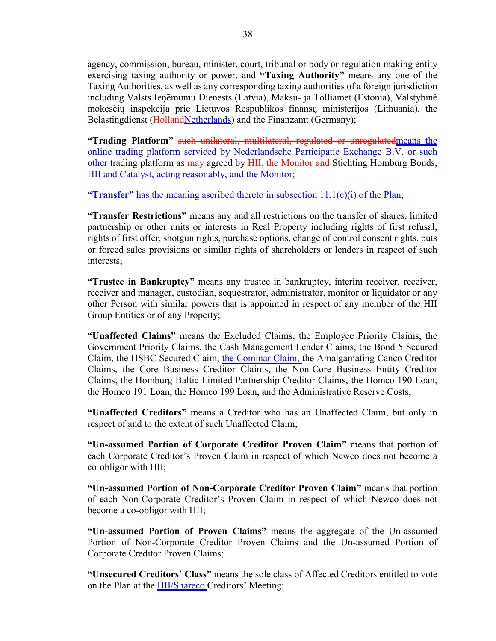agency, commission, bureau, minister, court, tribunal or body or regulation making entity exercising taxing authority or power, and **"Taxing Authority"** means any one of the Taxing Authorities, as well as any corresponding taxing authorities of a foreign jurisdiction including Valsts Ieņēmumu Dienests (Latvia), Maksu- ja Tolliamet (Estonia), Valstybinė mokesčių inspekcija prie Lietuvos Respublikos finansų ministerijos (Lithuania), the Belastingdienst (HollandNetherlands) and the Finanzamt (Germany);

**"Trading Platform"** such unilateral, multilateral, regulated or unregulatedmeans the online trading platform serviced by Nederlandsche Participatie Exchange B.V. or such other trading platform as may agreed by HII, the Monitor and Stichting Homburg Bonds. HII and Catalyst, acting reasonably, and the Monitor;

**"Transfer"** has the meaning ascribed thereto in subsection 11.1(c)(i) of the Plan;

**"Transfer Restrictions"** means any and all restrictions on the transfer of shares, limited partnership or other units or interests in Real Property including rights of first refusal, rights of first offer, shotgun rights, purchase options, change of control consent rights, puts or forced sales provisions or similar rights of shareholders or lenders in respect of such interests;

**"Trustee in Bankruptcy"** means any trustee in bankruptcy, interim receiver, receiver, receiver and manager, custodian, sequestrator, administrator, monitor or liquidator or any other Person with similar powers that is appointed in respect of any member of the HII Group Entities or of any Property;

**"Unaffected Claims"** means the Excluded Claims, the Employee Priority Claims, the Government Priority Claims, the Cash Management Lender Claims, the Bond 5 Secured Claim, the HSBC Secured Claim, the Cominar Claim, the Amalgamating Canco Creditor Claims, the Core Business Creditor Claims, the Non-Core Business Entity Creditor Claims, the Homburg Baltic Limited Partnership Creditor Claims, the Homco 190 Loan, the Homco 191 Loan, the Homco 199 Loan, and the Administrative Reserve Costs;

**"Unaffected Creditors"** means a Creditor who has an Unaffected Claim, but only in respect of and to the extent of such Unaffected Claim;

**"Un-assumed Portion of Corporate Creditor Proven Claim"** means that portion of each Corporate Creditor's Proven Claim in respect of which Newco does not become a co-obligor with HII;

**"Un-assumed Portion of Non-Corporate Creditor Proven Claim"** means that portion of each Non-Corporate Creditor's Proven Claim in respect of which Newco does not become a co-obligor with HII;

**"Un-assumed Portion of Proven Claims"** means the aggregate of the Un-assumed Portion of Non-Corporate Creditor Proven Claims and the Un-assumed Portion of Corporate Creditor Proven Claims;

**"Unsecured Creditors' Class"** means the sole class of Affected Creditors entitled to vote on the Plan at the **HII/Shareco** Creditors' Meeting;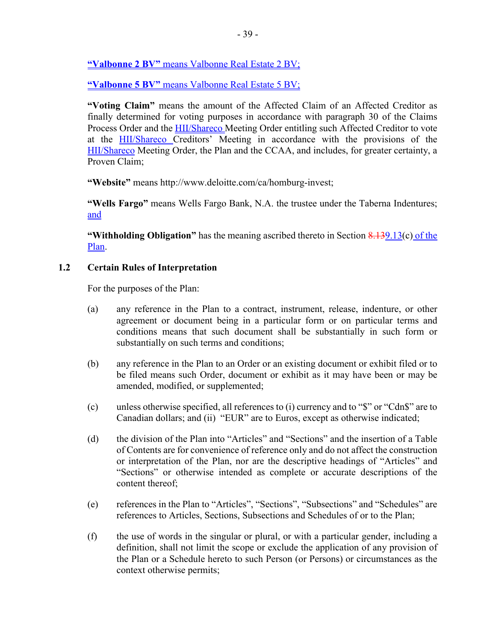**"Valbonne 2 BV"** means Valbonne Real Estate 2 BV;

**"Valbonne 5 BV"** means Valbonne Real Estate 5 BV;

**"Voting Claim"** means the amount of the Affected Claim of an Affected Creditor as finally determined for voting purposes in accordance with paragraph 30 of the Claims Process Order and the **HII/Shareco** Meeting Order entitling such Affected Creditor to vote at the HII/Shareco Creditors' Meeting in accordance with the provisions of the HII/Shareco Meeting Order, the Plan and the CCAA, and includes, for greater certainty, a Proven Claim;

**"Website"** means http://www.deloitte.com/ca/homburg-invest;

**"Wells Fargo"** means Wells Fargo Bank, N.A. the trustee under the Taberna Indentures; and

**"Withholding Obligation"** has the meaning ascribed thereto in Section 8.139.13(c) of the Plan.

# **1.2 Certain Rules of Interpretation**

For the purposes of the Plan:

- (a) any reference in the Plan to a contract, instrument, release, indenture, or other agreement or document being in a particular form or on particular terms and conditions means that such document shall be substantially in such form or substantially on such terms and conditions;
- (b) any reference in the Plan to an Order or an existing document or exhibit filed or to be filed means such Order, document or exhibit as it may have been or may be amended, modified, or supplemented;
- (c) unless otherwise specified, all references to (i) currency and to "\$" or "Cdn\$" are to Canadian dollars; and (ii) "EUR" are to Euros, except as otherwise indicated;
- (d) the division of the Plan into "Articles" and "Sections" and the insertion of a Table of Contents are for convenience of reference only and do not affect the construction or interpretation of the Plan, nor are the descriptive headings of "Articles" and "Sections" or otherwise intended as complete or accurate descriptions of the content thereof;
- (e) references in the Plan to "Articles", "Sections", "Subsections" and "Schedules" are references to Articles, Sections, Subsections and Schedules of or to the Plan;
- (f) the use of words in the singular or plural, or with a particular gender, including a definition, shall not limit the scope or exclude the application of any provision of the Plan or a Schedule hereto to such Person (or Persons) or circumstances as the context otherwise permits;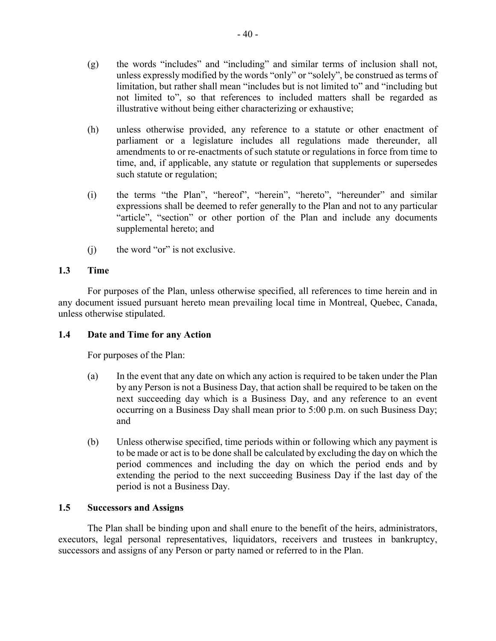- (g) the words "includes" and "including" and similar terms of inclusion shall not, unless expressly modified by the words "only" or "solely", be construed as terms of limitation, but rather shall mean "includes but is not limited to" and "including but not limited to", so that references to included matters shall be regarded as illustrative without being either characterizing or exhaustive;
- (h) unless otherwise provided, any reference to a statute or other enactment of parliament or a legislature includes all regulations made thereunder, all amendments to or re-enactments of such statute or regulations in force from time to time, and, if applicable, any statute or regulation that supplements or supersedes such statute or regulation;
- (i) the terms "the Plan", "hereof", "herein", "hereto", "hereunder" and similar expressions shall be deemed to refer generally to the Plan and not to any particular "article", "section" or other portion of the Plan and include any documents supplemental hereto; and
- (j) the word "or" is not exclusive.

# **1.3 Time**

For purposes of the Plan, unless otherwise specified, all references to time herein and in any document issued pursuant hereto mean prevailing local time in Montreal, Quebec, Canada, unless otherwise stipulated.

# **1.4 Date and Time for any Action**

For purposes of the Plan:

- (a) In the event that any date on which any action is required to be taken under the Plan by any Person is not a Business Day, that action shall be required to be taken on the next succeeding day which is a Business Day, and any reference to an event occurring on a Business Day shall mean prior to 5:00 p.m. on such Business Day; and
- (b) Unless otherwise specified, time periods within or following which any payment is to be made or act is to be done shall be calculated by excluding the day on which the period commences and including the day on which the period ends and by extending the period to the next succeeding Business Day if the last day of the period is not a Business Day.

# **1.5 Successors and Assigns**

The Plan shall be binding upon and shall enure to the benefit of the heirs, administrators, executors, legal personal representatives, liquidators, receivers and trustees in bankruptcy, successors and assigns of any Person or party named or referred to in the Plan.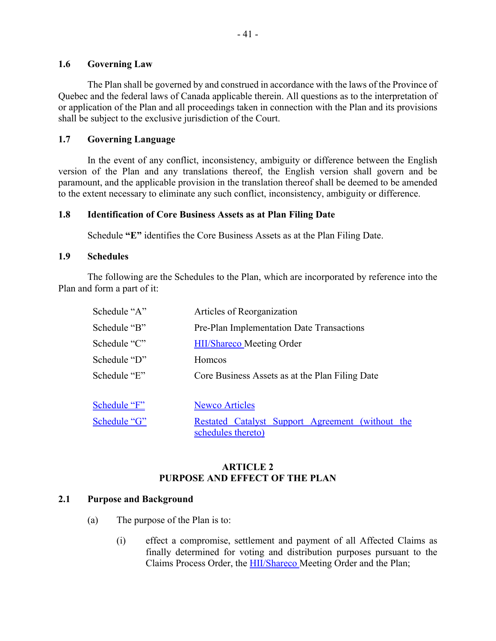### **1.6 Governing Law**

The Plan shall be governed by and construed in accordance with the laws of the Province of Quebec and the federal laws of Canada applicable therein. All questions as to the interpretation of or application of the Plan and all proceedings taken in connection with the Plan and its provisions shall be subject to the exclusive jurisdiction of the Court.

# **1.7 Governing Language**

In the event of any conflict, inconsistency, ambiguity or difference between the English version of the Plan and any translations thereof, the English version shall govern and be paramount, and the applicable provision in the translation thereof shall be deemed to be amended to the extent necessary to eliminate any such conflict, inconsistency, ambiguity or difference.

### **1.8 Identification of Core Business Assets as at Plan Filing Date**

Schedule **"E"** identifies the Core Business Assets as at the Plan Filing Date.

### **1.9 Schedules**

The following are the Schedules to the Plan, which are incorporated by reference into the Plan and form a part of it:

| Schedule "A" | Articles of Reorganization                                             |
|--------------|------------------------------------------------------------------------|
| Schedule "B" | Pre-Plan Implementation Date Transactions                              |
| Schedule "C" | <b>HII/Shareco</b> Meeting Order                                       |
| Schedule "D" | <b>Homcos</b>                                                          |
| Schedule "E" | Core Business Assets as at the Plan Filing Date                        |
| Schedule "F" | <b>Newco Articles</b>                                                  |
| Schedule "G" | Restated Catalyst Support Agreement (without the<br>schedules thereto) |

# **ARTICLE 2 PURPOSE AND EFFECT OF THE PLAN**

### **2.1 Purpose and Background**

- (a) The purpose of the Plan is to:
	- (i) effect a compromise, settlement and payment of all Affected Claims as finally determined for voting and distribution purposes pursuant to the Claims Process Order, the HII/Shareco Meeting Order and the Plan;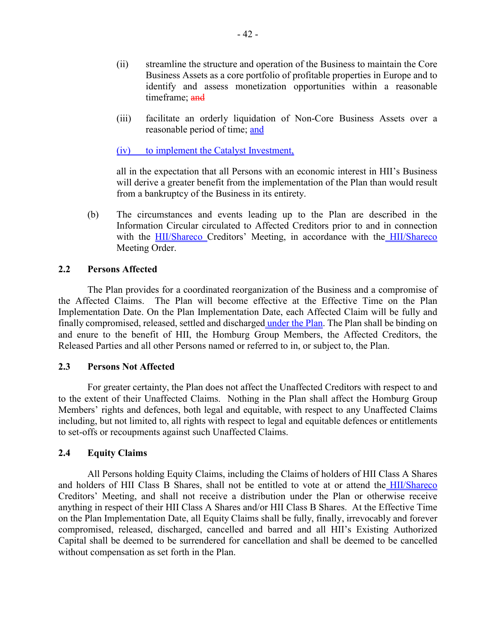- (ii) streamline the structure and operation of the Business to maintain the Core Business Assets as a core portfolio of profitable properties in Europe and to identify and assess monetization opportunities within a reasonable timeframe; and
- (iii) facilitate an orderly liquidation of Non-Core Business Assets over a reasonable period of time; and

(iv) to implement the Catalyst Investment,

all in the expectation that all Persons with an economic interest in HII's Business will derive a greater benefit from the implementation of the Plan than would result from a bankruptcy of the Business in its entirety.

(b) The circumstances and events leading up to the Plan are described in the Information Circular circulated to Affected Creditors prior to and in connection with the HII/Shareco Creditors' Meeting, in accordance with the HII/Shareco Meeting Order.

### **2.2 Persons Affected**

The Plan provides for a coordinated reorganization of the Business and a compromise of the Affected Claims. The Plan will become effective at the Effective Time on the Plan Implementation Date. On the Plan Implementation Date, each Affected Claim will be fully and finally compromised, released, settled and discharged under the Plan. The Plan shall be binding on and enure to the benefit of HII, the Homburg Group Members, the Affected Creditors, the Released Parties and all other Persons named or referred to in, or subject to, the Plan.

#### **2.3 Persons Not Affected**

For greater certainty, the Plan does not affect the Unaffected Creditors with respect to and to the extent of their Unaffected Claims. Nothing in the Plan shall affect the Homburg Group Members' rights and defences, both legal and equitable, with respect to any Unaffected Claims including, but not limited to, all rights with respect to legal and equitable defences or entitlements to set-offs or recoupments against such Unaffected Claims.

### **2.4 Equity Claims**

All Persons holding Equity Claims, including the Claims of holders of HII Class A Shares and holders of HII Class B Shares, shall not be entitled to vote at or attend the **HII/Shareco** Creditors' Meeting, and shall not receive a distribution under the Plan or otherwise receive anything in respect of their HII Class A Shares and/or HII Class B Shares. At the Effective Time on the Plan Implementation Date, all Equity Claims shall be fully, finally, irrevocably and forever compromised, released, discharged, cancelled and barred and all HII's Existing Authorized Capital shall be deemed to be surrendered for cancellation and shall be deemed to be cancelled without compensation as set forth in the Plan.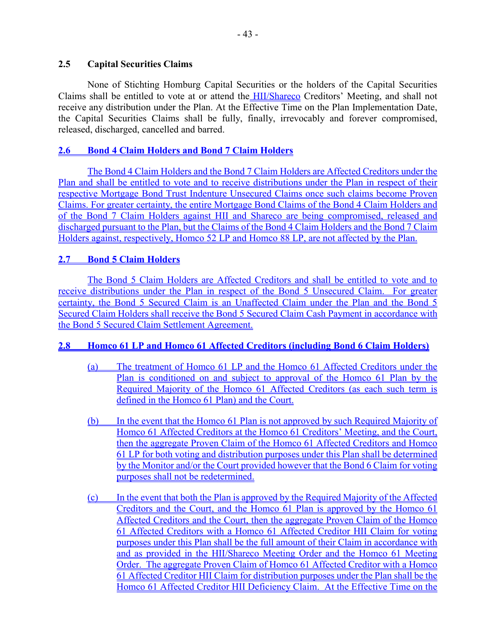# **2.5 Capital Securities Claims**

None of Stichting Homburg Capital Securities or the holders of the Capital Securities Claims shall be entitled to vote at or attend the HII/Shareco Creditors' Meeting, and shall not receive any distribution under the Plan. At the Effective Time on the Plan Implementation Date, the Capital Securities Claims shall be fully, finally, irrevocably and forever compromised, released, discharged, cancelled and barred.

# **2.6 Bond 4 Claim Holders and Bond 7 Claim Holders**

The Bond 4 Claim Holders and the Bond 7 Claim Holders are Affected Creditors under the Plan and shall be entitled to vote and to receive distributions under the Plan in respect of their respective Mortgage Bond Trust Indenture Unsecured Claims once such claims become Proven Claims. For greater certainty, the entire Mortgage Bond Claims of the Bond 4 Claim Holders and of the Bond 7 Claim Holders against HII and Shareco are being compromised, released and discharged pursuant to the Plan, but the Claims of the Bond 4 Claim Holders and the Bond 7 Claim Holders against, respectively, Homco 52 LP and Homco 88 LP, are not affected by the Plan.

# **2.7 Bond 5 Claim Holders**

The Bond 5 Claim Holders are Affected Creditors and shall be entitled to vote and to receive distributions under the Plan in respect of the Bond 5 Unsecured Claim. For greater certainty, the Bond 5 Secured Claim is an Unaffected Claim under the Plan and the Bond 5 Secured Claim Holders shall receive the Bond 5 Secured Claim Cash Payment in accordance with the Bond 5 Secured Claim Settlement Agreement.

# **2.8 Homco 61 LP and Homco 61 Affected Creditors (including Bond 6 Claim Holders)**

- (a) The treatment of Homco 61 LP and the Homco 61 Affected Creditors under the Plan is conditioned on and subject to approval of the Homco 61 Plan by the Required Majority of the Homco 61 Affected Creditors (as each such term is defined in the Homco 61 Plan) and the Court.
- (b) In the event that the Homco 61 Plan is not approved by such Required Majority of Homco 61 Affected Creditors at the Homco 61 Creditors' Meeting, and the Court, then the aggregate Proven Claim of the Homco 61 Affected Creditors and Homco 61 LP for both voting and distribution purposes under this Plan shall be determined by the Monitor and/or the Court provided however that the Bond 6 Claim for voting purposes shall not be redetermined.
- (c) In the event that both the Plan is approved by the Required Majority of the Affected Creditors and the Court, and the Homco 61 Plan is approved by the Homco 61 Affected Creditors and the Court, then the aggregate Proven Claim of the Homco 61 Affected Creditors with a Homco 61 Affected Creditor HII Claim for voting purposes under this Plan shall be the full amount of their Claim in accordance with and as provided in the HII/Shareco Meeting Order and the Homco 61 Meeting Order. The aggregate Proven Claim of Homco 61 Affected Creditor with a Homco 61 Affected Creditor HII Claim for distribution purposes under the Plan shall be the Homco 61 Affected Creditor HII Deficiency Claim. At the Effective Time on the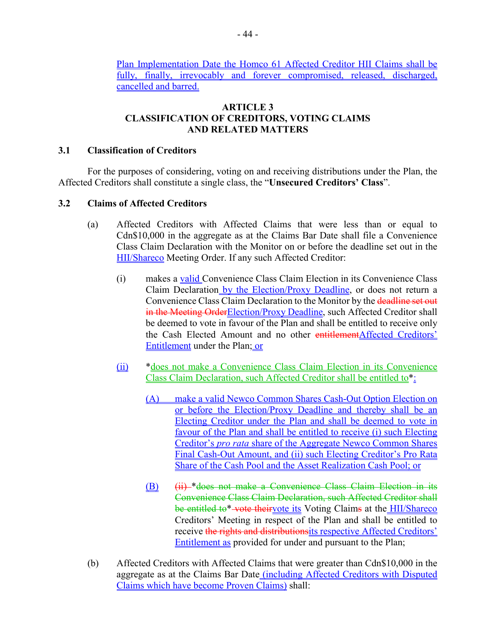Plan Implementation Date the Homco 61 Affected Creditor HII Claims shall be fully, finally, irrevocably and forever compromised, released, discharged, cancelled and barred.

# **ARTICLE 3 CLASSIFICATION OF CREDITORS, VOTING CLAIMS AND RELATED MATTERS**

# **3.1 Classification of Creditors**

For the purposes of considering, voting on and receiving distributions under the Plan, the Affected Creditors shall constitute a single class, the "**Unsecured Creditors' Class**".

# **3.2 Claims of Affected Creditors**

- (a) Affected Creditors with Affected Claims that were less than or equal to Cdn\$10,000 in the aggregate as at the Claims Bar Date shall file a Convenience Class Claim Declaration with the Monitor on or before the deadline set out in the HII/Shareco Meeting Order. If any such Affected Creditor:
	- (i) makes a valid Convenience Class Claim Election in its Convenience Class Claim Declaration by the Election/Proxy Deadline, or does not return a Convenience Class Claim Declaration to the Monitor by the deadline set out in the Meeting Order Election/Proxy Deadline, such Affected Creditor shall be deemed to vote in favour of the Plan and shall be entitled to receive only the Cash Elected Amount and no other entitlementAffected Creditors' Entitlement under the Plan; or
	- (ii) \*does not make a Convenience Class Claim Election in its Convenience Class Claim Declaration, such Affected Creditor shall be entitled to\*:
		- (A) make a valid Newco Common Shares Cash-Out Option Election on or before the Election/Proxy Deadline and thereby shall be an Electing Creditor under the Plan and shall be deemed to vote in favour of the Plan and shall be entitled to receive (i) such Electing Creditor's *pro rata* share of the Aggregate Newco Common Shares Final Cash-Out Amount, and (ii) such Electing Creditor's Pro Rata Share of the Cash Pool and the Asset Realization Cash Pool; or
		- (B) (ii) \*does not make a Convenience Class Claim Election in its Convenience Class Claim Declaration, such Affected Creditor shall be entitled to\*-vote theirvote its Voting Claims at the **HII/Shareco** Creditors' Meeting in respect of the Plan and shall be entitled to receive the rights and distributionsits respective Affected Creditors' Entitlement as provided for under and pursuant to the Plan;
- (b) Affected Creditors with Affected Claims that were greater than Cdn\$10,000 in the aggregate as at the Claims Bar Date (including Affected Creditors with Disputed Claims which have become Proven Claims) shall: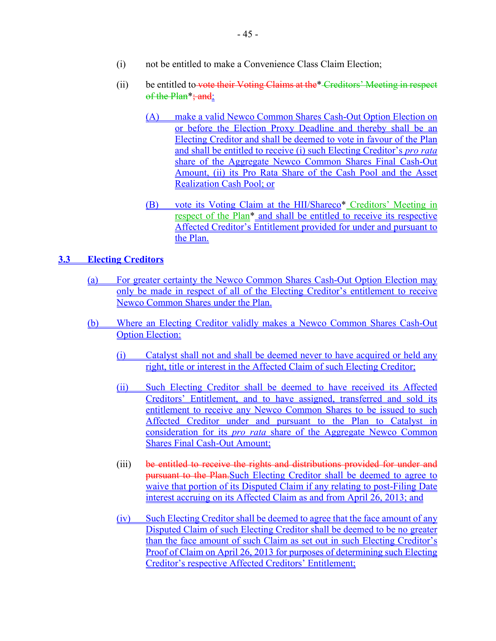- (i) not be entitled to make a Convenience Class Claim Election;
- (ii) be entitled to vote their Voting Claims at the\* Creditors' Meeting in respect of the Plan<sup>\*</sup>; and:
	- (A) make a valid Newco Common Shares Cash-Out Option Election on or before the Election Proxy Deadline and thereby shall be an Electing Creditor and shall be deemed to vote in favour of the Plan and shall be entitled to receive (i) such Electing Creditor's *pro rata* share of the Aggregate Newco Common Shares Final Cash-Out Amount, (ii) its Pro Rata Share of the Cash Pool and the Asset Realization Cash Pool; or
	- (B) vote its Voting Claim at the HII/Shareco<sup>\*</sup> Creditors' Meeting in respect of the Plan\* and shall be entitled to receive its respective Affected Creditor's Entitlement provided for under and pursuant to the Plan.

# **3.3 Electing Creditors**

- (a) For greater certainty the Newco Common Shares Cash-Out Option Election may only be made in respect of all of the Electing Creditor's entitlement to receive Newco Common Shares under the Plan.
- (b) Where an Electing Creditor validly makes a Newco Common Shares Cash-Out Option Election:
	- (i) Catalyst shall not and shall be deemed never to have acquired or held any right, title or interest in the Affected Claim of such Electing Creditor;
	- (ii) Such Electing Creditor shall be deemed to have received its Affected Creditors' Entitlement, and to have assigned, transferred and sold its entitlement to receive any Newco Common Shares to be issued to such Affected Creditor under and pursuant to the Plan to Catalyst in consideration for its *pro rata* share of the Aggregate Newco Common Shares Final Cash-Out Amount;
	- (iii) be entitled to receive the rights and distributions provided for under and pursuant to the Plan.Such Electing Creditor shall be deemed to agree to waive that portion of its Disputed Claim if any relating to post-Filing Date interest accruing on its Affected Claim as and from April 26, 2013; and
	- (iv) Such Electing Creditor shall be deemed to agree that the face amount of any Disputed Claim of such Electing Creditor shall be deemed to be no greater than the face amount of such Claim as set out in such Electing Creditor's Proof of Claim on April 26, 2013 for purposes of determining such Electing Creditor's respective Affected Creditors' Entitlement;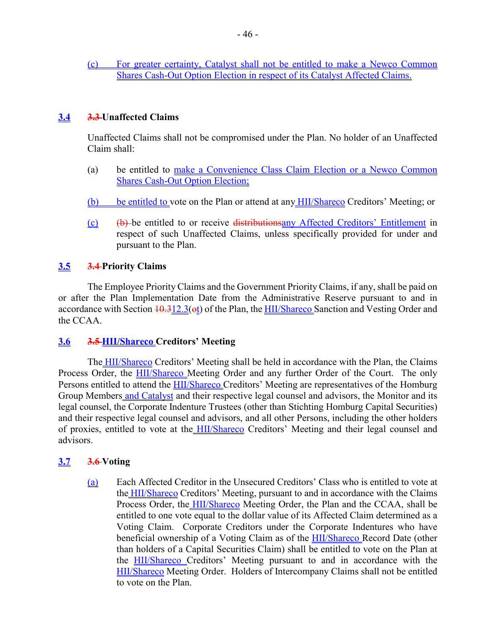(c) For greater certainty, Catalyst shall not be entitled to make a Newco Common Shares Cash-Out Option Election in respect of its Catalyst Affected Claims.

# **3.4 3.3 Unaffected Claims**

Unaffected Claims shall not be compromised under the Plan. No holder of an Unaffected Claim shall:

- (a) be entitled to make a Convenience Class Claim Election or a Newco Common Shares Cash-Out Option Election;
- (b) be entitled to vote on the Plan or attend at any HII/Shareco Creditors' Meeting; or
- (c) (b) be entitled to or receive distributionsany Affected Creditors' Entitlement in respect of such Unaffected Claims, unless specifically provided for under and pursuant to the Plan.

# **3.5 3.4 Priority Claims**

The Employee Priority Claims and the Government Priority Claims, if any, shall be paid on or after the Plan Implementation Date from the Administrative Reserve pursuant to and in accordance with Section  $\frac{10.312.3}{\text{e}t}$  of the Plan, the HII/Shareco Sanction and Vesting Order and the CCAA.

### **3.6 3.5 HII/Shareco Creditors' Meeting**

The HII/Shareco Creditors' Meeting shall be held in accordance with the Plan, the Claims Process Order, the **HII/Shareco** Meeting Order and any further Order of the Court. The only Persons entitled to attend the HII/Shareco Creditors' Meeting are representatives of the Homburg Group Members and Catalyst and their respective legal counsel and advisors, the Monitor and its legal counsel, the Corporate Indenture Trustees (other than Stichting Homburg Capital Securities) and their respective legal counsel and advisors, and all other Persons, including the other holders of proxies, entitled to vote at the HII/Shareco Creditors' Meeting and their legal counsel and advisors.

### **3.7 3.6 Voting**

(a) Each Affected Creditor in the Unsecured Creditors' Class who is entitled to vote at the HII/Shareco Creditors' Meeting, pursuant to and in accordance with the Claims Process Order, the HII/Shareco Meeting Order, the Plan and the CCAA, shall be entitled to one vote equal to the dollar value of its Affected Claim determined as a Voting Claim. Corporate Creditors under the Corporate Indentures who have beneficial ownership of a Voting Claim as of the HII/Shareco Record Date (other than holders of a Capital Securities Claim) shall be entitled to vote on the Plan at the HII/Shareco Creditors' Meeting pursuant to and in accordance with the HII/Shareco Meeting Order. Holders of Intercompany Claims shall not be entitled to vote on the Plan.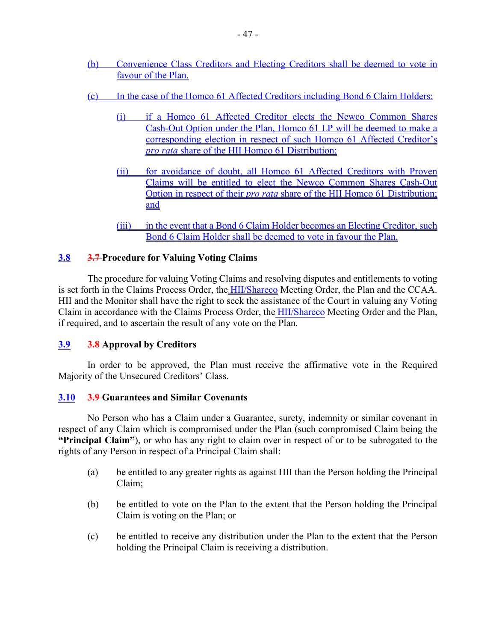- (b) Convenience Class Creditors and Electing Creditors shall be deemed to vote in favour of the Plan.
- (c) In the case of the Homco 61 Affected Creditors including Bond 6 Claim Holders:
	- (i) if a Homco 61 Affected Creditor elects the Newco Common Shares Cash-Out Option under the Plan, Homco 61 LP will be deemed to make a corresponding election in respect of such Homco 61 Affected Creditor's *pro rata* share of the HII Homco 61 Distribution;
	- (ii) for avoidance of doubt, all Homco 61 Affected Creditors with Proven Claims will be entitled to elect the Newco Common Shares Cash-Out Option in respect of their *pro rata* share of the HII Homco 61 Distribution; and
	- (iii) in the event that a Bond 6 Claim Holder becomes an Electing Creditor, such Bond 6 Claim Holder shall be deemed to vote in favour the Plan.

# **3.8 3.7 Procedure for Valuing Voting Claims**

The procedure for valuing Voting Claims and resolving disputes and entitlements to voting is set forth in the Claims Process Order, the HII/Shareco Meeting Order, the Plan and the CCAA. HII and the Monitor shall have the right to seek the assistance of the Court in valuing any Voting Claim in accordance with the Claims Process Order, the HII/Shareco Meeting Order and the Plan, if required, and to ascertain the result of any vote on the Plan.

# **3.9 3.8 Approval by Creditors**

In order to be approved, the Plan must receive the affirmative vote in the Required Majority of the Unsecured Creditors' Class.

### **3.10 3.9 Guarantees and Similar Covenants**

No Person who has a Claim under a Guarantee, surety, indemnity or similar covenant in respect of any Claim which is compromised under the Plan (such compromised Claim being the **"Principal Claim"**), or who has any right to claim over in respect of or to be subrogated to the rights of any Person in respect of a Principal Claim shall:

- (a) be entitled to any greater rights as against HII than the Person holding the Principal Claim;
- (b) be entitled to vote on the Plan to the extent that the Person holding the Principal Claim is voting on the Plan; or
- (c) be entitled to receive any distribution under the Plan to the extent that the Person holding the Principal Claim is receiving a distribution.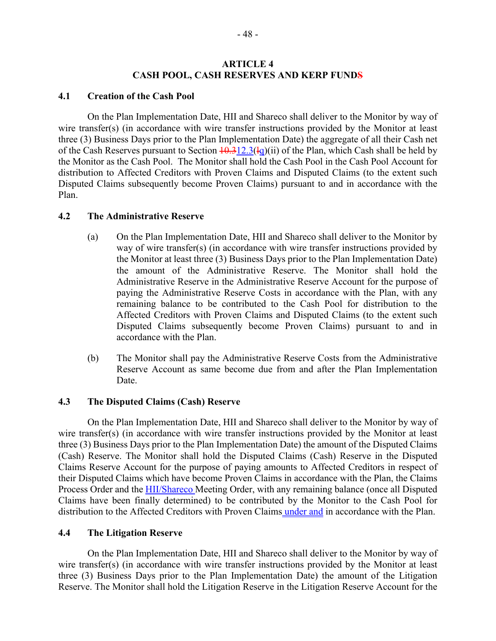#### **ARTICLE 4 CASH POOL, CASH RESERVES AND KERP FUNDS**

#### **4.1 Creation of the Cash Pool**

On the Plan Implementation Date, HII and Shareco shall deliver to the Monitor by way of wire transfer(s) (in accordance with wire transfer instructions provided by the Monitor at least three (3) Business Days prior to the Plan Implementation Date) the aggregate of all their Cash net of the Cash Reserves pursuant to Section  $\frac{10.312.3(\text{kg})(\text{ii})}{100}$  of the Plan, which Cash shall be held by the Monitor as the Cash Pool. The Monitor shall hold the Cash Pool in the Cash Pool Account for distribution to Affected Creditors with Proven Claims and Disputed Claims (to the extent such Disputed Claims subsequently become Proven Claims) pursuant to and in accordance with the Plan.

#### **4.2 The Administrative Reserve**

- (a) On the Plan Implementation Date, HII and Shareco shall deliver to the Monitor by way of wire transfer(s) (in accordance with wire transfer instructions provided by the Monitor at least three (3) Business Days prior to the Plan Implementation Date) the amount of the Administrative Reserve. The Monitor shall hold the Administrative Reserve in the Administrative Reserve Account for the purpose of paying the Administrative Reserve Costs in accordance with the Plan, with any remaining balance to be contributed to the Cash Pool for distribution to the Affected Creditors with Proven Claims and Disputed Claims (to the extent such Disputed Claims subsequently become Proven Claims) pursuant to and in accordance with the Plan.
- (b) The Monitor shall pay the Administrative Reserve Costs from the Administrative Reserve Account as same become due from and after the Plan Implementation **Date**

### **4.3 The Disputed Claims (Cash) Reserve**

On the Plan Implementation Date, HII and Shareco shall deliver to the Monitor by way of wire transfer(s) (in accordance with wire transfer instructions provided by the Monitor at least three (3) Business Days prior to the Plan Implementation Date) the amount of the Disputed Claims (Cash) Reserve. The Monitor shall hold the Disputed Claims (Cash) Reserve in the Disputed Claims Reserve Account for the purpose of paying amounts to Affected Creditors in respect of their Disputed Claims which have become Proven Claims in accordance with the Plan, the Claims Process Order and the HII/Shareco Meeting Order, with any remaining balance (once all Disputed Claims have been finally determined) to be contributed by the Monitor to the Cash Pool for distribution to the Affected Creditors with Proven Claims *under and* in accordance with the Plan.

#### **4.4 The Litigation Reserve**

On the Plan Implementation Date, HII and Shareco shall deliver to the Monitor by way of wire transfer(s) (in accordance with wire transfer instructions provided by the Monitor at least three (3) Business Days prior to the Plan Implementation Date) the amount of the Litigation Reserve. The Monitor shall hold the Litigation Reserve in the Litigation Reserve Account for the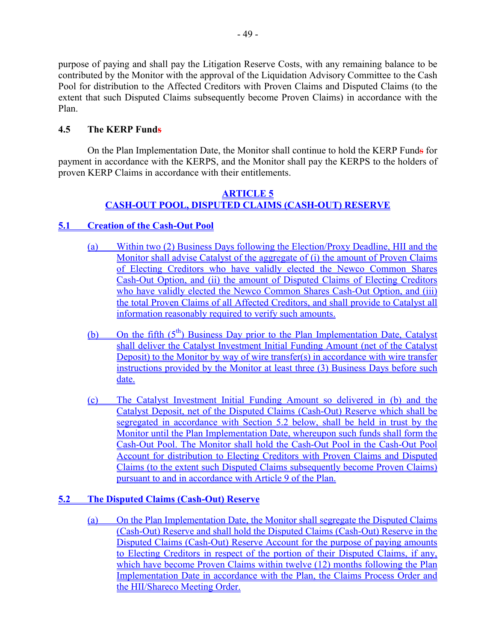purpose of paying and shall pay the Litigation Reserve Costs, with any remaining balance to be contributed by the Monitor with the approval of the Liquidation Advisory Committee to the Cash Pool for distribution to the Affected Creditors with Proven Claims and Disputed Claims (to the extent that such Disputed Claims subsequently become Proven Claims) in accordance with the Plan.

# **4.5 The KERP Funds**

On the Plan Implementation Date, the Monitor shall continue to hold the KERP Funds for payment in accordance with the KERPS, and the Monitor shall pay the KERPS to the holders of proven KERP Claims in accordance with their entitlements.

# **ARTICLE 5 CASH-OUT POOL, DISPUTED CLAIMS (CASH-OUT) RESERVE**

# **5.1 Creation of the Cash-Out Pool**

- (a) Within two (2) Business Days following the Election/Proxy Deadline, HII and the Monitor shall advise Catalyst of the aggregate of (i) the amount of Proven Claims of Electing Creditors who have validly elected the Newco Common Shares Cash-Out Option, and (ii) the amount of Disputed Claims of Electing Creditors who have validly elected the Newco Common Shares Cash-Out Option, and (iii) the total Proven Claims of all Affected Creditors, and shall provide to Catalyst all information reasonably required to verify such amounts.
- (b) On the fifth  $(5<sup>th</sup>)$  Business Day prior to the Plan Implementation Date, Catalyst shall deliver the Catalyst Investment Initial Funding Amount (net of the Catalyst Deposit) to the Monitor by way of wire transfer(s) in accordance with wire transfer instructions provided by the Monitor at least three (3) Business Days before such date.
- (c) The Catalyst Investment Initial Funding Amount so delivered in (b) and the Catalyst Deposit, net of the Disputed Claims (Cash-Out) Reserve which shall be segregated in accordance with Section 5.2 below, shall be held in trust by the Monitor until the Plan Implementation Date, whereupon such funds shall form the Cash-Out Pool. The Monitor shall hold the Cash-Out Pool in the Cash-Out Pool Account for distribution to Electing Creditors with Proven Claims and Disputed Claims (to the extent such Disputed Claims subsequently become Proven Claims) pursuant to and in accordance with Article 9 of the Plan.

# **5.2 The Disputed Claims (Cash-Out) Reserve**

(a) On the Plan Implementation Date, the Monitor shall segregate the Disputed Claims (Cash-Out) Reserve and shall hold the Disputed Claims (Cash-Out) Reserve in the Disputed Claims (Cash-Out) Reserve Account for the purpose of paying amounts to Electing Creditors in respect of the portion of their Disputed Claims, if any, which have become Proven Claims within twelve (12) months following the Plan Implementation Date in accordance with the Plan, the Claims Process Order and the HII/Shareco Meeting Order.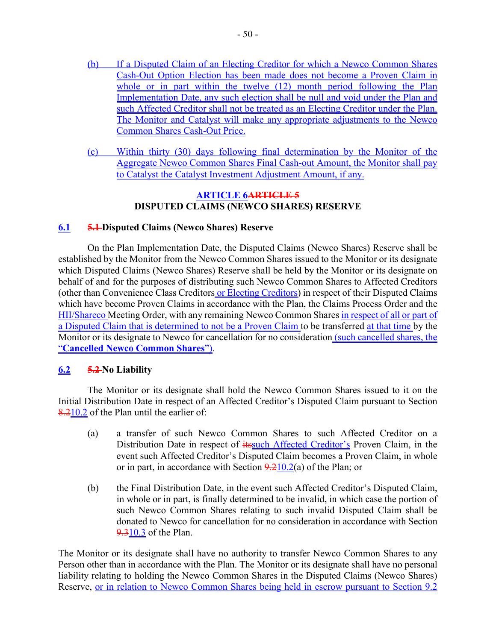- (b) If a Disputed Claim of an Electing Creditor for which a Newco Common Shares Cash-Out Option Election has been made does not become a Proven Claim in whole or in part within the twelve (12) month period following the Plan Implementation Date, any such election shall be null and void under the Plan and such Affected Creditor shall not be treated as an Electing Creditor under the Plan. The Monitor and Catalyst will make any appropriate adjustments to the Newco Common Shares Cash-Out Price.
- (c) Within thirty (30) days following final determination by the Monitor of the Aggregate Newco Common Shares Final Cash-out Amount, the Monitor shall pay to Catalyst the Catalyst Investment Adjustment Amount, if any.

### **ARTICLE 6ARTICLE 5 DISPUTED CLAIMS (NEWCO SHARES) RESERVE**

# **6.1 5.1 Disputed Claims (Newco Shares) Reserve**

On the Plan Implementation Date, the Disputed Claims (Newco Shares) Reserve shall be established by the Monitor from the Newco Common Shares issued to the Monitor or its designate which Disputed Claims (Newco Shares) Reserve shall be held by the Monitor or its designate on behalf of and for the purposes of distributing such Newco Common Shares to Affected Creditors (other than Convenience Class Creditors or Electing Creditors) in respect of their Disputed Claims which have become Proven Claims in accordance with the Plan, the Claims Process Order and the HII/Shareco Meeting Order, with any remaining Newco Common Shares in respect of all or part of a Disputed Claim that is determined to not be a Proven Claim to be transferred at that time by the Monitor or its designate to Newco for cancellation for no consideration (such cancelled shares, the "**Cancelled Newco Common Shares**").

# **6.2 5.2 No Liability**

The Monitor or its designate shall hold the Newco Common Shares issued to it on the Initial Distribution Date in respect of an Affected Creditor's Disputed Claim pursuant to Section 8.210.2 of the Plan until the earlier of:

- (a) a transfer of such Newco Common Shares to such Affected Creditor on a Distribution Date in respect of **its**such Affected Creditor's Proven Claim, in the event such Affected Creditor's Disputed Claim becomes a Proven Claim, in whole or in part, in accordance with Section  $9.210.2(a)$  of the Plan; or
- (b) the Final Distribution Date, in the event such Affected Creditor's Disputed Claim, in whole or in part, is finally determined to be invalid, in which case the portion of such Newco Common Shares relating to such invalid Disputed Claim shall be donated to Newco for cancellation for no consideration in accordance with Section 9.310.3 of the Plan.

The Monitor or its designate shall have no authority to transfer Newco Common Shares to any Person other than in accordance with the Plan. The Monitor or its designate shall have no personal liability relating to holding the Newco Common Shares in the Disputed Claims (Newco Shares) Reserve, or in relation to Newco Common Shares being held in escrow pursuant to Section 9.2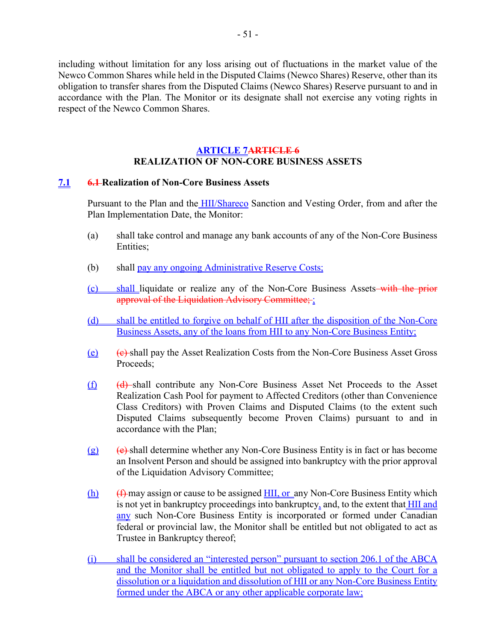including without limitation for any loss arising out of fluctuations in the market value of the Newco Common Shares while held in the Disputed Claims (Newco Shares) Reserve, other than its obligation to transfer shares from the Disputed Claims (Newco Shares) Reserve pursuant to and in accordance with the Plan. The Monitor or its designate shall not exercise any voting rights in respect of the Newco Common Shares.

# **ARTICLE 7ARTICLE 6 REALIZATION OF NON-CORE BUSINESS ASSETS**

#### **7.1 6.1 Realization of Non-Core Business Assets**

Pursuant to the Plan and the **HII/Shareco** Sanction and Vesting Order, from and after the Plan Implementation Date, the Monitor:

- (a) shall take control and manage any bank accounts of any of the Non-Core Business Entities;
- (b) shall pay any ongoing Administrative Reserve Costs;
- (c) shall liquidate or realize any of the Non-Core Business Assets with the prior approval of the Liquidation Advisory Committee; ;
- (d) shall be entitled to forgive on behalf of HII after the disposition of the Non-Core Business Assets, any of the loans from HII to any Non-Core Business Entity;
- $(e)$  (e) shall pay the Asset Realization Costs from the Non-Core Business Asset Gross Proceeds;
- (f) (d) shall contribute any Non-Core Business Asset Net Proceeds to the Asset Realization Cash Pool for payment to Affected Creditors (other than Convenience Class Creditors) with Proven Claims and Disputed Claims (to the extent such Disputed Claims subsequently become Proven Claims) pursuant to and in accordance with the Plan;
- $(g)$  (e) shall determine whether any Non-Core Business Entity is in fact or has become an Insolvent Person and should be assigned into bankruptcy with the prior approval of the Liquidation Advisory Committee;
- $(h)$  (f) may assign or cause to be assigned  $HII$ , or any Non-Core Business Entity which is not yet in bankruptcy proceedings into bankruptcy, and, to the extent that **HII** and any such Non-Core Business Entity is incorporated or formed under Canadian federal or provincial law, the Monitor shall be entitled but not obligated to act as Trustee in Bankruptcy thereof;
- (i) shall be considered an "interested person" pursuant to section 206.1 of the ABCA and the Monitor shall be entitled but not obligated to apply to the Court for a dissolution or a liquidation and dissolution of HII or any Non-Core Business Entity formed under the ABCA or any other applicable corporate law;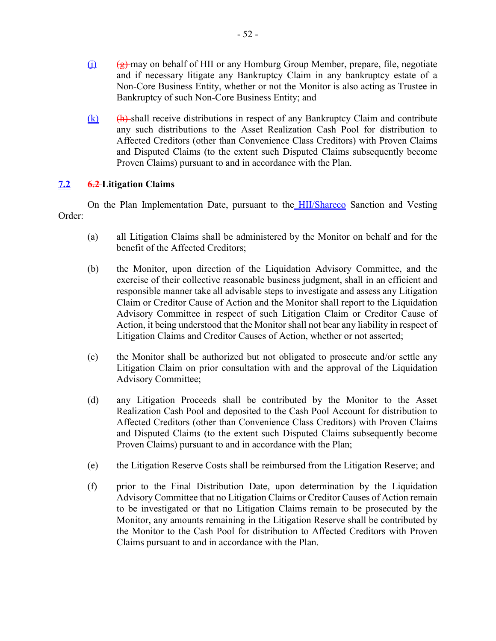- $(i)$  (g) may on behalf of HII or any Homburg Group Member, prepare, file, negotiate and if necessary litigate any Bankruptcy Claim in any bankruptcy estate of a Non-Core Business Entity, whether or not the Monitor is also acting as Trustee in Bankruptcy of such Non-Core Business Entity; and
- $(k)$  (h) shall receive distributions in respect of any Bankruptcy Claim and contribute any such distributions to the Asset Realization Cash Pool for distribution to Affected Creditors (other than Convenience Class Creditors) with Proven Claims and Disputed Claims (to the extent such Disputed Claims subsequently become Proven Claims) pursuant to and in accordance with the Plan.

# **7.2 6.2 Litigation Claims**

On the Plan Implementation Date, pursuant to the HII/Shareco Sanction and Vesting Order:

- (a) all Litigation Claims shall be administered by the Monitor on behalf and for the benefit of the Affected Creditors;
- (b) the Monitor, upon direction of the Liquidation Advisory Committee, and the exercise of their collective reasonable business judgment, shall in an efficient and responsible manner take all advisable steps to investigate and assess any Litigation Claim or Creditor Cause of Action and the Monitor shall report to the Liquidation Advisory Committee in respect of such Litigation Claim or Creditor Cause of Action, it being understood that the Monitor shall not bear any liability in respect of Litigation Claims and Creditor Causes of Action, whether or not asserted;
- (c) the Monitor shall be authorized but not obligated to prosecute and/or settle any Litigation Claim on prior consultation with and the approval of the Liquidation Advisory Committee;
- (d) any Litigation Proceeds shall be contributed by the Monitor to the Asset Realization Cash Pool and deposited to the Cash Pool Account for distribution to Affected Creditors (other than Convenience Class Creditors) with Proven Claims and Disputed Claims (to the extent such Disputed Claims subsequently become Proven Claims) pursuant to and in accordance with the Plan;
- (e) the Litigation Reserve Costs shall be reimbursed from the Litigation Reserve; and
- (f) prior to the Final Distribution Date, upon determination by the Liquidation Advisory Committee that no Litigation Claims or Creditor Causes of Action remain to be investigated or that no Litigation Claims remain to be prosecuted by the Monitor, any amounts remaining in the Litigation Reserve shall be contributed by the Monitor to the Cash Pool for distribution to Affected Creditors with Proven Claims pursuant to and in accordance with the Plan.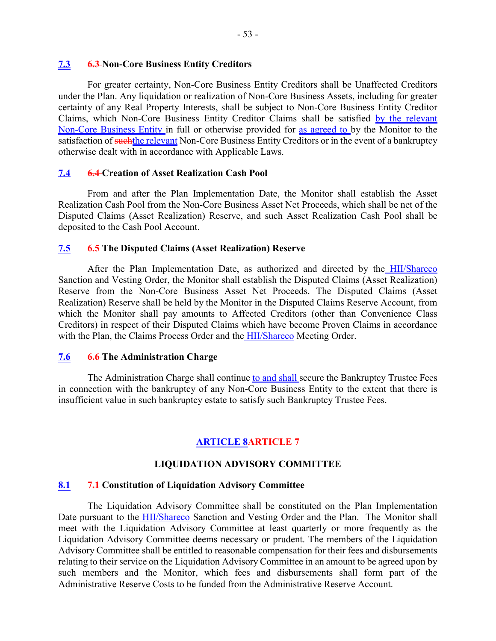#### **7.3 6.3 Non-Core Business Entity Creditors**

For greater certainty, Non-Core Business Entity Creditors shall be Unaffected Creditors under the Plan. Any liquidation or realization of Non-Core Business Assets, including for greater certainty of any Real Property Interests, shall be subject to Non-Core Business Entity Creditor Claims, which Non-Core Business Entity Creditor Claims shall be satisfied by the relevant Non-Core Business Entity in full or otherwise provided for as agreed to by the Monitor to the satisfaction of such the relevant Non-Core Business Entity Creditors or in the event of a bankruptcy otherwise dealt with in accordance with Applicable Laws.

### **7.4 6.4 Creation of Asset Realization Cash Pool**

From and after the Plan Implementation Date, the Monitor shall establish the Asset Realization Cash Pool from the Non-Core Business Asset Net Proceeds, which shall be net of the Disputed Claims (Asset Realization) Reserve, and such Asset Realization Cash Pool shall be deposited to the Cash Pool Account.

### **7.5 6.5 The Disputed Claims (Asset Realization) Reserve**

After the Plan Implementation Date, as authorized and directed by the HII/Shareco Sanction and Vesting Order, the Monitor shall establish the Disputed Claims (Asset Realization) Reserve from the Non-Core Business Asset Net Proceeds. The Disputed Claims (Asset Realization) Reserve shall be held by the Monitor in the Disputed Claims Reserve Account, from which the Monitor shall pay amounts to Affected Creditors (other than Convenience Class Creditors) in respect of their Disputed Claims which have become Proven Claims in accordance with the Plan, the Claims Process Order and the **HII/Shareco** Meeting Order.

#### **7.6 6.6 The Administration Charge**

The Administration Charge shall continue to and shall secure the Bankruptcy Trustee Fees in connection with the bankruptcy of any Non-Core Business Entity to the extent that there is insufficient value in such bankruptcy estate to satisfy such Bankruptcy Trustee Fees.

# **ARTICLE 8ARTICLE 7**

### **LIQUIDATION ADVISORY COMMITTEE**

#### **8.1 7.1 Constitution of Liquidation Advisory Committee**

The Liquidation Advisory Committee shall be constituted on the Plan Implementation Date pursuant to the HII/Shareco Sanction and Vesting Order and the Plan. The Monitor shall meet with the Liquidation Advisory Committee at least quarterly or more frequently as the Liquidation Advisory Committee deems necessary or prudent. The members of the Liquidation Advisory Committee shall be entitled to reasonable compensation for their fees and disbursements relating to their service on the Liquidation Advisory Committee in an amount to be agreed upon by such members and the Monitor, which fees and disbursements shall form part of the Administrative Reserve Costs to be funded from the Administrative Reserve Account.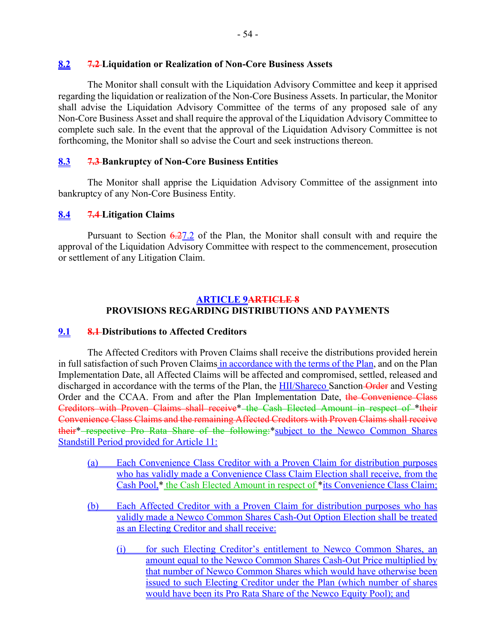### **8.2 7.2 Liquidation or Realization of Non-Core Business Assets**

The Monitor shall consult with the Liquidation Advisory Committee and keep it apprised regarding the liquidation or realization of the Non-Core Business Assets. In particular, the Monitor shall advise the Liquidation Advisory Committee of the terms of any proposed sale of any Non-Core Business Asset and shall require the approval of the Liquidation Advisory Committee to complete such sale. In the event that the approval of the Liquidation Advisory Committee is not forthcoming, the Monitor shall so advise the Court and seek instructions thereon.

# **8.3 7.3 Bankruptcy of Non-Core Business Entities**

The Monitor shall apprise the Liquidation Advisory Committee of the assignment into bankruptcy of any Non-Core Business Entity.

# **8.4 7.4 Litigation Claims**

Pursuant to Section  $6.27.2$  of the Plan, the Monitor shall consult with and require the approval of the Liquidation Advisory Committee with respect to the commencement, prosecution or settlement of any Litigation Claim.

# **ARTICLE 9ARTICLE 8 PROVISIONS REGARDING DISTRIBUTIONS AND PAYMENTS**

### **9.1 8.1 Distributions to Affected Creditors**

The Affected Creditors with Proven Claims shall receive the distributions provided herein in full satisfaction of such Proven Claims in accordance with the terms of the Plan, and on the Plan Implementation Date, all Affected Claims will be affected and compromised, settled, released and discharged in accordance with the terms of the Plan, the HII/Shareco Sanction-Order and Vesting Order and the CCAA. From and after the Plan Implementation Date, the Convenience Class Creditors with Proven Claims shall receive\* the Cash Elected Amount in respect of \*their Convenience Class Claims and the remaining Affected Creditors with Proven Claims shall receive their<sup>\*</sup>-respective Pro Rata Share of the following:\*subject to the Newco Common Shares Standstill Period provided for Article 11:

- (a) Each Convenience Class Creditor with a Proven Claim for distribution purposes who has validly made a Convenience Class Claim Election shall receive, from the Cash Pool,\* the Cash Elected Amount in respect of \*its Convenience Class Claim;
- (b) Each Affected Creditor with a Proven Claim for distribution purposes who has validly made a Newco Common Shares Cash-Out Option Election shall be treated as an Electing Creditor and shall receive:
	- (i) for such Electing Creditor's entitlement to Newco Common Shares, an amount equal to the Newco Common Shares Cash-Out Price multiplied by that number of Newco Common Shares which would have otherwise been issued to such Electing Creditor under the Plan (which number of shares would have been its Pro Rata Share of the Newco Equity Pool); and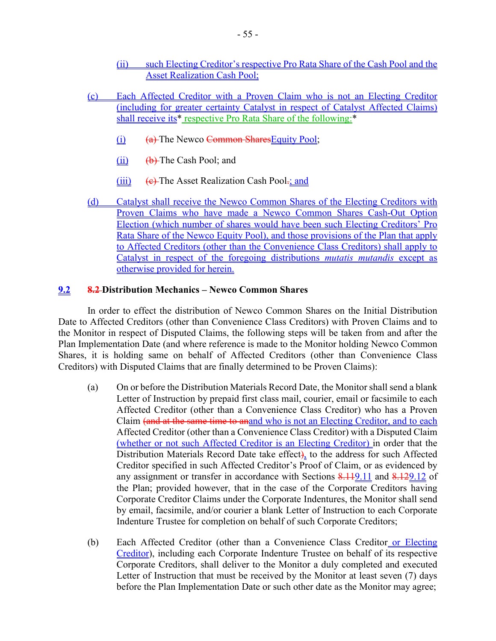- (ii) such Electing Creditor's respective Pro Rata Share of the Cash Pool and the Asset Realization Cash Pool;
- (c) Each Affected Creditor with a Proven Claim who is not an Electing Creditor (including for greater certainty Catalyst in respect of Catalyst Affected Claims) shall receive its\* respective Pro Rata Share of the following:\*
	- $(i)$  (a) The Newco Common Shares Equity Pool;
	- $(ii)$  (b) The Cash Pool; and
	- (iii)  $\left( e\right)$  The Asset Realization Cash Pool.; and
- (d) Catalyst shall receive the Newco Common Shares of the Electing Creditors with Proven Claims who have made a Newco Common Shares Cash-Out Option Election (which number of shares would have been such Electing Creditors' Pro Rata Share of the Newco Equity Pool), and those provisions of the Plan that apply to Affected Creditors (other than the Convenience Class Creditors) shall apply to Catalyst in respect of the foregoing distributions *mutatis mutandis* except as otherwise provided for herein.

### **9.2 8.2 Distribution Mechanics – Newco Common Shares**

In order to effect the distribution of Newco Common Shares on the Initial Distribution Date to Affected Creditors (other than Convenience Class Creditors) with Proven Claims and to the Monitor in respect of Disputed Claims, the following steps will be taken from and after the Plan Implementation Date (and where reference is made to the Monitor holding Newco Common Shares, it is holding same on behalf of Affected Creditors (other than Convenience Class Creditors) with Disputed Claims that are finally determined to be Proven Claims):

- (a) On or before the Distribution Materials Record Date, the Monitor shall send a blank Letter of Instruction by prepaid first class mail, courier, email or facsimile to each Affected Creditor (other than a Convenience Class Creditor) who has a Proven Claim (and at the same time to anand who is not an Electing Creditor, and to each Affected Creditor (other than a Convenience Class Creditor) with a Disputed Claim (whether or not such Affected Creditor is an Electing Creditor) in order that the Distribution Materials Record Date take effect), to the address for such Affected Creditor specified in such Affected Creditor's Proof of Claim, or as evidenced by any assignment or transfer in accordance with Sections 8.119.11 and 8.129.12 of the Plan; provided however, that in the case of the Corporate Creditors having Corporate Creditor Claims under the Corporate Indentures, the Monitor shall send by email, facsimile, and/or courier a blank Letter of Instruction to each Corporate Indenture Trustee for completion on behalf of such Corporate Creditors;
- (b) Each Affected Creditor (other than a Convenience Class Creditor or Electing Creditor), including each Corporate Indenture Trustee on behalf of its respective Corporate Creditors, shall deliver to the Monitor a duly completed and executed Letter of Instruction that must be received by the Monitor at least seven (7) days before the Plan Implementation Date or such other date as the Monitor may agree;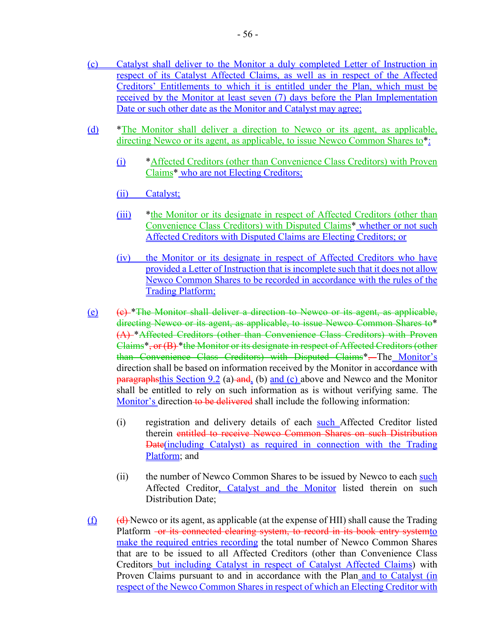- (c) Catalyst shall deliver to the Monitor a duly completed Letter of Instruction in respect of its Catalyst Affected Claims, as well as in respect of the Affected Creditors' Entitlements to which it is entitled under the Plan, which must be received by the Monitor at least seven (7) days before the Plan Implementation Date or such other date as the Monitor and Catalyst may agree;
- (d) \*The Monitor shall deliver a direction to Newco or its agent, as applicable, directing Newco or its agent, as applicable, to issue Newco Common Shares to\*:
	- (i) \*Affected Creditors (other than Convenience Class Creditors) with Proven Claims\* who are not Electing Creditors;
	- (ii) Catalyst;
	- (iii) \*the Monitor or its designate in respect of Affected Creditors (other than Convenience Class Creditors) with Disputed Claims\* whether or not such Affected Creditors with Disputed Claims are Electing Creditors; or
	- (iv) the Monitor or its designate in respect of Affected Creditors who have provided a Letter of Instruction that is incomplete such that it does not allow Newco Common Shares to be recorded in accordance with the rules of the Trading Platform;
- (e) (c) \*The Monitor shall deliver a direction to Newco or its agent, as applicable, directing Newco or its agent, as applicable, to issue Newco Common Shares to\* (A) \*Affected Creditors (other than Convenience Class Creditors) with Proven Claims\*, or (B) \*the Monitor or its designate in respect of Affected Creditors (other than Convenience Class Creditors) with Disputed Claims\*. The Monitor's direction shall be based on information received by the Monitor in accordance with paragraphsthis Section 9.2 (a) and (b) and (c) above and Newco and the Monitor shall be entitled to rely on such information as is without verifying same. The Monitor's direction to be delivered shall include the following information:
	- (i) registration and delivery details of each such Affected Creditor listed therein entitled to receive Newco Common Shares on such Distribution Date(including Catalyst) as required in connection with the Trading Platform; and
	- (ii) the number of Newco Common Shares to be issued by Newco to each such Affected Creditor, Catalyst and the Monitor listed therein on such Distribution Date;
- $(f)$  (d) Newco or its agent, as applicable (at the expense of HII) shall cause the Trading Platform -or its connected clearing system, to record in its book entry systemto make the required entries recording the total number of Newco Common Shares that are to be issued to all Affected Creditors (other than Convenience Class Creditors but including Catalyst in respect of Catalyst Affected Claims) with Proven Claims pursuant to and in accordance with the Plan and to Catalyst (in respect of the Newco Common Shares in respect of which an Electing Creditor with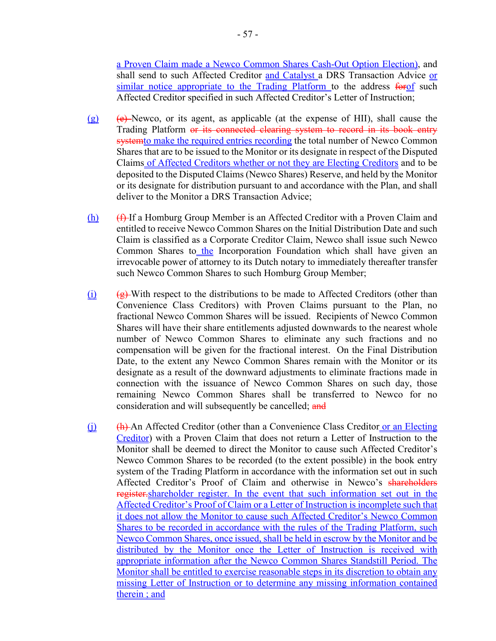a Proven Claim made a Newco Common Shares Cash-Out Option Election), and shall send to such Affected Creditor and Catalyst a DRS Transaction Advice or similar notice appropriate to the Trading Platform to the address forof such Affected Creditor specified in such Affected Creditor's Letter of Instruction;

- (g) (e) Newco, or its agent, as applicable (at the expense of HII), shall cause the Trading Platform or its connected clearing system to record in its book entry system to make the required entries recording the total number of Newco Common Shares that are to be issued to the Monitor or its designate in respect of the Disputed Claims of Affected Creditors whether or not they are Electing Creditors and to be deposited to the Disputed Claims (Newco Shares) Reserve, and held by the Monitor or its designate for distribution pursuant to and accordance with the Plan, and shall deliver to the Monitor a DRS Transaction Advice;
- $(h)$  ( $f$ ) If a Homburg Group Member is an Affected Creditor with a Proven Claim and entitled to receive Newco Common Shares on the Initial Distribution Date and such Claim is classified as a Corporate Creditor Claim, Newco shall issue such Newco Common Shares to the Incorporation Foundation which shall have given an irrevocable power of attorney to its Dutch notary to immediately thereafter transfer such Newco Common Shares to such Homburg Group Member;
- (i)  $\left(\frac{g}{g}\right)$ -With respect to the distributions to be made to Affected Creditors (other than Convenience Class Creditors) with Proven Claims pursuant to the Plan, no fractional Newco Common Shares will be issued. Recipients of Newco Common Shares will have their share entitlements adjusted downwards to the nearest whole number of Newco Common Shares to eliminate any such fractions and no compensation will be given for the fractional interest. On the Final Distribution Date, to the extent any Newco Common Shares remain with the Monitor or its designate as a result of the downward adjustments to eliminate fractions made in connection with the issuance of Newco Common Shares on such day, those remaining Newco Common Shares shall be transferred to Newco for no consideration and will subsequently be cancelled; and
- (j) (h) An Affected Creditor (other than a Convenience Class Creditor or an Electing Creditor) with a Proven Claim that does not return a Letter of Instruction to the Monitor shall be deemed to direct the Monitor to cause such Affected Creditor's Newco Common Shares to be recorded (to the extent possible) in the book entry system of the Trading Platform in accordance with the information set out in such Affected Creditor's Proof of Claim and otherwise in Newco's shareholders register.shareholder register. In the event that such information set out in the Affected Creditor's Proof of Claim or a Letter of Instruction is incomplete such that it does not allow the Monitor to cause such Affected Creditor's Newco Common Shares to be recorded in accordance with the rules of the Trading Platform, such Newco Common Shares, once issued, shall be held in escrow by the Monitor and be distributed by the Monitor once the Letter of Instruction is received with appropriate information after the Newco Common Shares Standstill Period. The Monitor shall be entitled to exercise reasonable steps in its discretion to obtain any missing Letter of Instruction or to determine any missing information contained therein ; and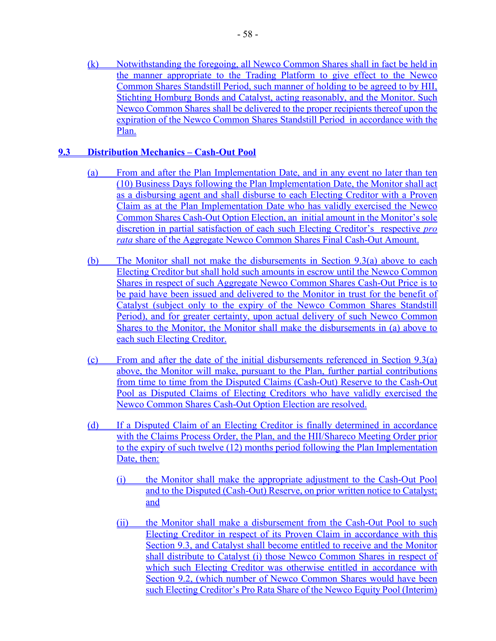(k) Notwithstanding the foregoing, all Newco Common Shares shall in fact be held in the manner appropriate to the Trading Platform to give effect to the Newco Common Shares Standstill Period, such manner of holding to be agreed to by HII, Stichting Homburg Bonds and Catalyst, acting reasonably, and the Monitor. Such Newco Common Shares shall be delivered to the proper recipients thereof upon the expiration of the Newco Common Shares Standstill Period in accordance with the Plan.

### **9.3 Distribution Mechanics – Cash-Out Pool**

- (a) From and after the Plan Implementation Date, and in any event no later than ten (10) Business Days following the Plan Implementation Date, the Monitor shall act as a disbursing agent and shall disburse to each Electing Creditor with a Proven Claim as at the Plan Implementation Date who has validly exercised the Newco Common Shares Cash-Out Option Election, an initial amount in the Monitor's sole discretion in partial satisfaction of each such Electing Creditor's respective *pro rata* share of the Aggregate Newco Common Shares Final Cash-Out Amount.
- (b) The Monitor shall not make the disbursements in Section 9.3(a) above to each Electing Creditor but shall hold such amounts in escrow until the Newco Common Shares in respect of such Aggregate Newco Common Shares Cash-Out Price is to be paid have been issued and delivered to the Monitor in trust for the benefit of Catalyst (subject only to the expiry of the Newco Common Shares Standstill Period), and for greater certainty, upon actual delivery of such Newco Common Shares to the Monitor, the Monitor shall make the disbursements in (a) above to each such Electing Creditor.
- (c) From and after the date of the initial disbursements referenced in Section 9.3(a) above, the Monitor will make, pursuant to the Plan, further partial contributions from time to time from the Disputed Claims (Cash-Out) Reserve to the Cash-Out Pool as Disputed Claims of Electing Creditors who have validly exercised the Newco Common Shares Cash-Out Option Election are resolved.
- (d) If a Disputed Claim of an Electing Creditor is finally determined in accordance with the Claims Process Order, the Plan, and the HII/Shareco Meeting Order prior to the expiry of such twelve (12) months period following the Plan Implementation Date, then:
	- (i) the Monitor shall make the appropriate adjustment to the Cash-Out Pool and to the Disputed (Cash-Out) Reserve, on prior written notice to Catalyst; and
	- (ii) the Monitor shall make a disbursement from the Cash-Out Pool to such Electing Creditor in respect of its Proven Claim in accordance with this Section 9.3, and Catalyst shall become entitled to receive and the Monitor shall distribute to Catalyst (i) those Newco Common Shares in respect of which such Electing Creditor was otherwise entitled in accordance with Section 9.2, (which number of Newco Common Shares would have been such Electing Creditor's Pro Rata Share of the Newco Equity Pool (Interim)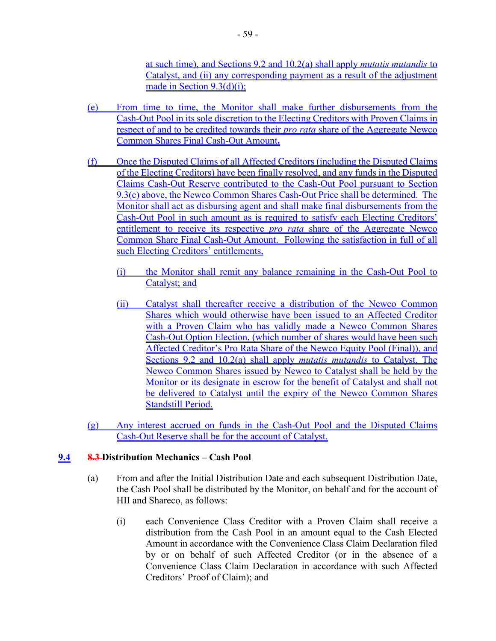at such time), and Sections 9.2 and 10.2(a) shall apply *mutatis mutandis* to Catalyst, and (ii) any corresponding payment as a result of the adjustment made in Section 9.3(d)(i);

- (e) From time to time, the Monitor shall make further disbursements from the Cash-Out Pool in its sole discretion to the Electing Creditors with Proven Claims in respect of and to be credited towards their *pro rata* share of the Aggregate Newco Common Shares Final Cash-Out Amount**.**
- (f) Once the Disputed Claims of all Affected Creditors (including the Disputed Claims of the Electing Creditors) have been finally resolved, and any funds in the Disputed Claims Cash-Out Reserve contributed to the Cash-Out Pool pursuant to Section 9.3(c) above, the Newco Common Shares Cash-Out Price shall be determined. The Monitor shall act as disbursing agent and shall make final disbursements from the Cash-Out Pool in such amount as is required to satisfy each Electing Creditors' entitlement to receive its respective *pro rata* share of the Aggregate Newco Common Share Final Cash-Out Amount. Following the satisfaction in full of all such Electing Creditors' entitlements,
	- (i) the Monitor shall remit any balance remaining in the Cash-Out Pool to Catalyst; and
	- (ii) Catalyst shall thereafter receive a distribution of the Newco Common Shares which would otherwise have been issued to an Affected Creditor with a Proven Claim who has validly made a Newco Common Shares Cash-Out Option Election, (which number of shares would have been such Affected Creditor's Pro Rata Share of the Newco Equity Pool (Final)), and Sections 9.2 and 10.2(a) shall apply *mutatis mutandis* to Catalyst. The Newco Common Shares issued by Newco to Catalyst shall be held by the Monitor or its designate in escrow for the benefit of Catalyst and shall not be delivered to Catalyst until the expiry of the Newco Common Shares Standstill Period.
- (g) Any interest accrued on funds in the Cash-Out Pool and the Disputed Claims Cash-Out Reserve shall be for the account of Catalyst.

# **9.4 8.3 Distribution Mechanics – Cash Pool**

- (a) From and after the Initial Distribution Date and each subsequent Distribution Date, the Cash Pool shall be distributed by the Monitor, on behalf and for the account of HII and Shareco, as follows:
	- (i) each Convenience Class Creditor with a Proven Claim shall receive a distribution from the Cash Pool in an amount equal to the Cash Elected Amount in accordance with the Convenience Class Claim Declaration filed by or on behalf of such Affected Creditor (or in the absence of a Convenience Class Claim Declaration in accordance with such Affected Creditors' Proof of Claim); and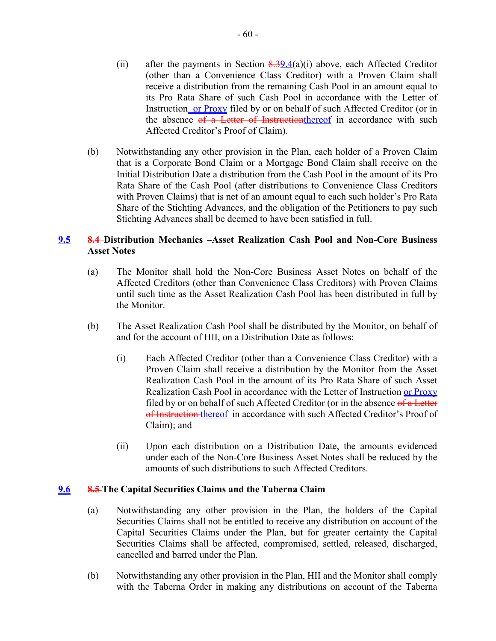- (ii) after the payments in Section  $\frac{8.39.4}{(a)}$  above, each Affected Creditor (other than a Convenience Class Creditor) with a Proven Claim shall receive a distribution from the remaining Cash Pool in an amount equal to its Pro Rata Share of such Cash Pool in accordance with the Letter of Instruction or Proxy filed by or on behalf of such Affected Creditor (or in the absence of a Letter of Instructionthereof in accordance with such Affected Creditor's Proof of Claim).
- (b) Notwithstanding any other provision in the Plan, each holder of a Proven Claim that is a Corporate Bond Claim or a Mortgage Bond Claim shall receive on the Initial Distribution Date a distribution from the Cash Pool in the amount of its Pro Rata Share of the Cash Pool (after distributions to Convenience Class Creditors with Proven Claims) that is net of an amount equal to each such holder's Pro Rata Share of the Stichting Advances, and the obligation of the Petitioners to pay such Stichting Advances shall be deemed to have been satisfied in full.

# **9.5 8.4 Distribution Mechanics –Asset Realization Cash Pool and Non-Core Business Asset Notes**

- (a) The Monitor shall hold the Non-Core Business Asset Notes on behalf of the Affected Creditors (other than Convenience Class Creditors) with Proven Claims until such time as the Asset Realization Cash Pool has been distributed in full by the Monitor.
- (b) The Asset Realization Cash Pool shall be distributed by the Monitor, on behalf of and for the account of HII, on a Distribution Date as follows:
	- (i) Each Affected Creditor (other than a Convenience Class Creditor) with a Proven Claim shall receive a distribution by the Monitor from the Asset Realization Cash Pool in the amount of its Pro Rata Share of such Asset Realization Cash Pool in accordance with the Letter of Instruction or Proxy filed by or on behalf of such Affected Creditor (or in the absence of a Letter of Instruction thereof in accordance with such Affected Creditor's Proof of Claim); and
	- (ii) Upon each distribution on a Distribution Date, the amounts evidenced under each of the Non-Core Business Asset Notes shall be reduced by the amounts of such distributions to such Affected Creditors.

### **9.6 8.5 The Capital Securities Claims and the Taberna Claim**

- (a) Notwithstanding any other provision in the Plan, the holders of the Capital Securities Claims shall not be entitled to receive any distribution on account of the Capital Securities Claims under the Plan, but for greater certainty the Capital Securities Claims shall be affected, compromised, settled, released, discharged, cancelled and barred under the Plan.
- (b) Notwithstanding any other provision in the Plan, HII and the Monitor shall comply with the Taberna Order in making any distributions on account of the Taberna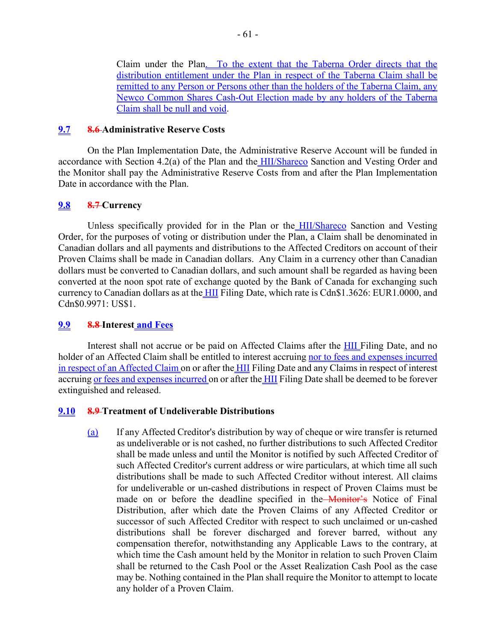Claim under the Plan. To the extent that the Taberna Order directs that the distribution entitlement under the Plan in respect of the Taberna Claim shall be remitted to any Person or Persons other than the holders of the Taberna Claim, any Newco Common Shares Cash-Out Election made by any holders of the Taberna Claim shall be null and void.

### **9.7 8.6 Administrative Reserve Costs**

On the Plan Implementation Date, the Administrative Reserve Account will be funded in accordance with Section 4.2(a) of the Plan and the HII/Shareco Sanction and Vesting Order and the Monitor shall pay the Administrative Reserve Costs from and after the Plan Implementation Date in accordance with the Plan.

### **9.8 8.7 Currency**

Unless specifically provided for in the Plan or the HII/Shareco Sanction and Vesting Order, for the purposes of voting or distribution under the Plan, a Claim shall be denominated in Canadian dollars and all payments and distributions to the Affected Creditors on account of their Proven Claims shall be made in Canadian dollars. Any Claim in a currency other than Canadian dollars must be converted to Canadian dollars, and such amount shall be regarded as having been converted at the noon spot rate of exchange quoted by the Bank of Canada for exchanging such currency to Canadian dollars as at the HII Filing Date, which rate is Cdn\$1.3626: EUR1.0000, and Cdn\$0.9971: US\$1.

# **9.9 8.8 Interest and Fees**

Interest shall not accrue or be paid on Affected Claims after the HII Filing Date, and no holder of an Affected Claim shall be entitled to interest accruing nor to fees and expenses incurred in respect of an Affected Claim on or after the HII Filing Date and any Claims in respect of interest accruing or fees and expenses incurred on or after the HII Filing Date shall be deemed to be forever extinguished and released.

# **9.10 8.9 Treatment of Undeliverable Distributions**

(a) If any Affected Creditor's distribution by way of cheque or wire transfer is returned as undeliverable or is not cashed, no further distributions to such Affected Creditor shall be made unless and until the Monitor is notified by such Affected Creditor of such Affected Creditor's current address or wire particulars, at which time all such distributions shall be made to such Affected Creditor without interest. All claims for undeliverable or un-cashed distributions in respect of Proven Claims must be made on or before the deadline specified in the Monitor's Notice of Final Distribution, after which date the Proven Claims of any Affected Creditor or successor of such Affected Creditor with respect to such unclaimed or un-cashed distributions shall be forever discharged and forever barred, without any compensation therefor, notwithstanding any Applicable Laws to the contrary, at which time the Cash amount held by the Monitor in relation to such Proven Claim shall be returned to the Cash Pool or the Asset Realization Cash Pool as the case may be. Nothing contained in the Plan shall require the Monitor to attempt to locate any holder of a Proven Claim.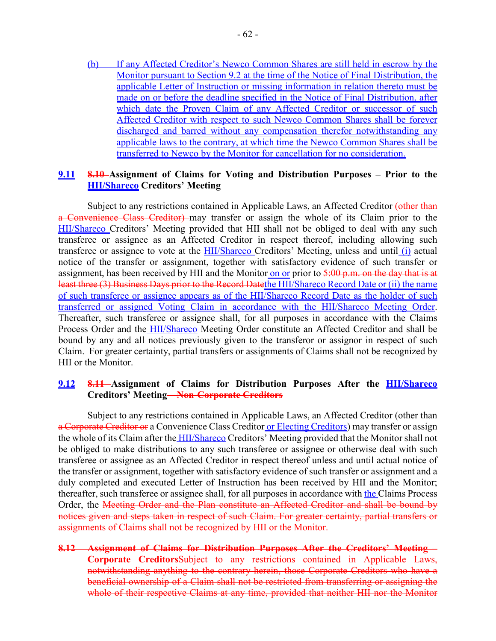(b) If any Affected Creditor's Newco Common Shares are still held in escrow by the Monitor pursuant to Section 9.2 at the time of the Notice of Final Distribution, the applicable Letter of Instruction or missing information in relation thereto must be made on or before the deadline specified in the Notice of Final Distribution, after which date the Proven Claim of any Affected Creditor or successor of such Affected Creditor with respect to such Newco Common Shares shall be forever discharged and barred without any compensation therefor notwithstanding any applicable laws to the contrary, at which time the Newco Common Shares shall be transferred to Newco by the Monitor for cancellation for no consideration.

# **9.11 8.10 Assignment of Claims for Voting and Distribution Purposes – Prior to the HII/Shareco Creditors' Meeting**

Subject to any restrictions contained in Applicable Laws, an Affected Creditor (other than a Convenience Class Creditor) may transfer or assign the whole of its Claim prior to the HII/Shareco Creditors' Meeting provided that HII shall not be obliged to deal with any such transferee or assignee as an Affected Creditor in respect thereof, including allowing such transferee or assignee to vote at the HII/Shareco Creditors' Meeting, unless and until (i) actual notice of the transfer or assignment, together with satisfactory evidence of such transfer or assignment, has been received by HII and the Monitor on or prior to  $\frac{5:00 \text{ p.m.}}{2}$  on the day that is at least three (3) Business Days prior to the Record Datethe HII/Shareco Record Date or (ii) the name of such transferee or assignee appears as of the HII/Shareco Record Date as the holder of such transferred or assigned Voting Claim in accordance with the HII/Shareco Meeting Order. Thereafter, such transferee or assignee shall, for all purposes in accordance with the Claims Process Order and the **HII/Shareco** Meeting Order constitute an Affected Creditor and shall be bound by any and all notices previously given to the transferor or assignor in respect of such Claim. For greater certainty, partial transfers or assignments of Claims shall not be recognized by HII or the Monitor.

### **9.12 8.11 Assignment of Claims for Distribution Purposes After the HII/Shareco Creditors' Meeting – Non-Corporate Creditors**

Subject to any restrictions contained in Applicable Laws, an Affected Creditor (other than a Corporate Creditor or a Convenience Class Creditor or Electing Creditors) may transfer or assign the whole of its Claim after the **HII/Shareco** Creditors' Meeting provided that the Monitor shall not be obliged to make distributions to any such transferee or assignee or otherwise deal with such transferee or assignee as an Affected Creditor in respect thereof unless and until actual notice of the transfer or assignment, together with satisfactory evidence of such transfer or assignment and a duly completed and executed Letter of Instruction has been received by HII and the Monitor; thereafter, such transferee or assignee shall, for all purposes in accordance with the Claims Process Order, the Meeting Order and the Plan constitute an Affected Creditor and shall be bound by notices given and steps taken in respect of such Claim. For greater certainty, partial transfers or assignments of Claims shall not be recognized by HII or the Monitor.

**8.12 Assignment of Claims for Distribution Purposes After the Creditors' Meeting – Corporate Creditors**Subject to any restrictions contained in Applicable Laws, notwithstanding anything to the contrary herein, those Corporate Creditors who have a beneficial ownership of a Claim shall not be restricted from transferring or assigning the whole of their respective Claims at any time, provided that neither HII nor the Monitor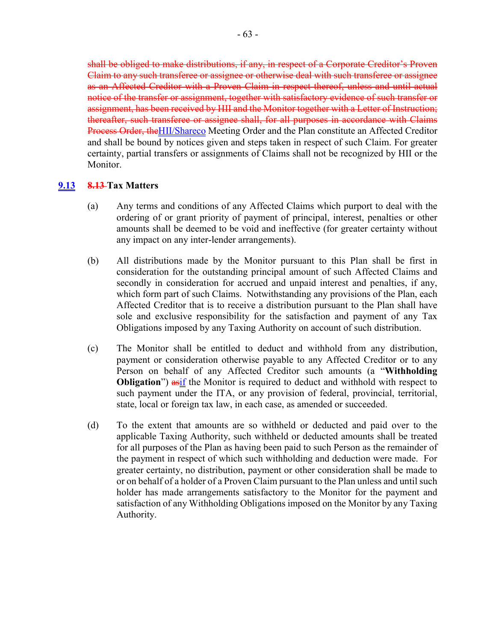shall be obliged to make distributions, if any, in respect of a Corporate Creditor's Proven Claim to any such transferee or assignee or otherwise deal with such transferee or assignee as an Affected Creditor with a Proven Claim in respect thereof, unless and until actual notice of the transfer or assignment, together with satisfactory evidence of such transfer or assignment, has been received by HII and the Monitor together with a Letter of Instruction; thereafter, such transferee or assignee shall, for all purposes in accordance with Claims Process Order, theHII/Shareco Meeting Order and the Plan constitute an Affected Creditor and shall be bound by notices given and steps taken in respect of such Claim. For greater certainty, partial transfers or assignments of Claims shall not be recognized by HII or the Monitor.

# **9.13 8.13 Tax Matters**

- (a) Any terms and conditions of any Affected Claims which purport to deal with the ordering of or grant priority of payment of principal, interest, penalties or other amounts shall be deemed to be void and ineffective (for greater certainty without any impact on any inter-lender arrangements).
- (b) All distributions made by the Monitor pursuant to this Plan shall be first in consideration for the outstanding principal amount of such Affected Claims and secondly in consideration for accrued and unpaid interest and penalties, if any, which form part of such Claims. Notwithstanding any provisions of the Plan, each Affected Creditor that is to receive a distribution pursuant to the Plan shall have sole and exclusive responsibility for the satisfaction and payment of any Tax Obligations imposed by any Taxing Authority on account of such distribution.
- (c) The Monitor shall be entitled to deduct and withhold from any distribution, payment or consideration otherwise payable to any Affected Creditor or to any Person on behalf of any Affected Creditor such amounts (a "**Withholding Obligation**") as if the Monitor is required to deduct and withhold with respect to such payment under the ITA, or any provision of federal, provincial, territorial, state, local or foreign tax law, in each case, as amended or succeeded.
- (d) To the extent that amounts are so withheld or deducted and paid over to the applicable Taxing Authority, such withheld or deducted amounts shall be treated for all purposes of the Plan as having been paid to such Person as the remainder of the payment in respect of which such withholding and deduction were made. For greater certainty, no distribution, payment or other consideration shall be made to or on behalf of a holder of a Proven Claim pursuant to the Plan unless and until such holder has made arrangements satisfactory to the Monitor for the payment and satisfaction of any Withholding Obligations imposed on the Monitor by any Taxing Authority.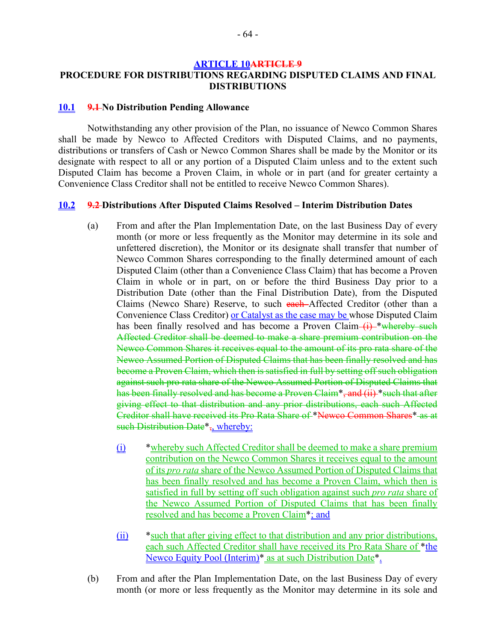#### **ARTICLE 10ARTICLE 9**

# **PROCEDURE FOR DISTRIBUTIONS REGARDING DISPUTED CLAIMS AND FINAL DISTRIBUTIONS**

#### **10.1 9.1 No Distribution Pending Allowance**

Notwithstanding any other provision of the Plan, no issuance of Newco Common Shares shall be made by Newco to Affected Creditors with Disputed Claims, and no payments, distributions or transfers of Cash or Newco Common Shares shall be made by the Monitor or its designate with respect to all or any portion of a Disputed Claim unless and to the extent such Disputed Claim has become a Proven Claim, in whole or in part (and for greater certainty a Convenience Class Creditor shall not be entitled to receive Newco Common Shares).

#### **10.2 9.2 Distributions After Disputed Claims Resolved – Interim Distribution Dates**

- (a) From and after the Plan Implementation Date, on the last Business Day of every month (or more or less frequently as the Monitor may determine in its sole and unfettered discretion), the Monitor or its designate shall transfer that number of Newco Common Shares corresponding to the finally determined amount of each Disputed Claim (other than a Convenience Class Claim) that has become a Proven Claim in whole or in part, on or before the third Business Day prior to a Distribution Date (other than the Final Distribution Date), from the Disputed Claims (Newco Share) Reserve, to such each Affected Creditor (other than a Convenience Class Creditor) or Catalyst as the case may be whose Disputed Claim has been finally resolved and has become a Proven Claim  $(i)$  \*whereby such Affected Creditor shall be deemed to make a share premium contribution on the Newco Common Shares it receives equal to the amount of its pro rata share of the Newco Assumed Portion of Disputed Claims that has been finally resolved and has become a Proven Claim, which then is satisfied in full by setting off such obligation against such pro rata share of the Newco Assumed Portion of Disputed Claims that has been finally resolved and has become a Proven Claim\*, and (ii) \*such that after giving effect to that distribution and any prior distributions, each such Affected Creditor shall have received its Pro Rata Share of \*Newco Common Shares\* as at such Distribution Date<sup>\*</sup>, whereby:
	- (i) \*whereby such Affected Creditor shall be deemed to make a share premium contribution on the Newco Common Shares it receives equal to the amount of its *pro rata* share of the Newco Assumed Portion of Disputed Claims that has been finally resolved and has become a Proven Claim, which then is satisfied in full by setting off such obligation against such *pro rata* share of the Newco Assumed Portion of Disputed Claims that has been finally resolved and has become a Proven Claim\*; and
	- (ii) \*such that after giving effect to that distribution and any prior distributions, each such Affected Creditor shall have received its Pro Rata Share of \*the Newco Equity Pool (Interim)\* as at such Distribution Date\*.
- (b) From and after the Plan Implementation Date, on the last Business Day of every month (or more or less frequently as the Monitor may determine in its sole and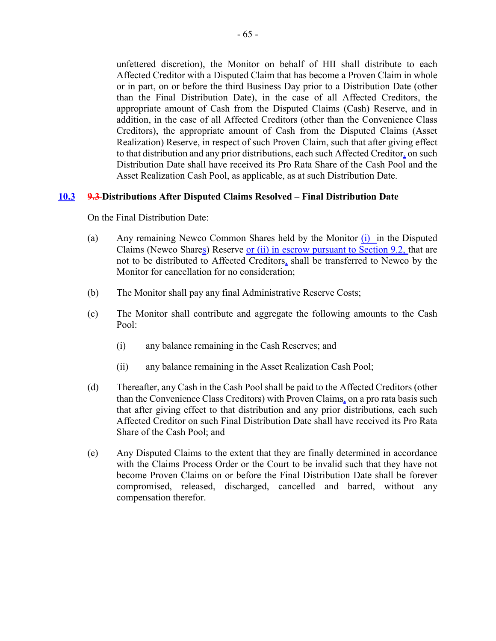unfettered discretion), the Monitor on behalf of HII shall distribute to each Affected Creditor with a Disputed Claim that has become a Proven Claim in whole or in part, on or before the third Business Day prior to a Distribution Date (other than the Final Distribution Date), in the case of all Affected Creditors, the appropriate amount of Cash from the Disputed Claims (Cash) Reserve, and in addition, in the case of all Affected Creditors (other than the Convenience Class Creditors), the appropriate amount of Cash from the Disputed Claims (Asset Realization) Reserve, in respect of such Proven Claim, such that after giving effect to that distribution and any prior distributions, each such Affected Creditor, on such Distribution Date shall have received its Pro Rata Share of the Cash Pool and the Asset Realization Cash Pool, as applicable, as at such Distribution Date.

# **10.3 9.3 Distributions After Disputed Claims Resolved – Final Distribution Date**

On the Final Distribution Date:

- (a) Any remaining Newco Common Shares held by the Monitor (i) in the Disputed Claims (Newco Shares) Reserve or  $(i)$  in escrow pursuant to Section 9.2, that are not to be distributed to Affected Creditors, shall be transferred to Newco by the Monitor for cancellation for no consideration;
- (b) The Monitor shall pay any final Administrative Reserve Costs;
- (c) The Monitor shall contribute and aggregate the following amounts to the Cash Pool:
	- (i) any balance remaining in the Cash Reserves; and
	- (ii) any balance remaining in the Asset Realization Cash Pool;
- (d) Thereafter, any Cash in the Cash Pool shall be paid to the Affected Creditors (other than the Convenience Class Creditors) with Proven Claims, on a pro rata basis such that after giving effect to that distribution and any prior distributions, each such Affected Creditor on such Final Distribution Date shall have received its Pro Rata Share of the Cash Pool; and
- (e) Any Disputed Claims to the extent that they are finally determined in accordance with the Claims Process Order or the Court to be invalid such that they have not become Proven Claims on or before the Final Distribution Date shall be forever compromised, released, discharged, cancelled and barred, without any compensation therefor.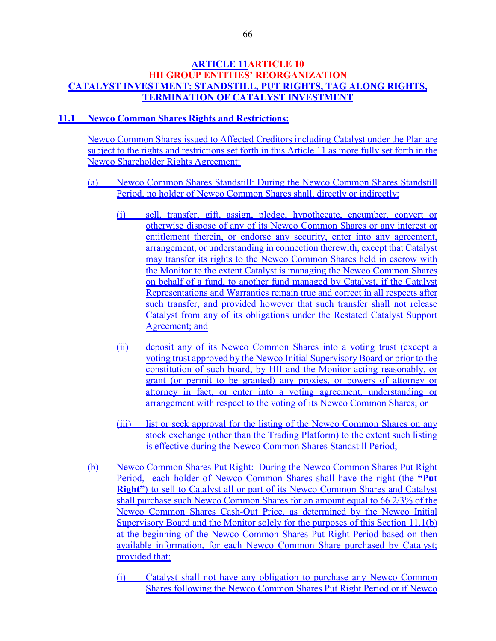### **ARTICLE 11ARTICLE 10 HII GROUP ENTITIES' REORGANIZATION CATALYST INVESTMENT: STANDSTILL, PUT RIGHTS, TAG ALONG RIGHTS, TERMINATION OF CATALYST INVESTMENT**

### **11.1 Newco Common Shares Rights and Restrictions:**

Newco Common Shares issued to Affected Creditors including Catalyst under the Plan are subject to the rights and restrictions set forth in this Article 11 as more fully set forth in the Newco Shareholder Rights Agreement:

- (a) Newco Common Shares Standstill: During the Newco Common Shares Standstill Period, no holder of Newco Common Shares shall, directly or indirectly:
	- (i) sell, transfer, gift, assign, pledge, hypothecate, encumber, convert or otherwise dispose of any of its Newco Common Shares or any interest or entitlement therein, or endorse any security, enter into any agreement, arrangement, or understanding in connection therewith, except that Catalyst may transfer its rights to the Newco Common Shares held in escrow with the Monitor to the extent Catalyst is managing the Newco Common Shares on behalf of a fund, to another fund managed by Catalyst, if the Catalyst Representations and Warranties remain true and correct in all respects after such transfer, and provided however that such transfer shall not release Catalyst from any of its obligations under the Restated Catalyst Support Agreement; and
	- (ii) deposit any of its Newco Common Shares into a voting trust (except a voting trust approved by the Newco Initial Supervisory Board or prior to the constitution of such board, by HII and the Monitor acting reasonably, or grant (or permit to be granted) any proxies, or powers of attorney or attorney in fact, or enter into a voting agreement, understanding or arrangement with respect to the voting of its Newco Common Shares; or
	- (iii) list or seek approval for the listing of the Newco Common Shares on any stock exchange (other than the Trading Platform) to the extent such listing is effective during the Newco Common Shares Standstill Period;
- (b) Newco Common Shares Put Right: During the Newco Common Shares Put Right Period, each holder of Newco Common Shares shall have the right (the **"Put Right"**) to sell to Catalyst all or part of its Newco Common Shares and Catalyst shall purchase such Newco Common Shares for an amount equal to 66 2/3% of the Newco Common Shares Cash-Out Price, as determined by the Newco Initial Supervisory Board and the Monitor solely for the purposes of this Section 11.1(b) at the beginning of the Newco Common Shares Put Right Period based on then available information, for each Newco Common Share purchased by Catalyst; provided that:
	- (i) Catalyst shall not have any obligation to purchase any Newco Common Shares following the Newco Common Shares Put Right Period or if Newco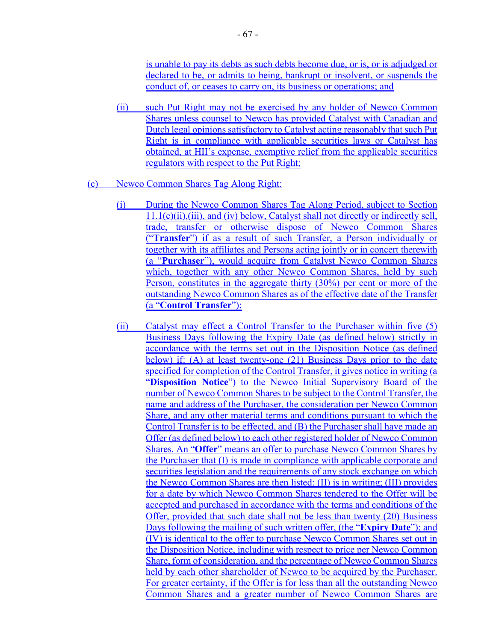is unable to pay its debts as such debts become due, or is, or is adjudged or declared to be, or admits to being, bankrupt or insolvent, or suspends the conduct of, or ceases to carry on, its business or operations; and

(ii) such Put Right may not be exercised by any holder of Newco Common Shares unless counsel to Newco has provided Catalyst with Canadian and Dutch legal opinions satisfactory to Catalyst acting reasonably that such Put Right is in compliance with applicable securities laws or Catalyst has obtained, at HII's expense, exemptive relief from the applicable securities regulators with respect to the Put Right;

### (c) Newco Common Shares Tag Along Right:

- (i) During the Newco Common Shares Tag Along Period, subject to Section 11.1(c)(ii),(iii), and (iv) below, Catalyst shall not directly or indirectly sell, trade, transfer or otherwise dispose of Newco Common Shares ("**Transfer**") if as a result of such Transfer, a Person individually or together with its affiliates and Persons acting jointly or in concert therewith (a "**Purchaser**"), would acquire from Catalyst Newco Common Shares which, together with any other Newco Common Shares, held by such Person, constitutes in the aggregate thirty (30%) per cent or more of the outstanding Newco Common Shares as of the effective date of the Transfer (a "**Control Transfer**");
- (ii) Catalyst may effect a Control Transfer to the Purchaser within five (5) Business Days following the Expiry Date (as defined below) strictly in accordance with the terms set out in the Disposition Notice (as defined below) if: (A) at least twenty-one (21) Business Days prior to the date specified for completion of the Control Transfer, it gives notice in writing (a "**Disposition Notice**") to the Newco Initial Supervisory Board of the number of Newco Common Shares to be subject to the Control Transfer, the name and address of the Purchaser, the consideration per Newco Common Share, and any other material terms and conditions pursuant to which the Control Transfer is to be effected, and (B) the Purchaser shall have made an Offer (as defined below) to each other registered holder of Newco Common Shares. An "**Offer**" means an offer to purchase Newco Common Shares by the Purchaser that (I) is made in compliance with applicable corporate and securities legislation and the requirements of any stock exchange on which the Newco Common Shares are then listed; (II) is in writing; (III) provides for a date by which Newco Common Shares tendered to the Offer will be accepted and purchased in accordance with the terms and conditions of the Offer, provided that such date shall not be less than twenty (20) Business Days following the mailing of such written offer, (the "**Expiry Date**"); and (IV) is identical to the offer to purchase Newco Common Shares set out in the Disposition Notice, including with respect to price per Newco Common Share, form of consideration, and the percentage of Newco Common Shares held by each other shareholder of Newco to be acquired by the Purchaser. For greater certainty, if the Offer is for less than all the outstanding Newco Common Shares and a greater number of Newco Common Shares are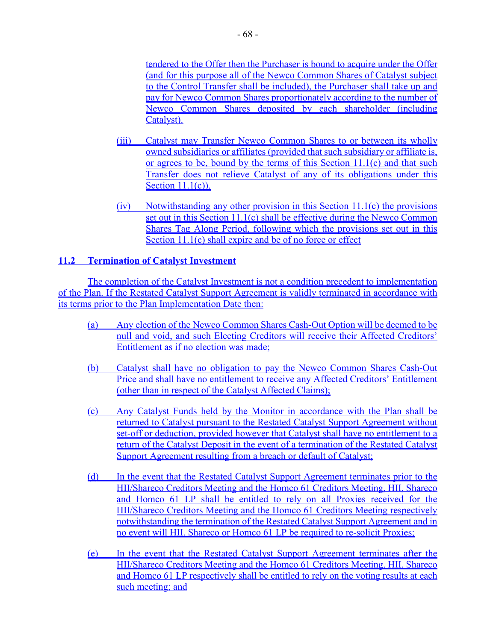tendered to the Offer then the Purchaser is bound to acquire under the Offer (and for this purpose all of the Newco Common Shares of Catalyst subject to the Control Transfer shall be included), the Purchaser shall take up and pay for Newco Common Shares proportionately according to the number of Newco Common Shares deposited by each shareholder (including Catalyst).

- (iii) Catalyst may Transfer Newco Common Shares to or between its wholly owned subsidiaries or affiliates (provided that such subsidiary or affiliate is, or agrees to be, bound by the terms of this Section 11.1(c) and that such Transfer does not relieve Catalyst of any of its obligations under this Section 11.1(c)).
- (iv) Notwithstanding any other provision in this Section 11.1(c) the provisions set out in this Section 11.1(c) shall be effective during the Newco Common Shares Tag Along Period, following which the provisions set out in this Section 11.1(c) shall expire and be of no force or effect

# **11.2 Termination of Catalyst Investment**

The completion of the Catalyst Investment is not a condition precedent to implementation of the Plan. If the Restated Catalyst Support Agreement is validly terminated in accordance with its terms prior to the Plan Implementation Date then:

- (a) Any election of the Newco Common Shares Cash-Out Option will be deemed to be null and void, and such Electing Creditors will receive their Affected Creditors' Entitlement as if no election was made;
- (b) Catalyst shall have no obligation to pay the Newco Common Shares Cash-Out Price and shall have no entitlement to receive any Affected Creditors' Entitlement (other than in respect of the Catalyst Affected Claims);
- (c) Any Catalyst Funds held by the Monitor in accordance with the Plan shall be returned to Catalyst pursuant to the Restated Catalyst Support Agreement without set-off or deduction, provided however that Catalyst shall have no entitlement to a return of the Catalyst Deposit in the event of a termination of the Restated Catalyst Support Agreement resulting from a breach or default of Catalyst;
- (d) In the event that the Restated Catalyst Support Agreement terminates prior to the HII/Shareco Creditors Meeting and the Homco 61 Creditors Meeting, HII, Shareco and Homco 61 LP shall be entitled to rely on all Proxies received for the HII/Shareco Creditors Meeting and the Homco 61 Creditors Meeting respectively notwithstanding the termination of the Restated Catalyst Support Agreement and in no event will HII, Shareco or Homco 61 LP be required to re-solicit Proxies;
- (e) In the event that the Restated Catalyst Support Agreement terminates after the HII/Shareco Creditors Meeting and the Homco 61 Creditors Meeting, HII, Shareco and Homco 61 LP respectively shall be entitled to rely on the voting results at each such meeting; and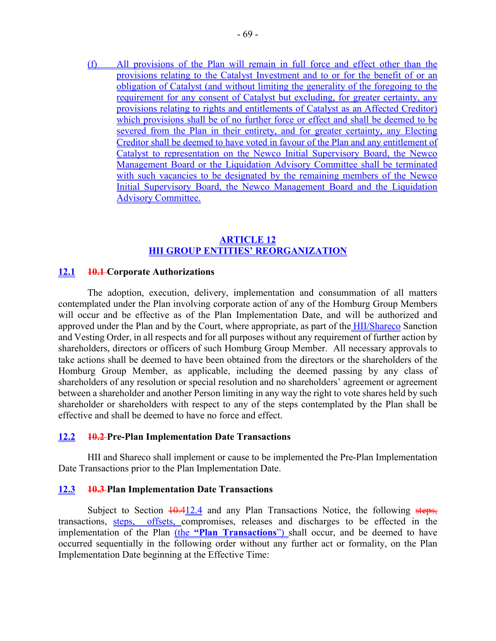(f) All provisions of the Plan will remain in full force and effect other than the provisions relating to the Catalyst Investment and to or for the benefit of or an obligation of Catalyst (and without limiting the generality of the foregoing to the requirement for any consent of Catalyst but excluding, for greater certainty, any provisions relating to rights and entitlements of Catalyst as an Affected Creditor) which provisions shall be of no further force or effect and shall be deemed to be severed from the Plan in their entirety, and for greater certainty, any Electing Creditor shall be deemed to have voted in favour of the Plan and any entitlement of Catalyst to representation on the Newco Initial Supervisory Board, the Newco Management Board or the Liquidation Advisory Committee shall be terminated with such vacancies to be designated by the remaining members of the Newco Initial Supervisory Board, the Newco Management Board and the Liquidation Advisory Committee.

### **ARTICLE 12 HII GROUP ENTITIES' REORGANIZATION**

### **12.1 10.1 Corporate Authorizations**

The adoption, execution, delivery, implementation and consummation of all matters contemplated under the Plan involving corporate action of any of the Homburg Group Members will occur and be effective as of the Plan Implementation Date, and will be authorized and approved under the Plan and by the Court, where appropriate, as part of the HII/Shareco Sanction and Vesting Order, in all respects and for all purposes without any requirement of further action by shareholders, directors or officers of such Homburg Group Member. All necessary approvals to take actions shall be deemed to have been obtained from the directors or the shareholders of the Homburg Group Member, as applicable, including the deemed passing by any class of shareholders of any resolution or special resolution and no shareholders' agreement or agreement between a shareholder and another Person limiting in any way the right to vote shares held by such shareholder or shareholders with respect to any of the steps contemplated by the Plan shall be effective and shall be deemed to have no force and effect.

### **12.2 10.2 Pre-Plan Implementation Date Transactions**

HII and Shareco shall implement or cause to be implemented the Pre-Plan Implementation Date Transactions prior to the Plan Implementation Date.

### **12.3 10.3 Plan Implementation Date Transactions**

Subject to Section  $\frac{10.412.4}{10.412.4}$  and any Plan Transactions Notice, the following steps, transactions, steps, offsets, compromises, releases and discharges to be effected in the implementation of the Plan (the **"Plan Transactions**") shall occur, and be deemed to have occurred sequentially in the following order without any further act or formality, on the Plan Implementation Date beginning at the Effective Time: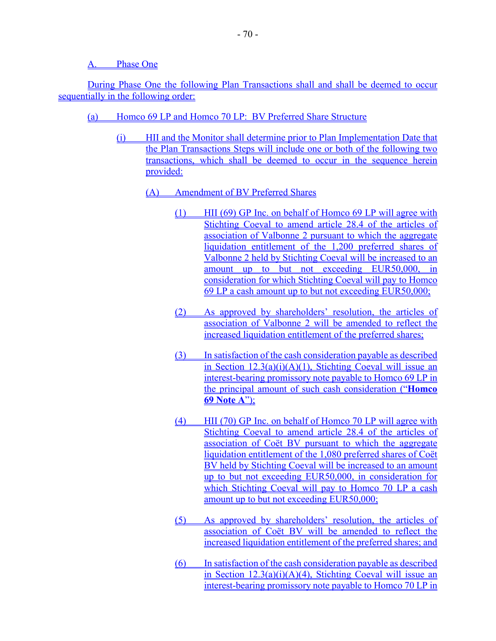A. Phase One

During Phase One the following Plan Transactions shall and shall be deemed to occur sequentially in the following order:

- (a) Homco 69 LP and Homco 70 LP: BV Preferred Share Structure
	- (i) HII and the Monitor shall determine prior to Plan Implementation Date that the Plan Transactions Steps will include one or both of the following two transactions, which shall be deemed to occur in the sequence herein provided:
		- (A) Amendment of BV Preferred Shares
			- (1) HII (69) GP Inc. on behalf of Homco 69 LP will agree with Stichting Coeval to amend article 28.4 of the articles of association of Valbonne 2 pursuant to which the aggregate liquidation entitlement of the 1,200 preferred shares of Valbonne 2 held by Stichting Coeval will be increased to an amount up to but not exceeding EUR50,000, in consideration for which Stichting Coeval will pay to Homco 69 LP a cash amount up to but not exceeding EUR50,000;
			- (2) As approved by shareholders' resolution, the articles of association of Valbonne 2 will be amended to reflect the increased liquidation entitlement of the preferred shares;
			- (3) In satisfaction of the cash consideration payable as described in Section 12.3(a)(i)(A)(1), Stichting Coeval will issue an interest-bearing promissory note payable to Homco 69 LP in the principal amount of such cash consideration ("**Homco 69 Note A**");
			- (4) HII (70) GP Inc. on behalf of Homco 70 LP will agree with Stichting Coeval to amend article 28.4 of the articles of association of Coët BV pursuant to which the aggregate liquidation entitlement of the 1,080 preferred shares of Coët BV held by Stichting Coeval will be increased to an amount up to but not exceeding EUR50,000, in consideration for which Stichting Coeval will pay to Homco 70 LP a cash amount up to but not exceeding EUR50,000;
			- (5) As approved by shareholders' resolution, the articles of association of Coët BV will be amended to reflect the increased liquidation entitlement of the preferred shares; and
			- (6) In satisfaction of the cash consideration payable as described in Section 12.3(a)(i)(A)(4), Stichting Coeval will issue an interest-bearing promissory note payable to Homco 70 LP in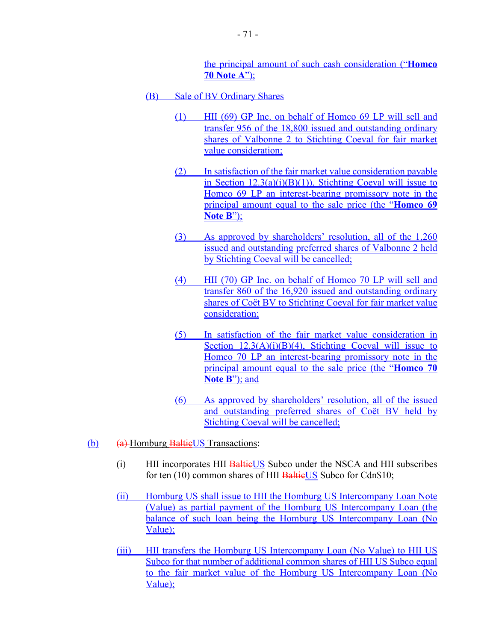the principal amount of such cash consideration ("**Homco 70 Note A**");

- (B) Sale of BV Ordinary Shares
	- (1) HII (69) GP Inc. on behalf of Homco 69 LP will sell and transfer 956 of the 18,800 issued and outstanding ordinary shares of Valbonne 2 to Stichting Coeval for fair market value consideration;
	- (2) In satisfaction of the fair market value consideration payable in Section  $12.3(a)(i)(B)(1)$ ), Stichting Coeval will issue to Homco 69 LP an interest-bearing promissory note in the principal amount equal to the sale price (the "**Homco 69 Note B**");
	- (3) As approved by shareholders' resolution, all of the 1,260 issued and outstanding preferred shares of Valbonne 2 held by Stichting Coeval will be cancelled;
	- (4) HII (70) GP Inc. on behalf of Homco 70 LP will sell and transfer 860 of the 16,920 issued and outstanding ordinary shares of Coët BV to Stichting Coeval for fair market value consideration;
	- (5) In satisfaction of the fair market value consideration in Section  $12.3(A)(i)(B)(4)$ , Stichting Coeval will issue to Homco 70 LP an interest-bearing promissory note in the principal amount equal to the sale price (the "**Homco 70 Note B**"); and
	- (6) As approved by shareholders' resolution, all of the issued and outstanding preferred shares of Coët BV held by Stichting Coeval will be cancelled;
- $(b)$   $(a)$  Homburg **BaltieUS** Transactions:
	- (i) HII incorporates HII BaltieUS Subco under the NSCA and HII subscribes for ten (10) common shares of HII BaltieUS Subco for Cdn\$10;
	- (ii) Homburg US shall issue to HII the Homburg US Intercompany Loan Note (Value) as partial payment of the Homburg US Intercompany Loan (the balance of such loan being the Homburg US Intercompany Loan (No Value);
	- (iii) HII transfers the Homburg US Intercompany Loan (No Value) to HII US Subco for that number of additional common shares of HII US Subco equal to the fair market value of the Homburg US Intercompany Loan (No Value);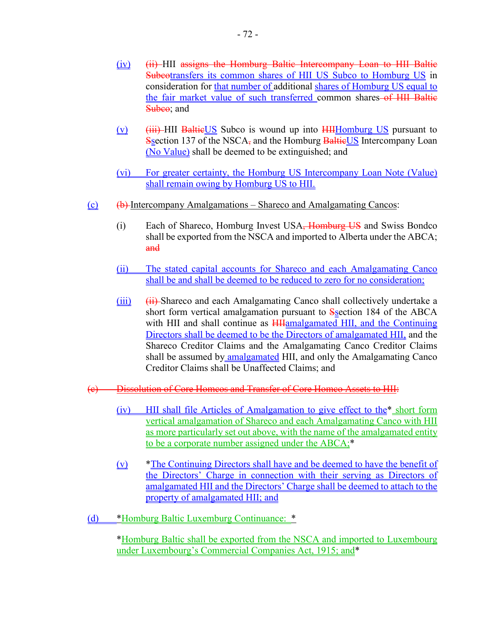- (iv) (ii) HII assigns the Homburg Baltic Intercompany Loan to HII Baltic Subcotransfers its common shares of HII US Subco to Homburg US in consideration for that number of additional shares of Homburg US equal to the fair market value of such transferred common shares of HII Baltic Subco; and
- $(v)$  (iii) HII BaltieUS Subco is wound up into  $HH$  HII Homburg US pursuant to Ssection 137 of the NSCA, and the Homburg **BaltieUS** Intercompany Loan (No Value) shall be deemed to be extinguished; and
- (vi) For greater certainty, the Homburg US Intercompany Loan Note (Value) shall remain owing by Homburg US to HII.
- (c)  $\left(\theta\right)$  Intercompany Amalgamations Shareco and Amalgamating Cancos:
	- (i) Each of Shareco, Homburg Invest USA<del>, Homburg US</del> and Swiss Bondco shall be exported from the NSCA and imported to Alberta under the ABCA; and
	- (ii) The stated capital accounts for Shareco and each Amalgamating Canco shall be and shall be deemed to be reduced to zero for no consideration;
	- $(iii)$   $(ii)$  Shareco and each Amalgamating Canco shall collectively undertake a short form vertical amalgamation pursuant to Ssection 184 of the ABCA with HII and shall continue as **HHamalgamated HII**, and the Continuing Directors shall be deemed to be the Directors of amalgamated HII, and the Shareco Creditor Claims and the Amalgamating Canco Creditor Claims shall be assumed by amalgamated HII, and only the Amalgamating Canco Creditor Claims shall be Unaffected Claims; and
- (c) Dissolution of Core Homcos and Transfer of Core Homco Assets to HII:
	- (iv) HII shall file Articles of Amalgamation to give effect to the\* short form vertical amalgamation of Shareco and each Amalgamating Canco with HII as more particularly set out above, with the name of the amalgamated entity to be a corporate number assigned under the ABCA;\*
	- (v) \*The Continuing Directors shall have and be deemed to have the benefit of the Directors' Charge in connection with their serving as Directors of amalgamated HII and the Directors' Charge shall be deemed to attach to the property of amalgamated HII; and
- (d) \*Homburg Baltic Luxemburg Continuance: \*

\*Homburg Baltic shall be exported from the NSCA and imported to Luxembourg under Luxembourg's Commercial Companies Act, 1915; and\*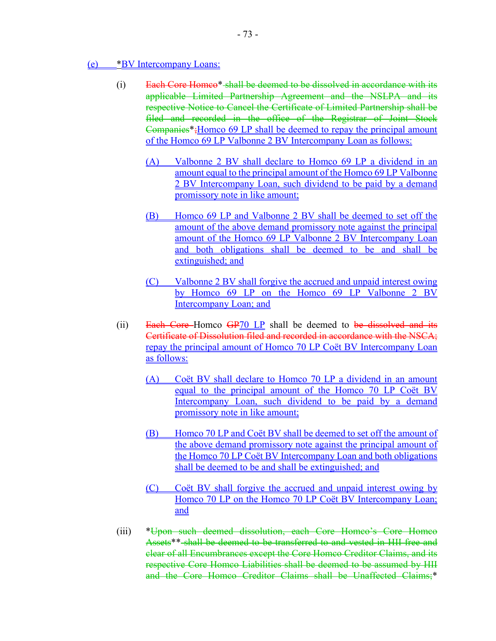#### (e) \*BV Intercompany Loans:

- (i) Each Core Homco\* shall be deemed to be dissolved in accordance with its applicable Limited Partnership Agreement and the NSLPA and its respective Notice to Cancel the Certificate of Limited Partnership shall be filed and recorded in the office of the Registrar of Joint Stock Companies\*;Homco 69 LP shall be deemed to repay the principal amount of the Homco 69 LP Valbonne 2 BV Intercompany Loan as follows:
	- (A) Valbonne 2 BV shall declare to Homco 69 LP a dividend in an amount equal to the principal amount of the Homco 69 LP Valbonne 2 BV Intercompany Loan, such dividend to be paid by a demand promissory note in like amount;
	- (B) Homco 69 LP and Valbonne 2 BV shall be deemed to set off the amount of the above demand promissory note against the principal amount of the Homco 69 LP Valbonne 2 BV Intercompany Loan and both obligations shall be deemed to be and shall be extinguished; and
	- (C) Valbonne 2 BV shall forgive the accrued and unpaid interest owing by Homco 69 LP on the Homco 69 LP Valbonne 2 BV Intercompany Loan; and
- (ii) Each Core-Homco  $GP/0 LP$  shall be deemed to be dissolved and its Certificate of Dissolution filed and recorded in accordance with the NSCA; repay the principal amount of Homco 70 LP Coët BV Intercompany Loan as follows:
	- (A) Coët BV shall declare to Homco 70 LP a dividend in an amount equal to the principal amount of the Homco 70 LP Coët BV Intercompany Loan, such dividend to be paid by a demand promissory note in like amount;
	- (B) Homco 70 LP and Coët BV shall be deemed to set off the amount of the above demand promissory note against the principal amount of the Homco 70 LP Coët BV Intercompany Loan and both obligations shall be deemed to be and shall be extinguished; and
	- (C) Coët BV shall forgive the accrued and unpaid interest owing by Homco 70 LP on the Homco 70 LP Coët BV Intercompany Loan; and
- (iii) \*Upon such deemed dissolution, each Core Homco's Core Homco Assets\*\* shall be deemed to be transferred to and vested in HII free and clear of all Encumbrances except the Core Homco Creditor Claims, and its respective Core Homco Liabilities shall be deemed to be assumed by HII and the Core Homco Creditor Claims shall be Unaffected Claims;\*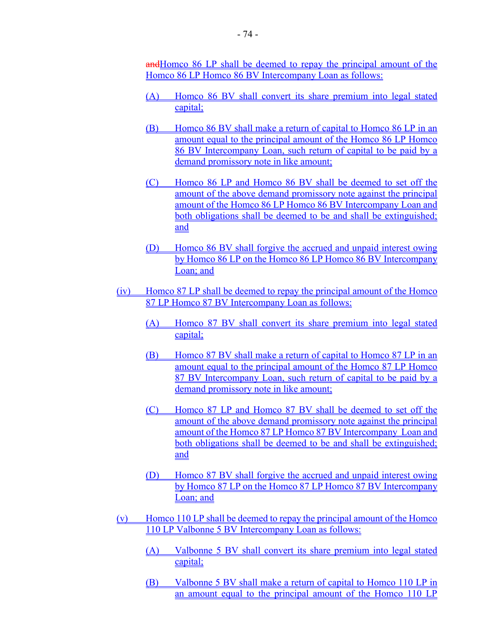andHomco 86 LP shall be deemed to repay the principal amount of the Homco 86 LP Homco 86 BV Intercompany Loan as follows:

- (A) Homco 86 BV shall convert its share premium into legal stated capital;
- (B) Homco 86 BV shall make a return of capital to Homco 86 LP in an amount equal to the principal amount of the Homco 86 LP Homco 86 BV Intercompany Loan, such return of capital to be paid by a demand promissory note in like amount;
- (C) Homco 86 LP and Homco 86 BV shall be deemed to set off the amount of the above demand promissory note against the principal amount of the Homco 86 LP Homco 86 BV Intercompany Loan and both obligations shall be deemed to be and shall be extinguished; and
- (D) Homco 86 BV shall forgive the accrued and unpaid interest owing by Homco 86 LP on the Homco 86 LP Homco 86 BV Intercompany Loan; and
- (iv) Homco 87 LP shall be deemed to repay the principal amount of the Homco 87 LP Homco 87 BV Intercompany Loan as follows:
	- (A) Homco 87 BV shall convert its share premium into legal stated capital;
	- (B) Homco 87 BV shall make a return of capital to Homco 87 LP in an amount equal to the principal amount of the Homco 87 LP Homco 87 BV Intercompany Loan, such return of capital to be paid by a demand promissory note in like amount;
	- (C) Homco 87 LP and Homco 87 BV shall be deemed to set off the amount of the above demand promissory note against the principal amount of the Homco 87 LP Homco 87 BV Intercompany Loan and both obligations shall be deemed to be and shall be extinguished; and
	- (D) Homco 87 BV shall forgive the accrued and unpaid interest owing by Homco 87 LP on the Homco 87 LP Homco 87 BV Intercompany Loan; and
- (v) Homco 110 LP shall be deemed to repay the principal amount of the Homco 110 LP Valbonne 5 BV Intercompany Loan as follows:
	- (A) Valbonne 5 BV shall convert its share premium into legal stated capital;
	- (B) Valbonne 5 BV shall make a return of capital to Homco 110 LP in an amount equal to the principal amount of the Homco 110 LP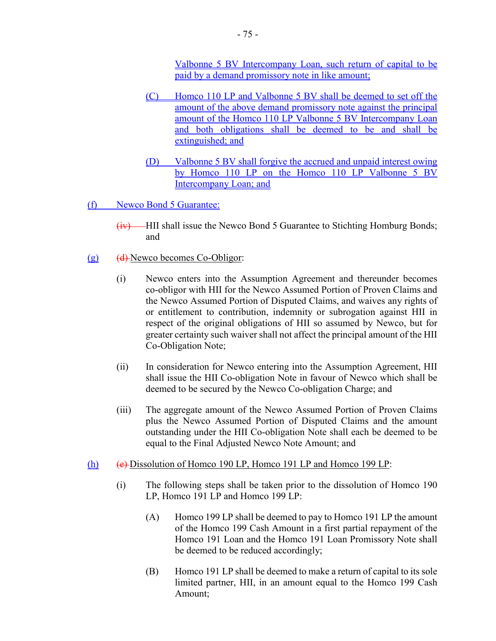Valbonne 5 BV Intercompany Loan, such return of capital to be paid by a demand promissory note in like amount;

- (C) Homco 110 LP and Valbonne 5 BV shall be deemed to set off the amount of the above demand promissory note against the principal amount of the Homco 110 LP Valbonne 5 BV Intercompany Loan and both obligations shall be deemed to be and shall be extinguished; and
- (D) Valbonne 5 BV shall forgive the accrued and unpaid interest owing by Homco 110 LP on the Homco 110 LP Valbonne 5 BV Intercompany Loan; and

(f) Newco Bond 5 Guarantee:

- (iv) HII shall issue the Newco Bond 5 Guarantee to Stichting Homburg Bonds; and
- (g) (d) Newco becomes Co-Obligor:
	- (i) Newco enters into the Assumption Agreement and thereunder becomes co-obligor with HII for the Newco Assumed Portion of Proven Claims and the Newco Assumed Portion of Disputed Claims, and waives any rights of or entitlement to contribution, indemnity or subrogation against HII in respect of the original obligations of HII so assumed by Newco, but for greater certainty such waiver shall not affect the principal amount of the HII Co-Obligation Note;
	- (ii) In consideration for Newco entering into the Assumption Agreement, HII shall issue the HII Co-obligation Note in favour of Newco which shall be deemed to be secured by the Newco Co-obligation Charge; and
	- (iii) The aggregate amount of the Newco Assumed Portion of Proven Claims plus the Newco Assumed Portion of Disputed Claims and the amount outstanding under the HII Co-obligation Note shall each be deemed to be equal to the Final Adjusted Newco Note Amount; and
- (h) (e) Dissolution of Homco 190 LP, Homco 191 LP and Homco 199 LP:
	- (i) The following steps shall be taken prior to the dissolution of Homco 190 LP, Homco 191 LP and Homco 199 LP:
		- (A) Homco 199 LP shall be deemed to pay to Homco 191 LP the amount of the Homco 199 Cash Amount in a first partial repayment of the Homco 191 Loan and the Homco 191 Loan Promissory Note shall be deemed to be reduced accordingly;
		- (B) Homco 191 LP shall be deemed to make a return of capital to its sole limited partner, HII, in an amount equal to the Homco 199 Cash Amount;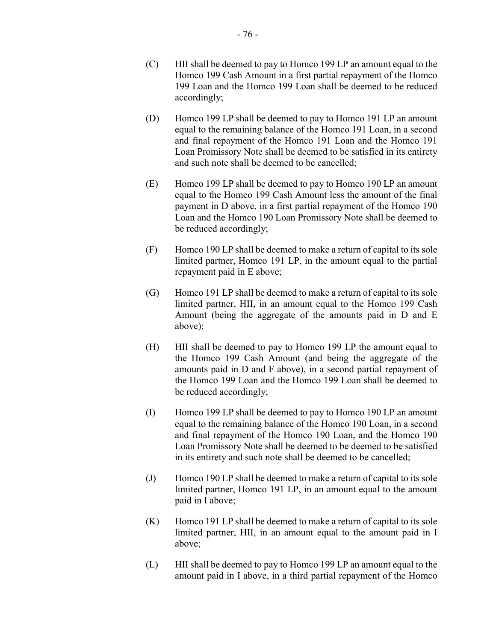- (C) HII shall be deemed to pay to Homco 199 LP an amount equal to the Homco 199 Cash Amount in a first partial repayment of the Homco 199 Loan and the Homco 199 Loan shall be deemed to be reduced accordingly;
- (D) Homco 199 LP shall be deemed to pay to Homco 191 LP an amount equal to the remaining balance of the Homco 191 Loan, in a second and final repayment of the Homco 191 Loan and the Homco 191 Loan Promissory Note shall be deemed to be satisfied in its entirety and such note shall be deemed to be cancelled;
- (E) Homco 199 LP shall be deemed to pay to Homco 190 LP an amount equal to the Homco 199 Cash Amount less the amount of the final payment in D above, in a first partial repayment of the Homco 190 Loan and the Homco 190 Loan Promissory Note shall be deemed to be reduced accordingly;
- (F) Homco 190 LP shall be deemed to make a return of capital to its sole limited partner, Homco 191 LP, in the amount equal to the partial repayment paid in E above;
- (G) Homco 191 LP shall be deemed to make a return of capital to its sole limited partner, HII, in an amount equal to the Homco 199 Cash Amount (being the aggregate of the amounts paid in D and E above);
- (H) HII shall be deemed to pay to Homco 199 LP the amount equal to the Homco 199 Cash Amount (and being the aggregate of the amounts paid in D and F above), in a second partial repayment of the Homco 199 Loan and the Homco 199 Loan shall be deemed to be reduced accordingly;
- (I) Homco 199 LP shall be deemed to pay to Homco 190 LP an amount equal to the remaining balance of the Homco 190 Loan, in a second and final repayment of the Homco 190 Loan, and the Homco 190 Loan Promissory Note shall be deemed to be deemed to be satisfied in its entirety and such note shall be deemed to be cancelled;
- (J) Homco 190 LP shall be deemed to make a return of capital to its sole limited partner, Homco 191 LP, in an amount equal to the amount paid in I above;
- (K) Homco 191 LP shall be deemed to make a return of capital to its sole limited partner, HII, in an amount equal to the amount paid in I above;
- (L) HII shall be deemed to pay to Homco 199 LP an amount equal to the amount paid in I above, in a third partial repayment of the Homco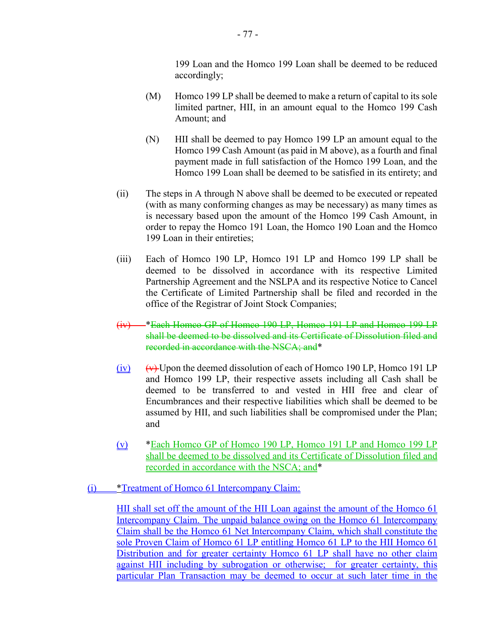199 Loan and the Homco 199 Loan shall be deemed to be reduced accordingly;

- (M) Homco 199 LP shall be deemed to make a return of capital to its sole limited partner, HII, in an amount equal to the Homco 199 Cash Amount; and
- (N) HII shall be deemed to pay Homco 199 LP an amount equal to the Homco 199 Cash Amount (as paid in M above), as a fourth and final payment made in full satisfaction of the Homco 199 Loan, and the Homco 199 Loan shall be deemed to be satisfied in its entirety; and
- (ii) The steps in A through N above shall be deemed to be executed or repeated (with as many conforming changes as may be necessary) as many times as is necessary based upon the amount of the Homco 199 Cash Amount, in order to repay the Homco 191 Loan, the Homco 190 Loan and the Homco 199 Loan in their entireties;
- (iii) Each of Homco 190 LP, Homco 191 LP and Homco 199 LP shall be deemed to be dissolved in accordance with its respective Limited Partnership Agreement and the NSLPA and its respective Notice to Cancel the Certificate of Limited Partnership shall be filed and recorded in the office of the Registrar of Joint Stock Companies;
- (iv) \*Each Homco GP of Homco 190 LP, Homco 191 LP and Homco 199 LP shall be deemed to be dissolved and its Certificate of Dissolution filed and recorded in accordance with the NSCA; and\*
- $(iv)$  (v) Upon the deemed dissolution of each of Homco 190 LP, Homco 191 LP and Homco 199 LP, their respective assets including all Cash shall be deemed to be transferred to and vested in HII free and clear of Encumbrances and their respective liabilities which shall be deemed to be assumed by HII, and such liabilities shall be compromised under the Plan; and
- (v) \*Each Homco GP of Homco 190 LP, Homco 191 LP and Homco 199 LP shall be deemed to be dissolved and its Certificate of Dissolution filed and recorded in accordance with the NSCA; and\*
- (i) \*Treatment of Homco 61 Intercompany Claim:

HII shall set off the amount of the HII Loan against the amount of the Homco 61 Intercompany Claim. The unpaid balance owing on the Homco 61 Intercompany Claim shall be the Homco 61 Net Intercompany Claim, which shall constitute the sole Proven Claim of Homco 61 LP entitling Homco 61 LP to the HII Homco 61 Distribution and for greater certainty Homco 61 LP shall have no other claim against HII including by subrogation or otherwise; for greater certainty, this particular Plan Transaction may be deemed to occur at such later time in the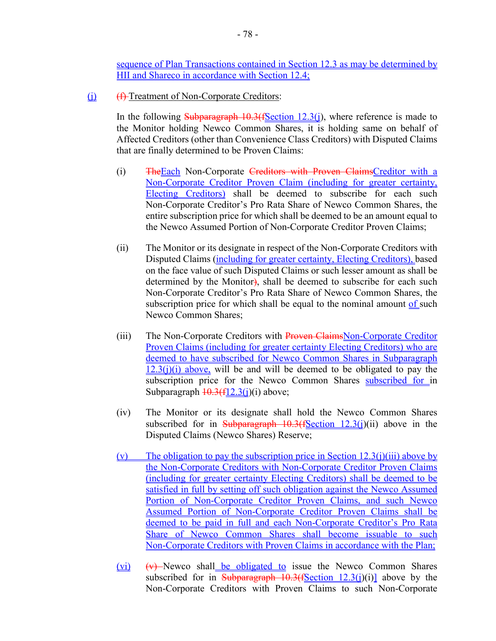sequence of Plan Transactions contained in Section 12.3 as may be determined by HII and Shareco in accordance with Section 12.4;

(j) (f) Treatment of Non-Corporate Creditors:

In the following Subparagraph  $10.3$  (fSection 12.3(j), where reference is made to the Monitor holding Newco Common Shares, it is holding same on behalf of Affected Creditors (other than Convenience Class Creditors) with Disputed Claims that are finally determined to be Proven Claims:

- (i) TheEach Non-Corporate Creditors with Proven ClaimsCreditor with a Non-Corporate Creditor Proven Claim (including for greater certainty, Electing Creditors) shall be deemed to subscribe for each such Non-Corporate Creditor's Pro Rata Share of Newco Common Shares, the entire subscription price for which shall be deemed to be an amount equal to the Newco Assumed Portion of Non-Corporate Creditor Proven Claims;
- (ii) The Monitor or its designate in respect of the Non-Corporate Creditors with Disputed Claims (including for greater certainty, Electing Creditors), based on the face value of such Disputed Claims or such lesser amount as shall be determined by the Monitor), shall be deemed to subscribe for each such Non-Corporate Creditor's Pro Rata Share of Newco Common Shares, the subscription price for which shall be equal to the nominal amount of such Newco Common Shares;
- (iii) The Non-Corporate Creditors with Proven ClaimsNon-Corporate Creditor Proven Claims (including for greater certainty Electing Creditors) who are deemed to have subscribed for Newco Common Shares in Subparagraph  $12.3(i)(i)$  above, will be and will be deemed to be obligated to pay the subscription price for the Newco Common Shares subscribed for in Subparagraph  $\frac{10.3(f12.3(i)}{i)}$  above;
- (iv) The Monitor or its designate shall hold the Newco Common Shares subscribed for in Subparagraph  $10.3$ (fSection  $12.3$ (j)(ii) above in the Disputed Claims (Newco Shares) Reserve;
- (v) The obligation to pay the subscription price in Section  $12.3(j)(iii)$  above by the Non-Corporate Creditors with Non-Corporate Creditor Proven Claims (including for greater certainty Electing Creditors) shall be deemed to be satisfied in full by setting off such obligation against the Newco Assumed Portion of Non-Corporate Creditor Proven Claims, and such Newco Assumed Portion of Non-Corporate Creditor Proven Claims shall be deemed to be paid in full and each Non-Corporate Creditor's Pro Rata Share of Newco Common Shares shall become issuable to such Non-Corporate Creditors with Proven Claims in accordance with the Plan;
- $(vi)$   $(vi)$  Newco shall be obligated to issue the Newco Common Shares subscribed for in Subparagraph  $10.3$ (fSection  $12.3$ (j)(i)] above by the Non-Corporate Creditors with Proven Claims to such Non-Corporate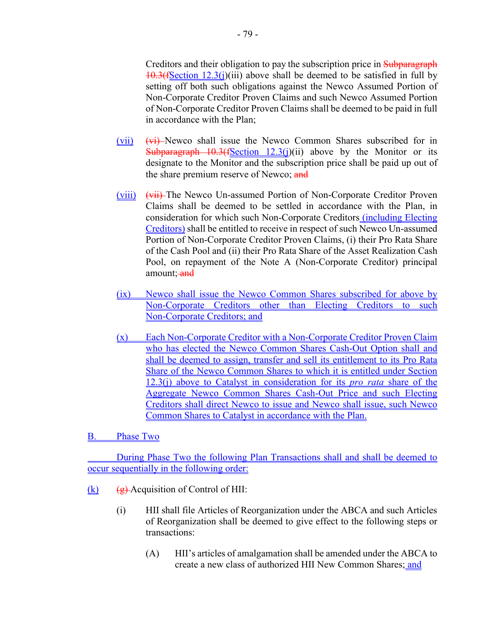Creditors and their obligation to pay the subscription price in Subparagraph  $10.3(fSection 12.3(j))$  above shall be deemed to be satisfied in full by setting off both such obligations against the Newco Assumed Portion of Non-Corporate Creditor Proven Claims and such Newco Assumed Portion of Non-Corporate Creditor Proven Claims shall be deemed to be paid in full in accordance with the Plan;

- (vii)  $(vii)$  Newco shall issue the Newco Common Shares subscribed for in Subparagraph  $10.3$  (fSection 12.3(j)(ii) above by the Monitor or its designate to the Monitor and the subscription price shall be paid up out of the share premium reserve of Newco; and
- (viii) (vii) The Newco Un-assumed Portion of Non-Corporate Creditor Proven Claims shall be deemed to be settled in accordance with the Plan, in consideration for which such Non-Corporate Creditors (including Electing Creditors) shall be entitled to receive in respect of such Newco Un-assumed Portion of Non-Corporate Creditor Proven Claims, (i) their Pro Rata Share of the Cash Pool and (ii) their Pro Rata Share of the Asset Realization Cash Pool, on repayment of the Note A (Non-Corporate Creditor) principal amount; and
- (ix) Newco shall issue the Newco Common Shares subscribed for above by Non-Corporate Creditors other than Electing Creditors to such Non-Corporate Creditors; and
- (x) Each Non-Corporate Creditor with a Non-Corporate Creditor Proven Claim who has elected the Newco Common Shares Cash-Out Option shall and shall be deemed to assign, transfer and sell its entitlement to its Pro Rata Share of the Newco Common Shares to which it is entitled under Section 12.3(j) above to Catalyst in consideration for its *pro rata* share of the Aggregate Newco Common Shares Cash-Out Price and such Electing Creditors shall direct Newco to issue and Newco shall issue, such Newco Common Shares to Catalyst in accordance with the Plan.

**B.** Phase Two

During Phase Two the following Plan Transactions shall and shall be deemed to occur sequentially in the following order:

- $(k)$  (g) Acquisition of Control of HII:
	- (i) HII shall file Articles of Reorganization under the ABCA and such Articles of Reorganization shall be deemed to give effect to the following steps or transactions:
		- (A) HII's articles of amalgamation shall be amended under the ABCA to create a new class of authorized HII New Common Shares; and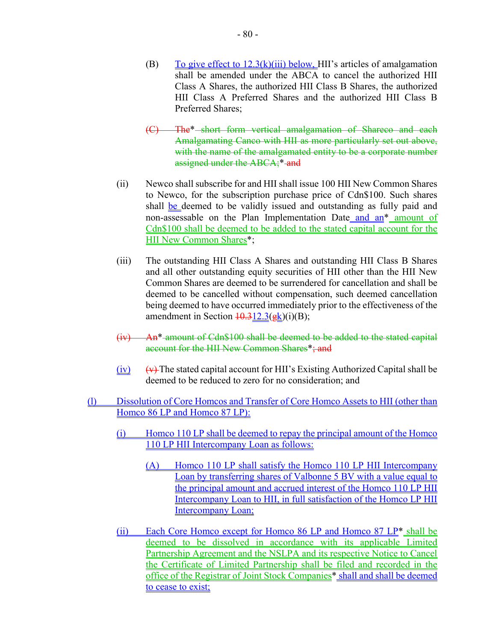- (B) To give effect to  $12.3(k)(iii)$  below, HII's articles of amalgamation shall be amended under the ABCA to cancel the authorized HII Class A Shares, the authorized HII Class B Shares, the authorized HII Class A Preferred Shares and the authorized HII Class B Preferred Shares;
- (C) The\* short form vertical amalgamation of Shareco and each Amalgamating Canco with HII as more particularly set out above, with the name of the amalgamated entity to be a corporate number assigned under the ABCA;\* and
- (ii) Newco shall subscribe for and HII shall issue 100 HII New Common Shares to Newco, for the subscription purchase price of Cdn\$100. Such shares shall be deemed to be validly issued and outstanding as fully paid and non-assessable on the Plan Implementation Date and an\* amount of Cdn\$100 shall be deemed to be added to the stated capital account for the HII New Common Shares\*;
- (iii) The outstanding HII Class A Shares and outstanding HII Class B Shares and all other outstanding equity securities of HII other than the HII New Common Shares are deemed to be surrendered for cancellation and shall be deemed to be cancelled without compensation, such deemed cancellation being deemed to have occurred immediately prior to the effectiveness of the amendment in Section  $\frac{10.312.3(gk)}{i}$ (i)(B);
- (iv) An\* amount of Cdn\$100 shall be deemed to be added to the stated capital account for the HII New Common Shares\*; and
- $(iv)$  (v) The stated capital account for HII's Existing Authorized Capital shall be deemed to be reduced to zero for no consideration; and
- (l) Dissolution of Core Homcos and Transfer of Core Homco Assets to HII (other than Homco 86 LP and Homco 87 LP):
	- (i) Homco 110 LP shall be deemed to repay the principal amount of the Homco 110 LP HII Intercompany Loan as follows:
		- (A) Homco 110 LP shall satisfy the Homco 110 LP HII Intercompany Loan by transferring shares of Valbonne 5 BV with a value equal to the principal amount and accrued interest of the Homco 110 LP HII Intercompany Loan to HII, in full satisfaction of the Homco LP HII Intercompany Loan;
	- (ii) Each Core Homco except for Homco 86 LP and Homco 87 LP\* shall be deemed to be dissolved in accordance with its applicable Limited Partnership Agreement and the NSLPA and its respective Notice to Cancel the Certificate of Limited Partnership shall be filed and recorded in the office of the Registrar of Joint Stock Companies\* shall and shall be deemed to cease to exist;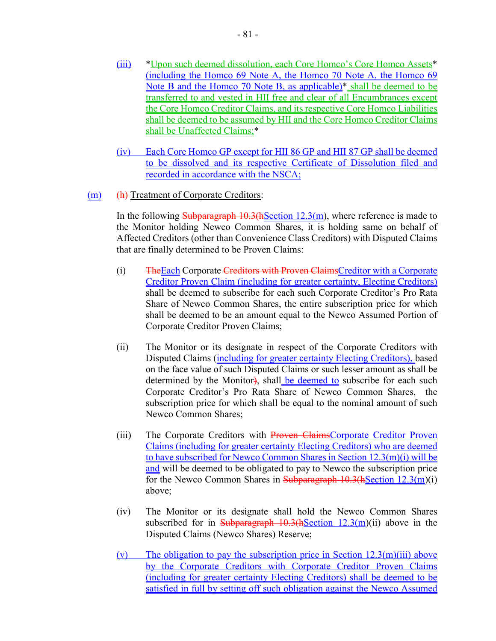- (iii) \*Upon such deemed dissolution, each Core Homco's Core Homco Assets\* (including the Homco 69 Note A, the Homco 70 Note A, the Homco 69 Note B and the Homco 70 Note B, as applicable)\* shall be deemed to be transferred to and vested in HII free and clear of all Encumbrances except the Core Homco Creditor Claims, and its respective Core Homco Liabilities shall be deemed to be assumed by HII and the Core Homco Creditor Claims shall be Unaffected Claims;\*
- (iv) Each Core Homco GP except for HII 86 GP and HII 87 GP shall be deemed to be dissolved and its respective Certificate of Dissolution filed and recorded in accordance with the NSCA;
- (m) (h) Treatment of Corporate Creditors:

In the following Subparagraph  $10.3$ (hSection 12.3(m), where reference is made to the Monitor holding Newco Common Shares, it is holding same on behalf of Affected Creditors (other than Convenience Class Creditors) with Disputed Claims that are finally determined to be Proven Claims:

- (i) TheEach Corporate Creditors with Proven ClaimsCreditor with a Corporate Creditor Proven Claim (including for greater certainty, Electing Creditors) shall be deemed to subscribe for each such Corporate Creditor's Pro Rata Share of Newco Common Shares, the entire subscription price for which shall be deemed to be an amount equal to the Newco Assumed Portion of Corporate Creditor Proven Claims;
- (ii) The Monitor or its designate in respect of the Corporate Creditors with Disputed Claims (including for greater certainty Electing Creditors), based on the face value of such Disputed Claims or such lesser amount as shall be determined by the Monitor), shall be deemed to subscribe for each such Corporate Creditor's Pro Rata Share of Newco Common Shares, the subscription price for which shall be equal to the nominal amount of such Newco Common Shares;
- (iii) The Corporate Creditors with Proven ClaimsCorporate Creditor Proven Claims (including for greater certainty Electing Creditors) who are deemed to have subscribed for Newco Common Shares in Section 12.3(m)(i) will be and will be deemed to be obligated to pay to Newco the subscription price for the Newco Common Shares in Subparagraph  $10.3$ (hSection  $12.3$ (m)(i) above;
- (iv) The Monitor or its designate shall hold the Newco Common Shares subscribed for in Subparagraph  $10.3(hSection 12.3(m)(ii)$  above in the Disputed Claims (Newco Shares) Reserve;
- (v) The obligation to pay the subscription price in Section  $12.3(m)(iii)$  above by the Corporate Creditors with Corporate Creditor Proven Claims (including for greater certainty Electing Creditors) shall be deemed to be satisfied in full by setting off such obligation against the Newco Assumed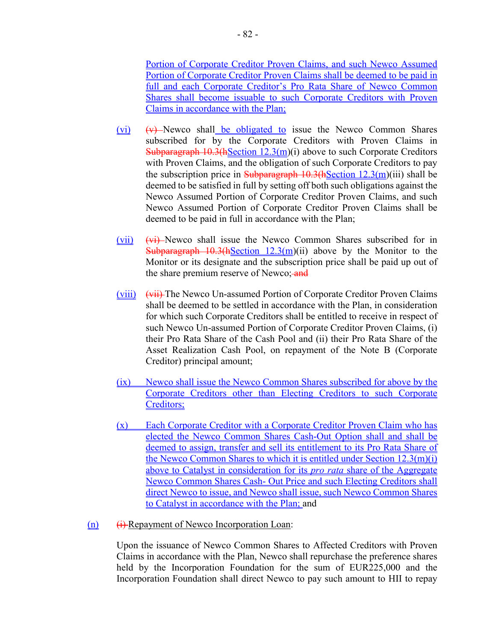Portion of Corporate Creditor Proven Claims, and such Newco Assumed Portion of Corporate Creditor Proven Claims shall be deemed to be paid in full and each Corporate Creditor's Pro Rata Share of Newco Common Shares shall become issuable to such Corporate Creditors with Proven Claims in accordance with the Plan;

- $(vi)$   $(vi)$  Newco shall be obligated to issue the Newco Common Shares subscribed for by the Corporate Creditors with Proven Claims in Subparagraph  $10.3(hSection 12.3(m)(i))$  above to such Corporate Creditors with Proven Claims, and the obligation of such Corporate Creditors to pay the subscription price in Subparagraph  $10.3$  (hSection  $12.3$  (m)(iii) shall be deemed to be satisfied in full by setting off both such obligations against the Newco Assumed Portion of Corporate Creditor Proven Claims, and such Newco Assumed Portion of Corporate Creditor Proven Claims shall be deemed to be paid in full in accordance with the Plan;
- (vii) (vi) Newco shall issue the Newco Common Shares subscribed for in Subparagraph  $10.3$ (hSection  $12.3$ (m)(ii) above by the Monitor to the Monitor or its designate and the subscription price shall be paid up out of the share premium reserve of Newco; and
- (viii) (vii) The Newco Un-assumed Portion of Corporate Creditor Proven Claims shall be deemed to be settled in accordance with the Plan, in consideration for which such Corporate Creditors shall be entitled to receive in respect of such Newco Un-assumed Portion of Corporate Creditor Proven Claims, (i) their Pro Rata Share of the Cash Pool and (ii) their Pro Rata Share of the Asset Realization Cash Pool, on repayment of the Note B (Corporate Creditor) principal amount;
- (ix) Newco shall issue the Newco Common Shares subscribed for above by the Corporate Creditors other than Electing Creditors to such Corporate Creditors;
- (x) Each Corporate Creditor with a Corporate Creditor Proven Claim who has elected the Newco Common Shares Cash-Out Option shall and shall be deemed to assign, transfer and sell its entitlement to its Pro Rata Share of the Newco Common Shares to which it is entitled under Section 12.3(m)(i) above to Catalyst in consideration for its *pro rata* share of the Aggregate Newco Common Shares Cash- Out Price and such Electing Creditors shall direct Newco to issue, and Newco shall issue, such Newco Common Shares to Catalyst in accordance with the Plan; and

### $(n)$  (i) Repayment of Newco Incorporation Loan:

Upon the issuance of Newco Common Shares to Affected Creditors with Proven Claims in accordance with the Plan, Newco shall repurchase the preference shares held by the Incorporation Foundation for the sum of EUR225,000 and the Incorporation Foundation shall direct Newco to pay such amount to HII to repay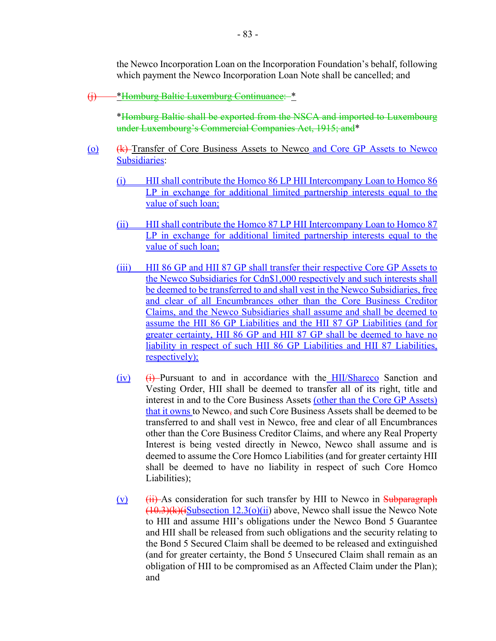the Newco Incorporation Loan on the Incorporation Foundation's behalf, following which payment the Newco Incorporation Loan Note shall be cancelled; and

(j) \*Homburg Baltic Luxemburg Continuance: \*

\*Homburg Baltic shall be exported from the NSCA and imported to Luxembourg under Luxembourg's Commercial Companies Act, 1915; and\*

- (o) (k) Transfer of Core Business Assets to Newco and Core GP Assets to Newco Subsidiaries:
	- (i) HII shall contribute the Homco 86 LP HII Intercompany Loan to Homco 86 LP in exchange for additional limited partnership interests equal to the value of such loan;
	- (ii) HII shall contribute the Homco 87 LP HII Intercompany Loan to Homco 87 LP in exchange for additional limited partnership interests equal to the value of such loan;
	- (iii) HII 86 GP and HII 87 GP shall transfer their respective Core GP Assets to the Newco Subsidiaries for Cdn\$1,000 respectively and such interests shall be deemed to be transferred to and shall vest in the Newco Subsidiaries, free and clear of all Encumbrances other than the Core Business Creditor Claims, and the Newco Subsidiaries shall assume and shall be deemed to assume the HII 86 GP Liabilities and the HII 87 GP Liabilities (and for greater certainty, HII 86 GP and HII 87 GP shall be deemed to have no liability in respect of such HII 86 GP Liabilities and HII 87 Liabilities, respectively);
	- $(iv)$  (i) Pursuant to and in accordance with the HII/Shareco Sanction and Vesting Order, HII shall be deemed to transfer all of its right, title and interest in and to the Core Business Assets (other than the Core GP Assets) that it owns to Newco, and such Core Business Assets shall be deemed to be transferred to and shall vest in Newco, free and clear of all Encumbrances other than the Core Business Creditor Claims, and where any Real Property Interest is being vested directly in Newco, Newco shall assume and is deemed to assume the Core Homco Liabilities (and for greater certainty HII shall be deemed to have no liability in respect of such Core Homco Liabilities);
	- $(v)$  (ii) As consideration for such transfer by HII to Newco in Subparagraph  $(10.3)(k)(iSubsection 12.3(o)(ii))$  above, Newco shall issue the Newco Note to HII and assume HII's obligations under the Newco Bond 5 Guarantee and HII shall be released from such obligations and the security relating to the Bond 5 Secured Claim shall be deemed to be released and extinguished (and for greater certainty, the Bond 5 Unsecured Claim shall remain as an obligation of HII to be compromised as an Affected Claim under the Plan); and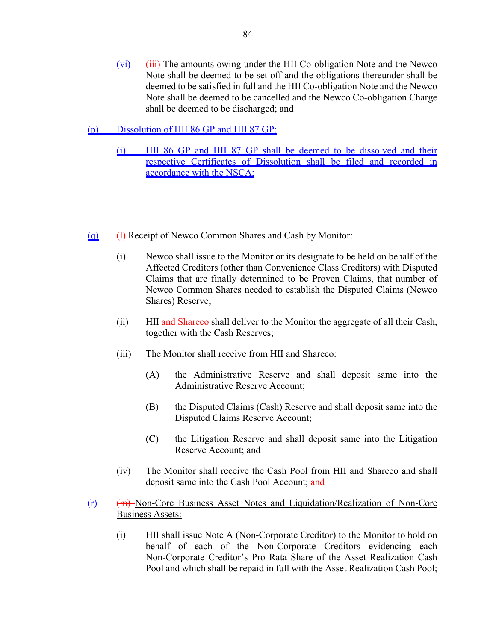$(vi)$  (iii) The amounts owing under the HII Co-obligation Note and the Newco Note shall be deemed to be set off and the obligations thereunder shall be deemed to be satisfied in full and the HII Co-obligation Note and the Newco Note shall be deemed to be cancelled and the Newco Co-obligation Charge shall be deemed to be discharged; and

# (p) Dissolution of HII 86 GP and HII 87 GP:

(i) HII 86 GP and HII 87 GP shall be deemed to be dissolved and their respective Certificates of Dissolution shall be filed and recorded in accordance with the NSCA;

### (q) (a) (a) Receipt of Newco Common Shares and Cash by Monitor:

- (i) Newco shall issue to the Monitor or its designate to be held on behalf of the Affected Creditors (other than Convenience Class Creditors) with Disputed Claims that are finally determined to be Proven Claims, that number of Newco Common Shares needed to establish the Disputed Claims (Newco Shares) Reserve;
- (ii) HII-**and Shareco** shall deliver to the Monitor the aggregate of all their Cash, together with the Cash Reserves;
- (iii) The Monitor shall receive from HII and Shareco:
	- (A) the Administrative Reserve and shall deposit same into the Administrative Reserve Account;
	- (B) the Disputed Claims (Cash) Reserve and shall deposit same into the Disputed Claims Reserve Account;
	- (C) the Litigation Reserve and shall deposit same into the Litigation Reserve Account; and
- (iv) The Monitor shall receive the Cash Pool from HII and Shareco and shall deposit same into the Cash Pool Account; and
- (r) (m) Non-Core Business Asset Notes and Liquidation/Realization of Non-Core Business Assets:
	- (i) HII shall issue Note A (Non-Corporate Creditor) to the Monitor to hold on behalf of each of the Non-Corporate Creditors evidencing each Non-Corporate Creditor's Pro Rata Share of the Asset Realization Cash Pool and which shall be repaid in full with the Asset Realization Cash Pool;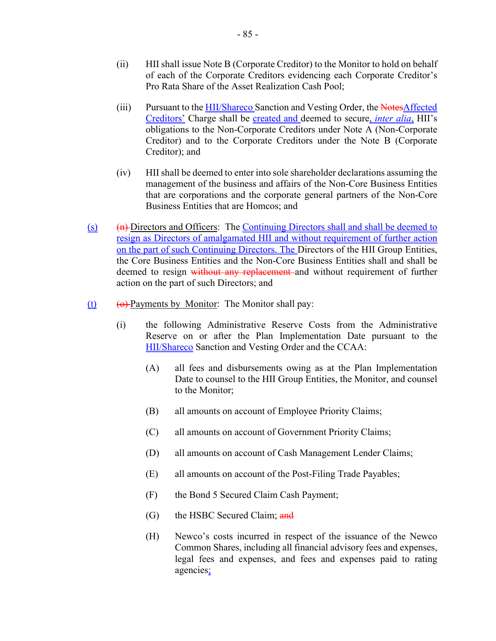- (ii) HII shall issue Note B (Corporate Creditor) to the Monitor to hold on behalf of each of the Corporate Creditors evidencing each Corporate Creditor's Pro Rata Share of the Asset Realization Cash Pool;
- (iii) Pursuant to the HII/Shareco Sanction and Vesting Order, the NotesAffected Creditors' Charge shall be created and deemed to secure, *inter alia*, HII's obligations to the Non-Corporate Creditors under Note A (Non-Corporate Creditor) and to the Corporate Creditors under the Note B (Corporate Creditor); and
- (iv) HII shall be deemed to enter into sole shareholder declarations assuming the management of the business and affairs of the Non-Core Business Entities that are corporations and the corporate general partners of the Non-Core Business Entities that are Homcos; and
- $(n)$  (s)  $(n)$  Directors and Officers: The Continuing Directors shall and shall be deemed to resign as Directors of amalgamated HII and without requirement of further action on the part of such Continuing Directors. The Directors of the HII Group Entities, the Core Business Entities and the Non-Core Business Entities shall and shall be deemed to resign without any replacement and without requirement of further action on the part of such Directors; and
- (t)  $\theta$  Payments by Monitor: The Monitor shall pay:
	- (i) the following Administrative Reserve Costs from the Administrative Reserve on or after the Plan Implementation Date pursuant to the HII/Shareco Sanction and Vesting Order and the CCAA:
		- (A) all fees and disbursements owing as at the Plan Implementation Date to counsel to the HII Group Entities, the Monitor, and counsel to the Monitor;
		- (B) all amounts on account of Employee Priority Claims;
		- (C) all amounts on account of Government Priority Claims;
		- (D) all amounts on account of Cash Management Lender Claims;
		- (E) all amounts on account of the Post-Filing Trade Payables;
		- (F) the Bond 5 Secured Claim Cash Payment;
		- (G) the HSBC Secured Claim; and
		- (H) Newco's costs incurred in respect of the issuance of the Newco Common Shares, including all financial advisory fees and expenses, legal fees and expenses, and fees and expenses paid to rating agencies;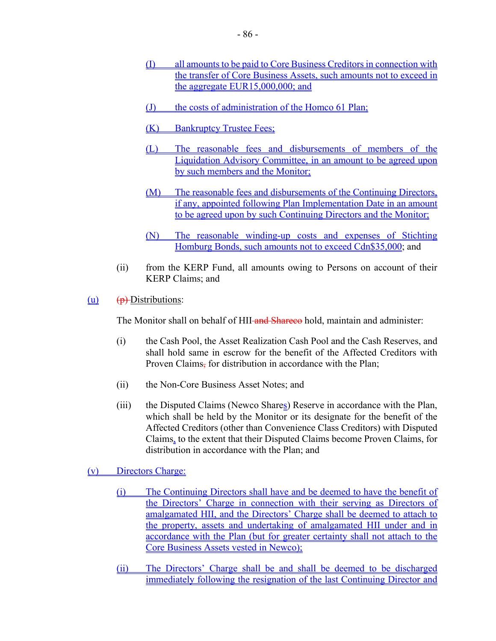- (I) all amounts to be paid to Core Business Creditors in connection with the transfer of Core Business Assets, such amounts not to exceed in the aggregate EUR15,000,000; and
- (J) the costs of administration of the Homco 61 Plan;
- (K) Bankruptcy Trustee Fees;
- (L) The reasonable fees and disbursements of members of the Liquidation Advisory Committee, in an amount to be agreed upon by such members and the Monitor;
- (M) The reasonable fees and disbursements of the Continuing Directors, if any, appointed following Plan Implementation Date in an amount to be agreed upon by such Continuing Directors and the Monitor;
- (N) The reasonable winding-up costs and expenses of Stichting Homburg Bonds, such amounts not to exceed Cdn\$35,000; and
- (ii) from the KERP Fund, all amounts owing to Persons on account of their KERP Claims; and
- $(u)$   $(h)$ -Distributions:

The Monitor shall on behalf of HII-and Shareco hold, maintain and administer:

- (i) the Cash Pool, the Asset Realization Cash Pool and the Cash Reserves, and shall hold same in escrow for the benefit of the Affected Creditors with Proven Claims, for distribution in accordance with the Plan;
- (ii) the Non-Core Business Asset Notes; and
- (iii) the Disputed Claims (Newco Shares) Reserve in accordance with the Plan, which shall be held by the Monitor or its designate for the benefit of the Affected Creditors (other than Convenience Class Creditors) with Disputed Claims, to the extent that their Disputed Claims become Proven Claims, for distribution in accordance with the Plan; and
- (v) Directors Charge:
	- (i) The Continuing Directors shall have and be deemed to have the benefit of the Directors' Charge in connection with their serving as Directors of amalgamated HII, and the Directors' Charge shall be deemed to attach to the property, assets and undertaking of amalgamated HII under and in accordance with the Plan (but for greater certainty shall not attach to the Core Business Assets vested in Newco);
	- (ii) The Directors' Charge shall be and shall be deemed to be discharged immediately following the resignation of the last Continuing Director and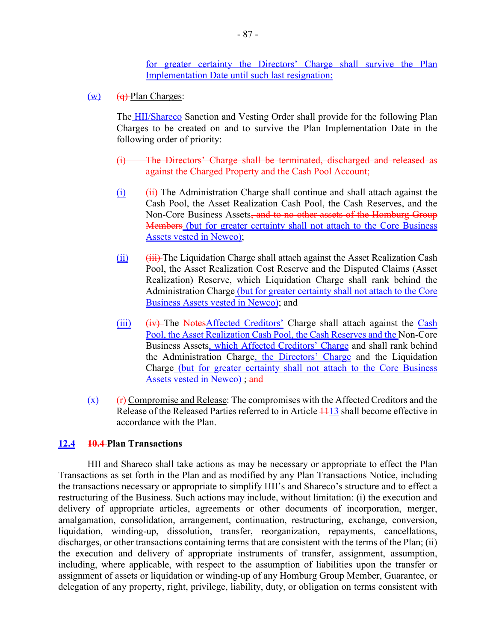for greater certainty the Directors' Charge shall survive the Plan Implementation Date until such last resignation;

 $(w)$  (q) Plan Charges:

The HII/Shareco Sanction and Vesting Order shall provide for the following Plan Charges to be created on and to survive the Plan Implementation Date in the following order of priority:

- (i) The Directors' Charge shall be terminated, discharged and released as against the Charged Property and the Cash Pool Account;
- $(i)$  (ii) The Administration Charge shall continue and shall attach against the Cash Pool, the Asset Realization Cash Pool, the Cash Reserves, and the Non-Core Business Assets<del>, and to no other assets of the Homburg Group</del> Members (but for greater certainty shall not attach to the Core Business Assets vested in Newco);
- $(iii)$   $(iii)$  The Liquidation Charge shall attach against the Asset Realization Cash Pool, the Asset Realization Cost Reserve and the Disputed Claims (Asset Realization) Reserve, which Liquidation Charge shall rank behind the Administration Charge (but for greater certainty shall not attach to the Core Business Assets vested in Newco); and
- (iii) (iv) The NotesAffected Creditors' Charge shall attach against the Cash Pool, the Asset Realization Cash Pool, the Cash Reserves and the Non-Core Business Assets, which Affected Creditors' Charge and shall rank behind the Administration Charge, the Directors' Charge and the Liquidation Charge (but for greater certainty shall not attach to the Core Business Assets vested in Newco) : and
- $(x)$  (**r**) Compromise and Release: The compromises with the Affected Creditors and the Release of the Released Parties referred to in Article  $\frac{11}{3}$  shall become effective in accordance with the Plan.

#### **12.4 10.4 Plan Transactions**

HII and Shareco shall take actions as may be necessary or appropriate to effect the Plan Transactions as set forth in the Plan and as modified by any Plan Transactions Notice, including the transactions necessary or appropriate to simplify HII's and Shareco's structure and to effect a restructuring of the Business. Such actions may include, without limitation: (i) the execution and delivery of appropriate articles, agreements or other documents of incorporation, merger, amalgamation, consolidation, arrangement, continuation, restructuring, exchange, conversion, liquidation, winding-up, dissolution, transfer, reorganization, repayments, cancellations, discharges, or other transactions containing terms that are consistent with the terms of the Plan; (ii) the execution and delivery of appropriate instruments of transfer, assignment, assumption, including, where applicable, with respect to the assumption of liabilities upon the transfer or assignment of assets or liquidation or winding-up of any Homburg Group Member, Guarantee, or delegation of any property, right, privilege, liability, duty, or obligation on terms consistent with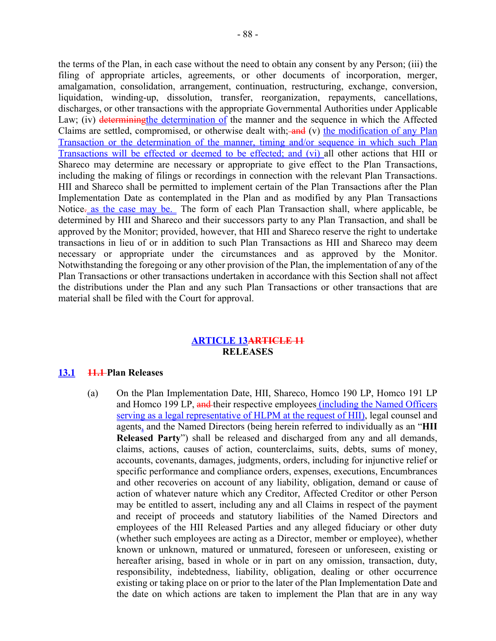the terms of the Plan, in each case without the need to obtain any consent by any Person; (iii) the filing of appropriate articles, agreements, or other documents of incorporation, merger, amalgamation, consolidation, arrangement, continuation, restructuring, exchange, conversion, liquidation, winding-up, dissolution, transfer, reorganization, repayments, cancellations, discharges, or other transactions with the appropriate Governmental Authorities under Applicable Law; (iv) determining the determination of the manner and the sequence in which the Affected Claims are settled, compromised, or otherwise dealt with;  $-\frac{1}{2}$  (v) the modification of any Plan Transaction or the determination of the manner, timing and/or sequence in which such Plan Transactions will be effected or deemed to be effected; and (vi) all other actions that HII or Shareco may determine are necessary or appropriate to give effect to the Plan Transactions, including the making of filings or recordings in connection with the relevant Plan Transactions. HII and Shareco shall be permitted to implement certain of the Plan Transactions after the Plan Implementation Date as contemplated in the Plan and as modified by any Plan Transactions Notice. as the case may be. The form of each Plan Transaction shall, where applicable, be determined by HII and Shareco and their successors party to any Plan Transaction, and shall be approved by the Monitor; provided, however, that HII and Shareco reserve the right to undertake transactions in lieu of or in addition to such Plan Transactions as HII and Shareco may deem necessary or appropriate under the circumstances and as approved by the Monitor. Notwithstanding the foregoing or any other provision of the Plan, the implementation of any of the Plan Transactions or other transactions undertaken in accordance with this Section shall not affect the distributions under the Plan and any such Plan Transactions or other transactions that are material shall be filed with the Court for approval.

# **ARTICLE 13ARTICLE 11 RELEASES**

### **13.1 11.1 Plan Releases**

(a) On the Plan Implementation Date, HII, Shareco, Homco 190 LP, Homco 191 LP and Homco 199 LP, and their respective employees (including the Named Officers serving as a legal representative of HLPM at the request of HII), legal counsel and agents, and the Named Directors (being herein referred to individually as an "**HII Released Party**") shall be released and discharged from any and all demands, claims, actions, causes of action, counterclaims, suits, debts, sums of money, accounts, covenants, damages, judgments, orders, including for injunctive relief or specific performance and compliance orders, expenses, executions, Encumbrances and other recoveries on account of any liability, obligation, demand or cause of action of whatever nature which any Creditor, Affected Creditor or other Person may be entitled to assert, including any and all Claims in respect of the payment and receipt of proceeds and statutory liabilities of the Named Directors and employees of the HII Released Parties and any alleged fiduciary or other duty (whether such employees are acting as a Director, member or employee), whether known or unknown, matured or unmatured, foreseen or unforeseen, existing or hereafter arising, based in whole or in part on any omission, transaction, duty, responsibility, indebtedness, liability, obligation, dealing or other occurrence existing or taking place on or prior to the later of the Plan Implementation Date and the date on which actions are taken to implement the Plan that are in any way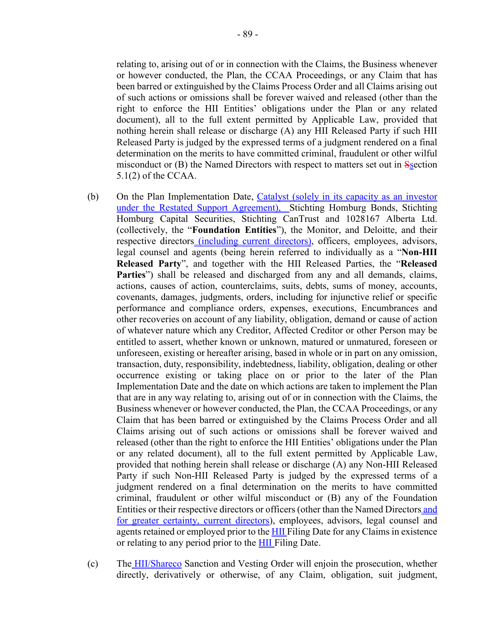relating to, arising out of or in connection with the Claims, the Business whenever or however conducted, the Plan, the CCAA Proceedings, or any Claim that has been barred or extinguished by the Claims Process Order and all Claims arising out of such actions or omissions shall be forever waived and released (other than the right to enforce the HII Entities' obligations under the Plan or any related document), all to the full extent permitted by Applicable Law, provided that nothing herein shall release or discharge (A) any HII Released Party if such HII Released Party is judged by the expressed terms of a judgment rendered on a final determination on the merits to have committed criminal, fraudulent or other wilful misconduct or  $(B)$  the Named Directors with respect to matters set out in  $S<sub>s</sub>$  ection 5.1(2) of the CCAA.

- (b) On the Plan Implementation Date, Catalyst (solely in its capacity as an investor under the Restated Support Agreement), Stichting Homburg Bonds, Stichting Homburg Capital Securities, Stichting CanTrust and 1028167 Alberta Ltd. (collectively, the "**Foundation Entities**"), the Monitor, and Deloitte, and their respective directors (including current directors), officers, employees, advisors, legal counsel and agents (being herein referred to individually as a "**Non-HII Released Party**", and together with the HII Released Parties, the "**Released Parties**") shall be released and discharged from any and all demands, claims, actions, causes of action, counterclaims, suits, debts, sums of money, accounts, covenants, damages, judgments, orders, including for injunctive relief or specific performance and compliance orders, expenses, executions, Encumbrances and other recoveries on account of any liability, obligation, demand or cause of action of whatever nature which any Creditor, Affected Creditor or other Person may be entitled to assert, whether known or unknown, matured or unmatured, foreseen or unforeseen, existing or hereafter arising, based in whole or in part on any omission, transaction, duty, responsibility, indebtedness, liability, obligation, dealing or other occurrence existing or taking place on or prior to the later of the Plan Implementation Date and the date on which actions are taken to implement the Plan that are in any way relating to, arising out of or in connection with the Claims, the Business whenever or however conducted, the Plan, the CCAA Proceedings, or any Claim that has been barred or extinguished by the Claims Process Order and all Claims arising out of such actions or omissions shall be forever waived and released (other than the right to enforce the HII Entities' obligations under the Plan or any related document), all to the full extent permitted by Applicable Law, provided that nothing herein shall release or discharge (A) any Non-HII Released Party if such Non-HII Released Party is judged by the expressed terms of a judgment rendered on a final determination on the merits to have committed criminal, fraudulent or other wilful misconduct or (B) any of the Foundation Entities or their respective directors or officers (other than the Named Directors and for greater certainty, current directors), employees, advisors, legal counsel and agents retained or employed prior to the HII Filing Date for any Claims in existence or relating to any period prior to the HII Filing Date.
- (c) The HII/Shareco Sanction and Vesting Order will enjoin the prosecution, whether directly, derivatively or otherwise, of any Claim, obligation, suit judgment,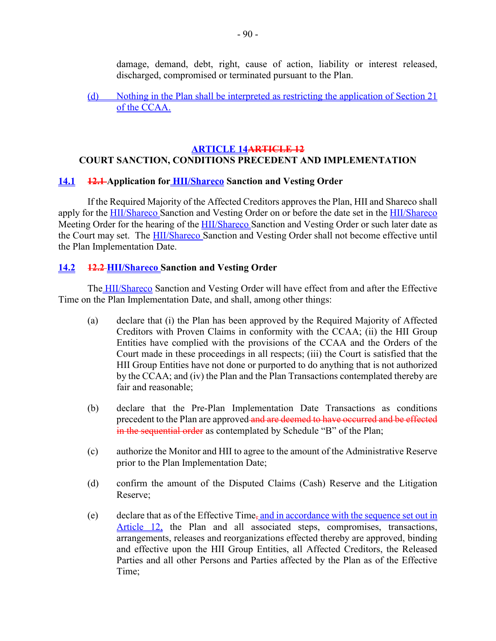damage, demand, debt, right, cause of action, liability or interest released, discharged, compromised or terminated pursuant to the Plan.

(d) Nothing in the Plan shall be interpreted as restricting the application of Section 21 of the CCAA.

### **ARTICLE 14ARTICLE 12 COURT SANCTION, CONDITIONS PRECEDENT AND IMPLEMENTATION**

### **14.1 12.1 Application for HII/Shareco Sanction and Vesting Order**

If the Required Majority of the Affected Creditors approves the Plan, HII and Shareco shall apply for the **HII/Shareco** Sanction and Vesting Order on or before the date set in the **HII/Shareco** Meeting Order for the hearing of the HII/Shareco Sanction and Vesting Order or such later date as the Court may set. The HII/Shareco Sanction and Vesting Order shall not become effective until the Plan Implementation Date.

#### **14.2 12.2 HII/Shareco Sanction and Vesting Order**

The **HII/Shareco** Sanction and Vesting Order will have effect from and after the Effective Time on the Plan Implementation Date, and shall, among other things:

- (a) declare that (i) the Plan has been approved by the Required Majority of Affected Creditors with Proven Claims in conformity with the CCAA; (ii) the HII Group Entities have complied with the provisions of the CCAA and the Orders of the Court made in these proceedings in all respects; (iii) the Court is satisfied that the HII Group Entities have not done or purported to do anything that is not authorized by the CCAA; and (iv) the Plan and the Plan Transactions contemplated thereby are fair and reasonable;
- (b) declare that the Pre-Plan Implementation Date Transactions as conditions precedent to the Plan are approved and are deemed to have occurred and be effected in the sequential order as contemplated by Schedule "B" of the Plan;
- (c) authorize the Monitor and HII to agree to the amount of the Administrative Reserve prior to the Plan Implementation Date;
- (d) confirm the amount of the Disputed Claims (Cash) Reserve and the Litigation Reserve;
- (e) declare that as of the Effective Time<sub>r</sub>, and in accordance with the sequence set out in Article 12, the Plan and all associated steps, compromises, transactions, arrangements, releases and reorganizations effected thereby are approved, binding and effective upon the HII Group Entities, all Affected Creditors, the Released Parties and all other Persons and Parties affected by the Plan as of the Effective Time;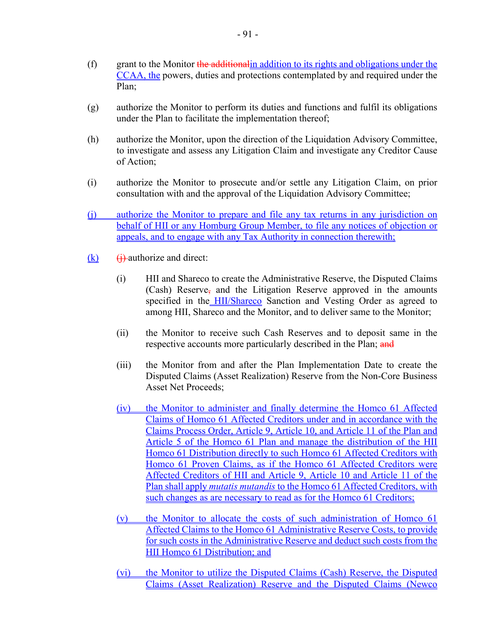- $(f)$  grant to the Monitor the additional in addition to its rights and obligations under the CCAA, the powers, duties and protections contemplated by and required under the Plan;
- (g) authorize the Monitor to perform its duties and functions and fulfil its obligations under the Plan to facilitate the implementation thereof;
- (h) authorize the Monitor, upon the direction of the Liquidation Advisory Committee, to investigate and assess any Litigation Claim and investigate any Creditor Cause of Action;
- (i) authorize the Monitor to prosecute and/or settle any Litigation Claim, on prior consultation with and the approval of the Liquidation Advisory Committee;
- (j) authorize the Monitor to prepare and file any tax returns in any jurisdiction on behalf of HII or any Homburg Group Member, to file any notices of objection or appeals, and to engage with any Tax Authority in connection therewith;
- $(k)$  (i) authorize and direct:
	- (i) HII and Shareco to create the Administrative Reserve, the Disputed Claims (Cash) Reserve, and the Litigation Reserve approved in the amounts specified in the HII/Shareco Sanction and Vesting Order as agreed to among HII, Shareco and the Monitor, and to deliver same to the Monitor;
	- (ii) the Monitor to receive such Cash Reserves and to deposit same in the respective accounts more particularly described in the Plan; and
	- (iii) the Monitor from and after the Plan Implementation Date to create the Disputed Claims (Asset Realization) Reserve from the Non-Core Business Asset Net Proceeds;
	- (iv) the Monitor to administer and finally determine the Homco 61 Affected Claims of Homco 61 Affected Creditors under and in accordance with the Claims Process Order, Article 9, Article 10, and Article 11 of the Plan and Article 5 of the Homco 61 Plan and manage the distribution of the HII Homco 61 Distribution directly to such Homco 61 Affected Creditors with Homco 61 Proven Claims, as if the Homco 61 Affected Creditors were Affected Creditors of HII and Article 9, Article 10 and Article 11 of the Plan shall apply *mutatis mutandis* to the Homco 61 Affected Creditors, with such changes as are necessary to read as for the Homco 61 Creditors;
	- (v) the Monitor to allocate the costs of such administration of Homco 61 Affected Claims to the Homco 61 Administrative Reserve Costs, to provide for such costs in the Administrative Reserve and deduct such costs from the HII Homco 61 Distribution; and
	- (vi) the Monitor to utilize the Disputed Claims (Cash) Reserve, the Disputed Claims (Asset Realization) Reserve and the Disputed Claims (Newco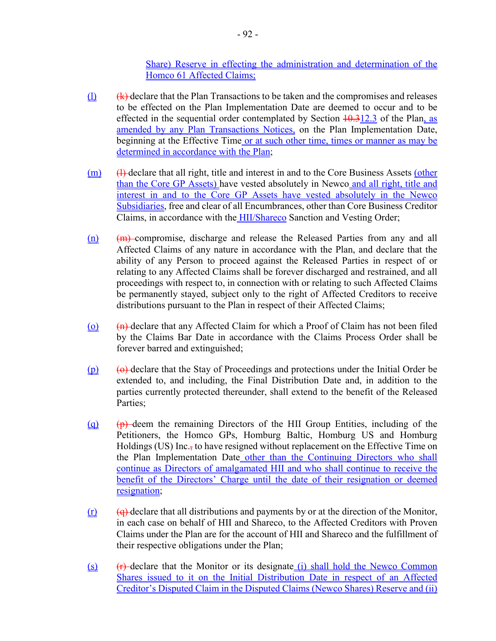Share) Reserve in effecting the administration and determination of the Homco 61 Affected Claims;

- $\langle \mathbf{h} \rangle$  (k) declare that the Plan Transactions to be taken and the compromises and releases to be effected on the Plan Implementation Date are deemed to occur and to be effected in the sequential order contemplated by Section  $\frac{10.312.3}{10.312.3}$  of the Plan, as amended by any Plan Transactions Notices, on the Plan Implementation Date, beginning at the Effective Time or at such other time, times or manner as may be determined in accordance with the Plan:
- $(m)$  (H) declare that all right, title and interest in and to the Core Business Assets (other than the Core GP Assets) have vested absolutely in Newco and all right, title and interest in and to the Core GP Assets have vested absolutely in the Newco Subsidiaries, free and clear of all Encumbrances, other than Core Business Creditor Claims, in accordance with the HII/Shareco Sanction and Vesting Order;
- (n) (m) compromise, discharge and release the Released Parties from any and all Affected Claims of any nature in accordance with the Plan, and declare that the ability of any Person to proceed against the Released Parties in respect of or relating to any Affected Claims shall be forever discharged and restrained, and all proceedings with respect to, in connection with or relating to such Affected Claims be permanently stayed, subject only to the right of Affected Creditors to receive distributions pursuant to the Plan in respect of their Affected Claims;
- (o)  $(n)$  declare that any Affected Claim for which a Proof of Claim has not been filed by the Claims Bar Date in accordance with the Claims Process Order shall be forever barred and extinguished;
- $(p)$  (o) declare that the Stay of Proceedings and protections under the Initial Order be extended to, and including, the Final Distribution Date and, in addition to the parties currently protected thereunder, shall extend to the benefit of the Released Parties;
- (q)  $\left(\frac{p}{r}\right)$  deem the remaining Directors of the HII Group Entities, including of the Petitioners, the Homco GPs, Homburg Baltic, Homburg US and Homburg Holdings (US) Inc., to have resigned without replacement on the Effective Time on the Plan Implementation Date other than the Continuing Directors who shall continue as Directors of amalgamated HII and who shall continue to receive the benefit of the Directors' Charge until the date of their resignation or deemed resignation;
- $(r)$  (q) declare that all distributions and payments by or at the direction of the Monitor, in each case on behalf of HII and Shareco, to the Affected Creditors with Proven Claims under the Plan are for the account of HII and Shareco and the fulfillment of their respective obligations under the Plan;
- (s)  $(r)$  declare that the Monitor or its designate (i) shall hold the Newco Common Shares issued to it on the Initial Distribution Date in respect of an Affected Creditor's Disputed Claim in the Disputed Claims (Newco Shares) Reserve and (ii)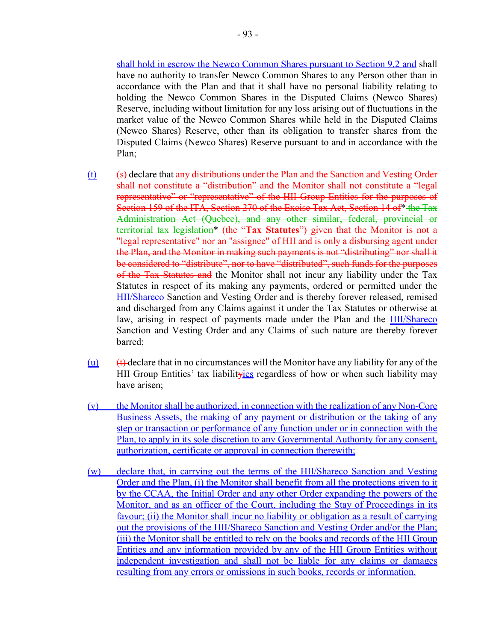shall hold in escrow the Newco Common Shares pursuant to Section 9.2 and shall have no authority to transfer Newco Common Shares to any Person other than in accordance with the Plan and that it shall have no personal liability relating to holding the Newco Common Shares in the Disputed Claims (Newco Shares) Reserve, including without limitation for any loss arising out of fluctuations in the market value of the Newco Common Shares while held in the Disputed Claims (Newco Shares) Reserve, other than its obligation to transfer shares from the Disputed Claims (Newco Shares) Reserve pursuant to and in accordance with the Plan;

- $(t)$  (s) declare that any distributions under the Plan and the Sanction and Vesting Order shall not constitute a "distribution" and the Monitor shall not constitute a "legal representative" or "representative" of the HII Group Entities for the purposes of Section 159 of the ITA, Section 270 of the Excise Tax Act, Section 14 of\* the Tax Administration Act (Quebec), and any other similar, federal, provincial or territorial tax legislation\* (the "**Tax Statutes**") given that the Monitor is not a "legal representative" nor an "assignee" of HII and is only a disbursing agent under the Plan, and the Monitor in making such payments is not "distributing" nor shall it be considered to "distribute", nor to have "distributed", such funds for the purposes of the Tax Statutes and the Monitor shall not incur any liability under the Tax Statutes in respect of its making any payments, ordered or permitted under the HII/Shareco Sanction and Vesting Order and is thereby forever released, remised and discharged from any Claims against it under the Tax Statutes or otherwise at law, arising in respect of payments made under the Plan and the **HII/Shareco** Sanction and Vesting Order and any Claims of such nature are thereby forever barred;
- $(u)$  (t) declare that in no circumstances will the Monitor have any liability for any of the HII Group Entities' tax liabilityies regardless of how or when such liability may have arisen;
- (v) the Monitor shall be authorized, in connection with the realization of any Non-Core Business Assets, the making of any payment or distribution or the taking of any step or transaction or performance of any function under or in connection with the Plan, to apply in its sole discretion to any Governmental Authority for any consent, authorization, certificate or approval in connection therewith;
- (w) declare that, in carrying out the terms of the HII/Shareco Sanction and Vesting Order and the Plan, (i) the Monitor shall benefit from all the protections given to it by the CCAA, the Initial Order and any other Order expanding the powers of the Monitor, and as an officer of the Court, including the Stay of Proceedings in its favour; (ii) the Monitor shall incur no liability or obligation as a result of carrying out the provisions of the HII/Shareco Sanction and Vesting Order and/or the Plan; (iii) the Monitor shall be entitled to rely on the books and records of the HII Group Entities and any information provided by any of the HII Group Entities without independent investigation and shall not be liable for any claims or damages resulting from any errors or omissions in such books, records or information.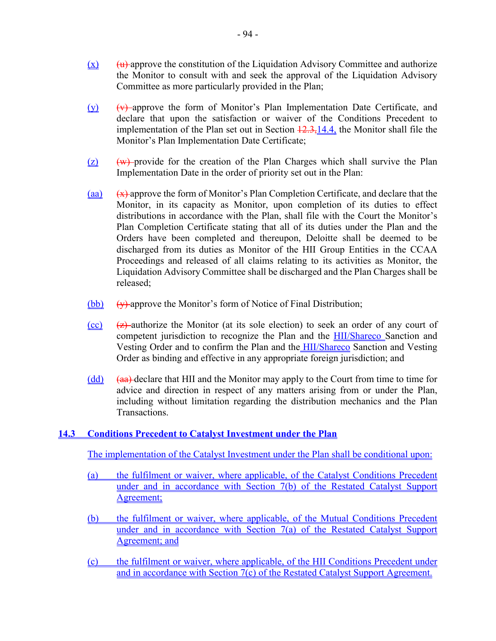- $(x)$  (u) approve the constitution of the Liquidation Advisory Committee and authorize the Monitor to consult with and seek the approval of the Liquidation Advisory Committee as more particularly provided in the Plan;
- $(v)$   $(v)$   $(v)$  approve the form of Monitor's Plan Implementation Date Certificate, and declare that upon the satisfaction or waiver of the Conditions Precedent to implementation of the Plan set out in Section  $\frac{12.3,14.4}{12.3,14.4}$ , the Monitor shall file the Monitor's Plan Implementation Date Certificate;
- $(z)$  (w) provide for the creation of the Plan Charges which shall survive the Plan Implementation Date in the order of priority set out in the Plan:
- (aa)  $(x)$  approve the form of Monitor's Plan Completion Certificate, and declare that the Monitor, in its capacity as Monitor, upon completion of its duties to effect distributions in accordance with the Plan, shall file with the Court the Monitor's Plan Completion Certificate stating that all of its duties under the Plan and the Orders have been completed and thereupon, Deloitte shall be deemed to be discharged from its duties as Monitor of the HII Group Entities in the CCAA Proceedings and released of all claims relating to its activities as Monitor, the Liquidation Advisory Committee shall be discharged and the Plan Charges shall be released;
- $(bb)$  (y) approve the Monitor's form of Notice of Final Distribution;
- $\overline{(c)}$   $\overline{(z)}$  authorize the Monitor (at its sole election) to seek an order of any court of competent jurisdiction to recognize the Plan and the HII/Shareco Sanction and Vesting Order and to confirm the Plan and the **HII/Shareco** Sanction and Vesting Order as binding and effective in any appropriate foreign jurisdiction; and
- $\text{(dd)}$   $\text{(aa)}$  declare that HII and the Monitor may apply to the Court from time to time for advice and direction in respect of any matters arising from or under the Plan, including without limitation regarding the distribution mechanics and the Plan Transactions.

# **14.3 Conditions Precedent to Catalyst Investment under the Plan**

The implementation of the Catalyst Investment under the Plan shall be conditional upon:

- (a) the fulfilment or waiver, where applicable, of the Catalyst Conditions Precedent under and in accordance with Section 7(b) of the Restated Catalyst Support Agreement;
- (b) the fulfilment or waiver, where applicable, of the Mutual Conditions Precedent under and in accordance with Section 7(a) of the Restated Catalyst Support Agreement; and
- (c) the fulfilment or waiver, where applicable, of the HII Conditions Precedent under and in accordance with Section 7(c) of the Restated Catalyst Support Agreement.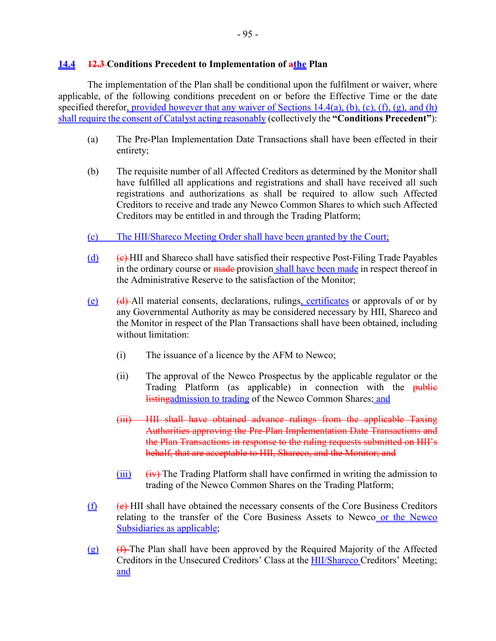### **14.4 12.3 Conditions Precedent to Implementation of athe Plan**

The implementation of the Plan shall be conditional upon the fulfilment or waiver, where applicable, of the following conditions precedent on or before the Effective Time or the date specified therefor, provided however that any waiver of Sections  $14.4(a)$ , (b), (c), (f), (g), and (h) shall require the consent of Catalyst acting reasonably (collectively the **"Conditions Precedent"**):

- (a) The Pre-Plan Implementation Date Transactions shall have been effected in their entirety;
- (b) The requisite number of all Affected Creditors as determined by the Monitor shall have fulfilled all applications and registrations and shall have received all such registrations and authorizations as shall be required to allow such Affected Creditors to receive and trade any Newco Common Shares to which such Affected Creditors may be entitled in and through the Trading Platform;
- (c) The HII/Shareco Meeting Order shall have been granted by the Court;
- $(d)$  (c) HII and Shareco shall have satisfied their respective Post-Filing Trade Payables in the ordinary course or made provision shall have been made in respect thereof in the Administrative Reserve to the satisfaction of the Monitor;
- $(e)$  (d) All material consents, declarations, rulings, certificates or approvals of or by any Governmental Authority as may be considered necessary by HII, Shareco and the Monitor in respect of the Plan Transactions shall have been obtained, including without limitation:
	- (i) The issuance of a licence by the AFM to Newco;
	- (ii) The approval of the Newco Prospectus by the applicable regulator or the Trading Platform (as applicable) in connection with the public listingadmission to trading of the Newco Common Shares; and
	- (iii) HII shall have obtained advance rulings from the applicable Taxing Authorities approving the Pre-Plan Implementation Date Transactions and the Plan Transactions in response to the ruling requests submitted on HII's behalf, that are acceptable to HII, Shareco, and the Monitor; and
	- $(iii)$   $(iv)$  The Trading Platform shall have confirmed in writing the admission to trading of the Newco Common Shares on the Trading Platform;
- $(f)$  (e) HII shall have obtained the necessary consents of the Core Business Creditors relating to the transfer of the Core Business Assets to Newco or the Newco Subsidiaries as applicable;
- $(g)$  (f) The Plan shall have been approved by the Required Majority of the Affected Creditors in the Unsecured Creditors' Class at the **HII/Shareco Creditors'** Meeting; and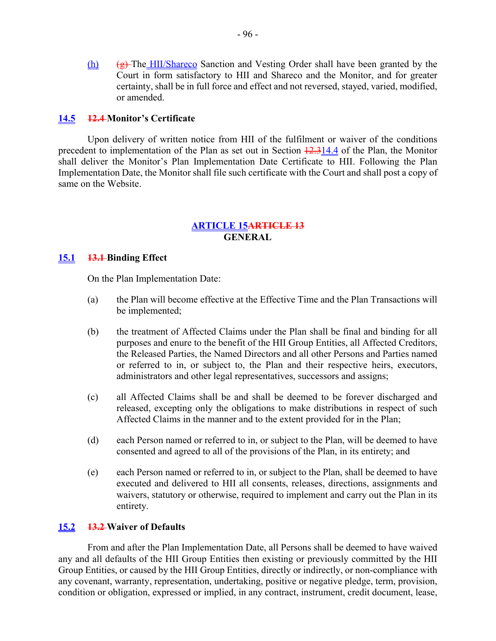(h)  $\left(\frac{g}{g}\right)$  The HII/Shareco Sanction and Vesting Order shall have been granted by the Court in form satisfactory to HII and Shareco and the Monitor, and for greater certainty, shall be in full force and effect and not reversed, stayed, varied, modified, or amended.

### **14.5 12.4 Monitor's Certificate**

Upon delivery of written notice from HII of the fulfilment or waiver of the conditions precedent to implementation of the Plan as set out in Section  $\frac{12.314.4}{2}$  of the Plan, the Monitor shall deliver the Monitor's Plan Implementation Date Certificate to HII. Following the Plan Implementation Date, the Monitor shall file such certificate with the Court and shall post a copy of same on the Website.

### **ARTICLE 15ARTICLE 13 GENERAL**

### **15.1 13.1 Binding Effect**

On the Plan Implementation Date:

- (a) the Plan will become effective at the Effective Time and the Plan Transactions will be implemented;
- (b) the treatment of Affected Claims under the Plan shall be final and binding for all purposes and enure to the benefit of the HII Group Entities, all Affected Creditors, the Released Parties, the Named Directors and all other Persons and Parties named or referred to in, or subject to, the Plan and their respective heirs, executors, administrators and other legal representatives, successors and assigns;
- (c) all Affected Claims shall be and shall be deemed to be forever discharged and released, excepting only the obligations to make distributions in respect of such Affected Claims in the manner and to the extent provided for in the Plan;
- (d) each Person named or referred to in, or subject to the Plan, will be deemed to have consented and agreed to all of the provisions of the Plan, in its entirety; and
- (e) each Person named or referred to in, or subject to the Plan, shall be deemed to have executed and delivered to HII all consents, releases, directions, assignments and waivers, statutory or otherwise, required to implement and carry out the Plan in its entirety.

### **15.2 13.2 Waiver of Defaults**

From and after the Plan Implementation Date, all Persons shall be deemed to have waived any and all defaults of the HII Group Entities then existing or previously committed by the HII Group Entities, or caused by the HII Group Entities, directly or indirectly, or non-compliance with any covenant, warranty, representation, undertaking, positive or negative pledge, term, provision, condition or obligation, expressed or implied, in any contract, instrument, credit document, lease,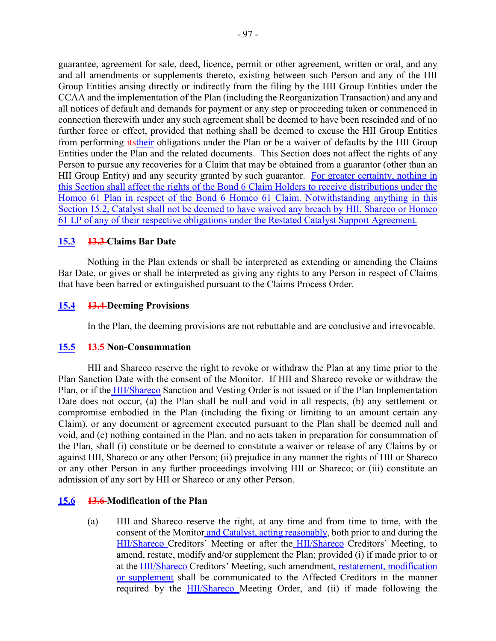guarantee, agreement for sale, deed, licence, permit or other agreement, written or oral, and any and all amendments or supplements thereto, existing between such Person and any of the HII Group Entities arising directly or indirectly from the filing by the HII Group Entities under the CCAA and the implementation of the Plan (including the Reorganization Transaction) and any and all notices of default and demands for payment or any step or proceeding taken or commenced in connection therewith under any such agreement shall be deemed to have been rescinded and of no further force or effect, provided that nothing shall be deemed to excuse the HII Group Entities from performing *itstheir* obligations under the Plan or be a waiver of defaults by the HII Group Entities under the Plan and the related documents. This Section does not affect the rights of any Person to pursue any recoveries for a Claim that may be obtained from a guarantor (other than an HII Group Entity) and any security granted by such guarantor. For greater certainty, nothing in this Section shall affect the rights of the Bond 6 Claim Holders to receive distributions under the Homco 61 Plan in respect of the Bond 6 Homco 61 Claim. Notwithstanding anything in this Section 15.2, Catalyst shall not be deemed to have waived any breach by HII, Shareco or Homco 61 LP of any of their respective obligations under the Restated Catalyst Support Agreement.

# **15.3 13.3 Claims Bar Date**

Nothing in the Plan extends or shall be interpreted as extending or amending the Claims Bar Date, or gives or shall be interpreted as giving any rights to any Person in respect of Claims that have been barred or extinguished pursuant to the Claims Process Order.

# **15.4 13.4 Deeming Provisions**

In the Plan, the deeming provisions are not rebuttable and are conclusive and irrevocable.

# **15.5 13.5 Non-Consummation**

HII and Shareco reserve the right to revoke or withdraw the Plan at any time prior to the Plan Sanction Date with the consent of the Monitor. If HII and Shareco revoke or withdraw the Plan, or if the HII/Shareco Sanction and Vesting Order is not issued or if the Plan Implementation Date does not occur, (a) the Plan shall be null and void in all respects, (b) any settlement or compromise embodied in the Plan (including the fixing or limiting to an amount certain any Claim), or any document or agreement executed pursuant to the Plan shall be deemed null and void, and (c) nothing contained in the Plan, and no acts taken in preparation for consummation of the Plan, shall (i) constitute or be deemed to constitute a waiver or release of any Claims by or against HII, Shareco or any other Person; (ii) prejudice in any manner the rights of HII or Shareco or any other Person in any further proceedings involving HII or Shareco; or (iii) constitute an admission of any sort by HII or Shareco or any other Person.

# **15.6 13.6 Modification of the Plan**

(a) HII and Shareco reserve the right, at any time and from time to time, with the consent of the Monitor and Catalyst, acting reasonably, both prior to and during the HII/Shareco Creditors' Meeting or after the HII/Shareco Creditors' Meeting, to amend, restate, modify and/or supplement the Plan; provided (i) if made prior to or at the HII/Shareco Creditors' Meeting, such amendment, restatement, modification or supplement shall be communicated to the Affected Creditors in the manner required by the HII/Shareco Meeting Order, and (ii) if made following the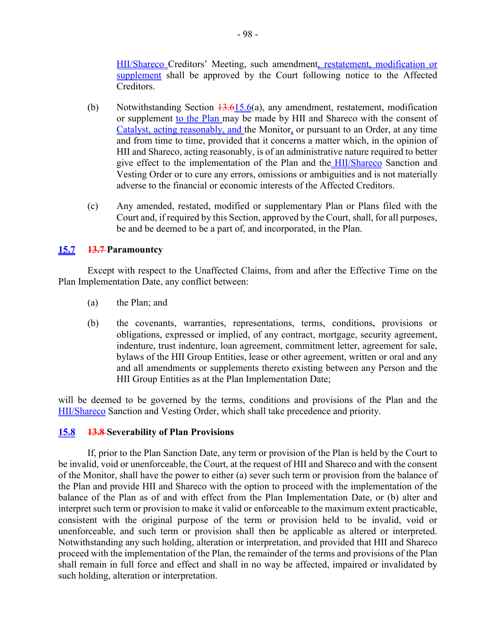HII/Shareco Creditors' Meeting, such amendment, restatement, modification or supplement shall be approved by the Court following notice to the Affected Creditors.

- (b) Notwithstanding Section  $\frac{13.615.6(a)}{a}$ , any amendment, restatement, modification or supplement to the Plan may be made by HII and Shareco with the consent of Catalyst, acting reasonably, and the Monitor, or pursuant to an Order, at any time and from time to time, provided that it concerns a matter which, in the opinion of HII and Shareco, acting reasonably, is of an administrative nature required to better give effect to the implementation of the Plan and the HII/Shareco Sanction and Vesting Order or to cure any errors, omissions or ambiguities and is not materially adverse to the financial or economic interests of the Affected Creditors.
- (c) Any amended, restated, modified or supplementary Plan or Plans filed with the Court and, if required by this Section, approved by the Court, shall, for all purposes, be and be deemed to be a part of, and incorporated, in the Plan.

# **15.7 13.7 Paramountcy**

Except with respect to the Unaffected Claims, from and after the Effective Time on the Plan Implementation Date, any conflict between:

- (a) the Plan; and
- (b) the covenants, warranties, representations, terms, conditions, provisions or obligations, expressed or implied, of any contract, mortgage, security agreement, indenture, trust indenture, loan agreement, commitment letter, agreement for sale, bylaws of the HII Group Entities, lease or other agreement, written or oral and any and all amendments or supplements thereto existing between any Person and the HII Group Entities as at the Plan Implementation Date;

will be deemed to be governed by the terms, conditions and provisions of the Plan and the HII/Shareco Sanction and Vesting Order, which shall take precedence and priority.

### **15.8 13.8 Severability of Plan Provisions**

If, prior to the Plan Sanction Date, any term or provision of the Plan is held by the Court to be invalid, void or unenforceable, the Court, at the request of HII and Shareco and with the consent of the Monitor, shall have the power to either (a) sever such term or provision from the balance of the Plan and provide HII and Shareco with the option to proceed with the implementation of the balance of the Plan as of and with effect from the Plan Implementation Date, or (b) alter and interpret such term or provision to make it valid or enforceable to the maximum extent practicable, consistent with the original purpose of the term or provision held to be invalid, void or unenforceable, and such term or provision shall then be applicable as altered or interpreted. Notwithstanding any such holding, alteration or interpretation, and provided that HII and Shareco proceed with the implementation of the Plan, the remainder of the terms and provisions of the Plan shall remain in full force and effect and shall in no way be affected, impaired or invalidated by such holding, alteration or interpretation.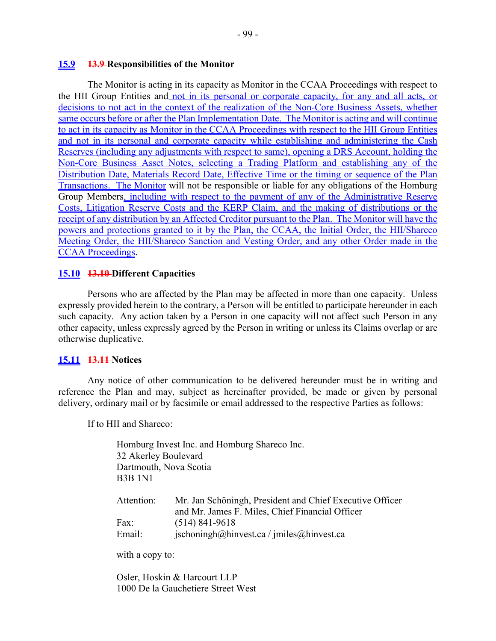#### **15.9 13.9 Responsibilities of the Monitor**

The Monitor is acting in its capacity as Monitor in the CCAA Proceedings with respect to the HII Group Entities and not in its personal or corporate capacity, for any and all acts, or decisions to not act in the context of the realization of the Non-Core Business Assets, whether same occurs before or after the Plan Implementation Date. The Monitor is acting and will continue to act in its capacity as Monitor in the CCAA Proceedings with respect to the HII Group Entities and not in its personal and corporate capacity while establishing and administering the Cash Reserves (including any adjustments with respect to same), opening a DRS Account, holding the Non-Core Business Asset Notes, selecting a Trading Platform and establishing any of the Distribution Date, Materials Record Date, Effective Time or the timing or sequence of the Plan Transactions. The Monitor will not be responsible or liable for any obligations of the Homburg Group Members, including with respect to the payment of any of the Administrative Reserve Costs, Litigation Reserve Costs and the KERP Claim, and the making of distributions or the receipt of any distribution by an Affected Creditor pursuant to the Plan. The Monitor will have the powers and protections granted to it by the Plan, the CCAA, the Initial Order, the HII/Shareco Meeting Order, the HII/Shareco Sanction and Vesting Order, and any other Order made in the CCAA Proceedings.

### **15.10 13.10 Different Capacities**

Persons who are affected by the Plan may be affected in more than one capacity. Unless expressly provided herein to the contrary, a Person will be entitled to participate hereunder in each such capacity. Any action taken by a Person in one capacity will not affect such Person in any other capacity, unless expressly agreed by the Person in writing or unless its Claims overlap or are otherwise duplicative.

### **15.11 13.11 Notices**

Any notice of other communication to be delivered hereunder must be in writing and reference the Plan and may, subject as hereinafter provided, be made or given by personal delivery, ordinary mail or by facsimile or email addressed to the respective Parties as follows:

If to HII and Shareco:

Homburg Invest Inc. and Homburg Shareco Inc. 32 Akerley Boulevard Dartmouth, Nova Scotia B3B 1N1

| Attention: | Mr. Jan Schöningh, President and Chief Executive Officer       |
|------------|----------------------------------------------------------------|
|            | and Mr. James F. Miles, Chief Financial Officer                |
| Fax:       | $(514) 841 - 9618$                                             |
| Email:     | $ischoningh(\omega)$ hinvest.ca / jmiles $(\omega)$ hinvest.ca |

with a copy to:

Osler, Hoskin & Harcourt LLP 1000 De la Gauchetiere Street West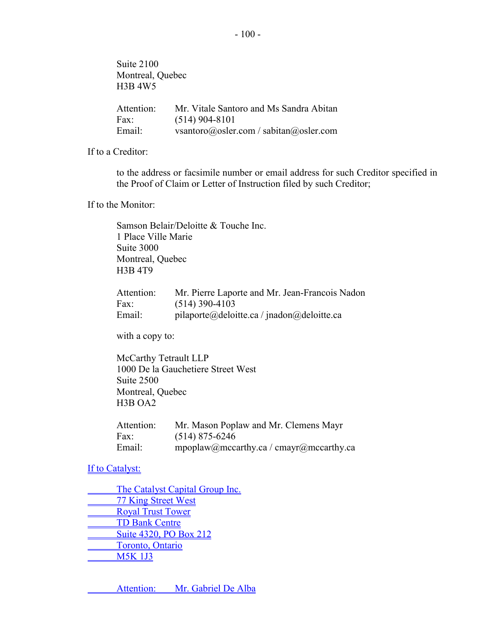Suite 2100 Montreal, Quebec H3B 4W5 Attention: Mr. Vitale Santoro and Ms Sandra Abitan Fax: (514) 904-8101 Email: vsantoro@osler.com / sabitan@osler.com

If to a Creditor:

to the address or facsimile number or email address for such Creditor specified in the Proof of Claim or Letter of Instruction filed by such Creditor;

If to the Monitor:

Samson Belair/Deloitte & Touche Inc. 1 Place Ville Marie Suite 3000 Montreal, Quebec H3B 4T9

| Attention: | Mr. Pierre Laporte and Mr. Jean-Francois Nadon |
|------------|------------------------------------------------|
| Fax:       | $(514)$ 390-4103                               |
| Email:     | pilaporte@deloitte.ca / jnadon@deloitte.ca     |

with a copy to:

McCarthy Tetrault LLP 1000 De la Gauchetiere Street West Suite 2500 Montreal, Quebec H3B OA2

| Attention: | Mr. Mason Poplaw and Mr. Clemens Mayr   |
|------------|-----------------------------------------|
| Fax:       | $(514)$ 875-6246                        |
| Email:     | mpoplaw@mccarthy.ca / cmayr@mccarthy.ca |

If to Catalyst:

The Catalyst Capital Group Inc. 77 King Street West **Royal Trust Tower** TD Bank Centre Suite 4320, PO Box 212 Toronto, Ontario M5K 1J3

Attention: Mr. Gabriel De Alba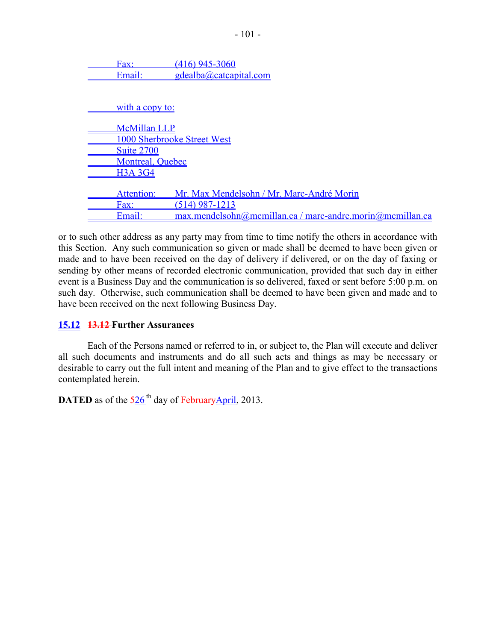Fax: (416) 945-3060 Email: gdealba@catcapital.com

with a copy to: McMillan LLP 1000 Sherbrooke Street West Suite 2700 Montreal, Quebec H3A 3G4 Attention: Mr. Max Mendelsohn / Mr. Marc-André Morin Fax: (514) 987-1213 Email: max.mendelsohn@mcmillan.ca / marc-andre.morin@mcmillan.ca

or to such other address as any party may from time to time notify the others in accordance with this Section. Any such communication so given or made shall be deemed to have been given or made and to have been received on the day of delivery if delivered, or on the day of faxing or sending by other means of recorded electronic communication, provided that such day in either event is a Business Day and the communication is so delivered, faxed or sent before 5:00 p.m. on such day. Otherwise, such communication shall be deemed to have been given and made and to have been received on the next following Business Day.

### **15.12 13.12 Further Assurances**

Each of the Persons named or referred to in, or subject to, the Plan will execute and deliver all such documents and instruments and do all such acts and things as may be necessary or desirable to carry out the full intent and meaning of the Plan and to give effect to the transactions contemplated herein.

**DATED** as of the  $\frac{526}{ }$ <sup>th</sup> day of FebruaryApril, 2013.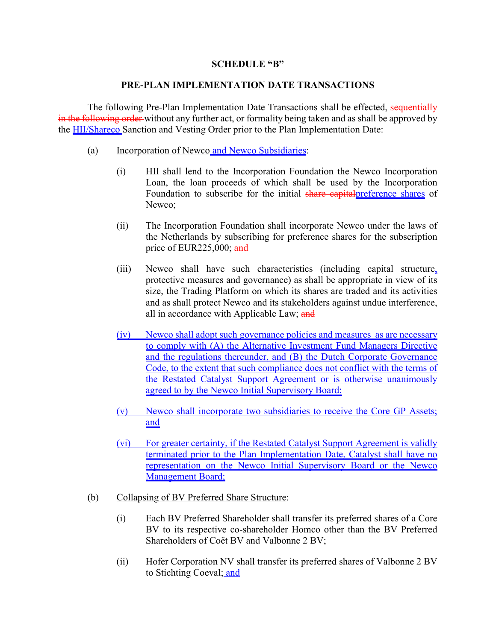### **SCHEDULE "B"**

### **PRE-PLAN IMPLEMENTATION DATE TRANSACTIONS**

The following Pre-Plan Implementation Date Transactions shall be effected, sequentially in the following order without any further act, or formality being taken and as shall be approved by the HII/Shareco Sanction and Vesting Order prior to the Plan Implementation Date:

- (a) Incorporation of Newco and Newco Subsidiaries:
	- (i) HII shall lend to the Incorporation Foundation the Newco Incorporation Loan, the loan proceeds of which shall be used by the Incorporation Foundation to subscribe for the initial share capitalpreference shares of Newco;
	- (ii) The Incorporation Foundation shall incorporate Newco under the laws of the Netherlands by subscribing for preference shares for the subscription price of EUR225,000;  $\frac{and}{end}$
	- (iii) Newco shall have such characteristics (including capital structure, protective measures and governance) as shall be appropriate in view of its size, the Trading Platform on which its shares are traded and its activities and as shall protect Newco and its stakeholders against undue interference, all in accordance with Applicable Law; and
	- (iv) Newco shall adopt such governance policies and measures as are necessary to comply with (A) the Alternative Investment Fund Managers Directive and the regulations thereunder, and (B) the Dutch Corporate Governance Code, to the extent that such compliance does not conflict with the terms of the Restated Catalyst Support Agreement or is otherwise unanimously agreed to by the Newco Initial Supervisory Board;
	- (v) Newco shall incorporate two subsidiaries to receive the Core GP Assets; and
	- (vi) For greater certainty, if the Restated Catalyst Support Agreement is validly terminated prior to the Plan Implementation Date, Catalyst shall have no representation on the Newco Initial Supervisory Board or the Newco Management Board;
- (b) Collapsing of BV Preferred Share Structure:
	- (i) Each BV Preferred Shareholder shall transfer its preferred shares of a Core BV to its respective co-shareholder Homco other than the BV Preferred Shareholders of Coët BV and Valbonne 2 BV;
	- (ii) Hofer Corporation NV shall transfer its preferred shares of Valbonne 2 BV to Stichting Coeval; and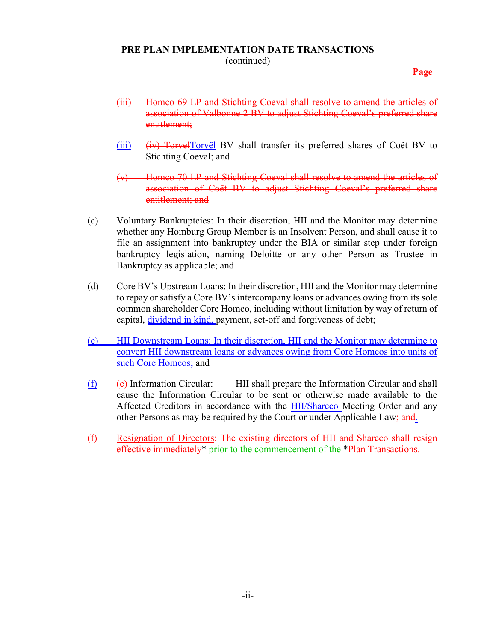# **PRE PLAN IMPLEMENTATION DATE TRANSACTIONS**

(continued)

**Page**

- (iii) Homco 69 LP and Stichting Coeval shall resolve to amend the articles of association of Valbonne 2 BV to adjust Stichting Coeval's preferred share entitlement;
- $(iii)$   $(iv)$  TorvelTorvël BV shall transfer its preferred shares of Coët BV to Stichting Coeval; and
- (v) Homco 70 LP and Stichting Coeval shall resolve to amend the articles of association of Coët BV to adjust Stichting Coeval's preferred share entitlement; and
- (c) Voluntary Bankruptcies: In their discretion, HII and the Monitor may determine whether any Homburg Group Member is an Insolvent Person, and shall cause it to file an assignment into bankruptcy under the BIA or similar step under foreign bankruptcy legislation, naming Deloitte or any other Person as Trustee in Bankruptcy as applicable; and
- (d) Core BV's Upstream Loans: In their discretion, HII and the Monitor may determine to repay or satisfy a Core BV's intercompany loans or advances owing from its sole common shareholder Core Homco, including without limitation by way of return of capital, dividend in kind, payment, set-off and forgiveness of debt;
- (e) HII Downstream Loans: In their discretion, HII and the Monitor may determine to convert HII downstream loans or advances owing from Core Homcos into units of such Core Homcos; and
- (f) (e) Information Circular: HII shall prepare the Information Circular and shall cause the Information Circular to be sent or otherwise made available to the Affected Creditors in accordance with the HII/Shareco Meeting Order and any other Persons as may be required by the Court or under Applicable Law; and.
- (f) Resignation of Directors: The existing directors of HII and Shareco shall resign effective immediately\* prior to the commencement of the \*Plan Transactions.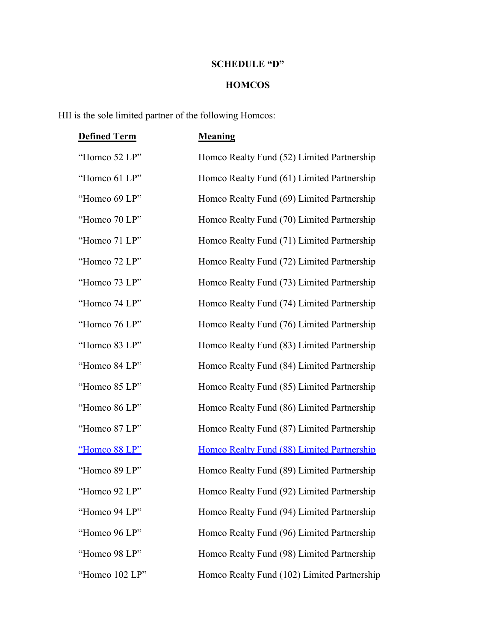## **SCHEDULE "D"**

## **HOMCOS**

HII is the sole limited partner of the following Homcos:

| <b>Defined Term</b> | <b>Meaning</b>                              |
|---------------------|---------------------------------------------|
| "Homco 52 LP"       | Homco Realty Fund (52) Limited Partnership  |
| "Homco 61 LP"       | Homco Realty Fund (61) Limited Partnership  |
| "Homco 69 LP"       | Homco Realty Fund (69) Limited Partnership  |
| "Homco 70 LP"       | Homco Realty Fund (70) Limited Partnership  |
| "Homco 71 LP"       | Homco Realty Fund (71) Limited Partnership  |
| "Homco 72 LP"       | Homco Realty Fund (72) Limited Partnership  |
| "Homco 73 LP"       | Homco Realty Fund (73) Limited Partnership  |
| "Homco 74 LP"       | Homco Realty Fund (74) Limited Partnership  |
| "Homco 76 LP"       | Homco Realty Fund (76) Limited Partnership  |
| "Homco 83 LP"       | Homco Realty Fund (83) Limited Partnership  |
| "Homco 84 LP"       | Homco Realty Fund (84) Limited Partnership  |
| "Homco 85 LP"       | Homco Realty Fund (85) Limited Partnership  |
| "Homco 86 LP"       | Homco Realty Fund (86) Limited Partnership  |
| "Homco 87 LP"       | Homco Realty Fund (87) Limited Partnership  |
| "Homco 88 LP"       | Homco Realty Fund (88) Limited Partnership  |
| "Homco 89 LP"       | Homco Realty Fund (89) Limited Partnership  |
| "Homco 92 LP"       | Homco Realty Fund (92) Limited Partnership  |
| "Homco 94 LP"       | Homco Realty Fund (94) Limited Partnership  |
| "Homco 96 LP"       | Homco Realty Fund (96) Limited Partnership  |
| "Homco 98 LP"       | Homco Realty Fund (98) Limited Partnership  |
| "Homco 102 LP"      | Homco Realty Fund (102) Limited Partnership |